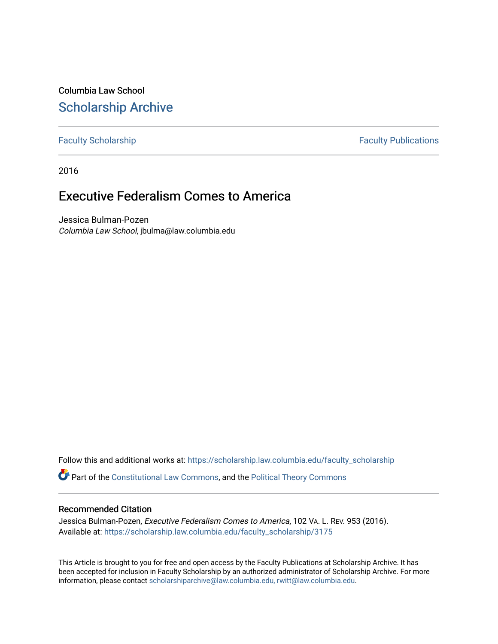Columbia Law School [Scholarship Archive](https://scholarship.law.columbia.edu/) 

[Faculty Scholarship](https://scholarship.law.columbia.edu/faculty_scholarship) **Faculty Scholarship Faculty Publications** 

2016

# Executive Federalism Comes to America

Jessica Bulman-Pozen Columbia Law School, jbulma@law.columbia.edu

Follow this and additional works at: [https://scholarship.law.columbia.edu/faculty\\_scholarship](https://scholarship.law.columbia.edu/faculty_scholarship?utm_source=scholarship.law.columbia.edu%2Ffaculty_scholarship%2F3175&utm_medium=PDF&utm_campaign=PDFCoverPages)

Part of the [Constitutional Law Commons,](http://network.bepress.com/hgg/discipline/589?utm_source=scholarship.law.columbia.edu%2Ffaculty_scholarship%2F3175&utm_medium=PDF&utm_campaign=PDFCoverPages) and the [Political Theory Commons](http://network.bepress.com/hgg/discipline/391?utm_source=scholarship.law.columbia.edu%2Ffaculty_scholarship%2F3175&utm_medium=PDF&utm_campaign=PDFCoverPages)

## Recommended Citation

Jessica Bulman-Pozen, Executive Federalism Comes to America, 102 VA. L. REV. 953 (2016). Available at: [https://scholarship.law.columbia.edu/faculty\\_scholarship/3175](https://scholarship.law.columbia.edu/faculty_scholarship/3175?utm_source=scholarship.law.columbia.edu%2Ffaculty_scholarship%2F3175&utm_medium=PDF&utm_campaign=PDFCoverPages)

This Article is brought to you for free and open access by the Faculty Publications at Scholarship Archive. It has been accepted for inclusion in Faculty Scholarship by an authorized administrator of Scholarship Archive. For more information, please contact [scholarshiparchive@law.columbia.edu, rwitt@law.columbia.edu](mailto:scholarshiparchive@law.columbia.edu,%20rwitt@law.columbia.edu).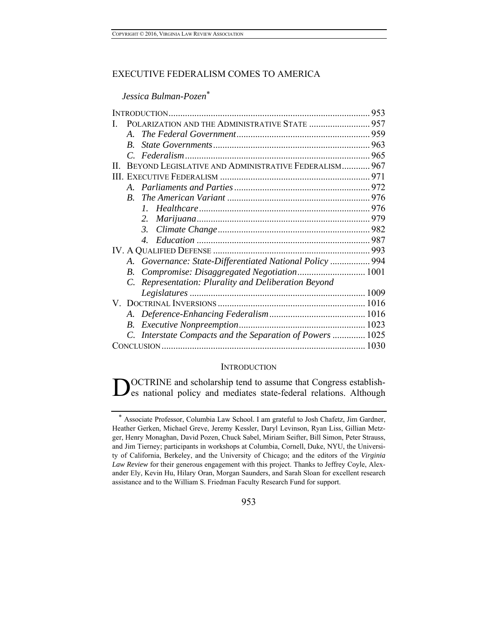# EXECUTIVE FEDERALISM COMES TO AMERICA

*Jessica Bulman-Pozen*\*

|    |                  | POLARIZATION AND THE ADMINISTRATIVE STATE  957            |  |
|----|------------------|-----------------------------------------------------------|--|
|    | $\mathcal{A}$    |                                                           |  |
|    | $\boldsymbol{B}$ |                                                           |  |
|    |                  |                                                           |  |
| Н. |                  | BEYOND LEGISLATIVE AND ADMINISTRATIVE FEDERALISM 967      |  |
|    |                  |                                                           |  |
|    |                  |                                                           |  |
|    | R.               |                                                           |  |
|    |                  |                                                           |  |
|    |                  | 2.                                                        |  |
|    |                  | $\mathfrak{Z}$                                            |  |
|    |                  | $\overline{4}$                                            |  |
|    |                  |                                                           |  |
|    |                  | A. Governance: State-Differentiated National Policy  994  |  |
|    | B.               |                                                           |  |
|    |                  | C. Representation: Plurality and Deliberation Beyond      |  |
|    |                  |                                                           |  |
|    |                  |                                                           |  |
|    |                  |                                                           |  |
|    | B.               |                                                           |  |
|    |                  | C. Interstate Compacts and the Separation of Powers  1025 |  |
|    |                  |                                                           |  |

#### **INTRODUCTION**

OCTRINE and scholarship tend to assume that Congress establish-DOCTRINE and scholarship tend to assume that Congress establishes national policy and mediates state-federal relations. Although

<sup>\*</sup> Associate Professor, Columbia Law School. I am grateful to Josh Chafetz, Jim Gardner, Heather Gerken, Michael Greve, Jeremy Kessler, Daryl Levinson, Ryan Liss, Gillian Metzger, Henry Monaghan, David Pozen, Chuck Sabel, Miriam Seifter, Bill Simon, Peter Strauss, and Jim Tierney; participants in workshops at Columbia, Cornell, Duke, NYU, the University of California, Berkeley, and the University of Chicago; and the editors of the *Virginia Law Review* for their generous engagement with this project. Thanks to Jeffrey Coyle, Alexander Ely, Kevin Hu, Hilary Oran, Morgan Saunders, and Sarah Sloan for excellent research assistance and to the William S. Friedman Faculty Research Fund for support.

<sup>953</sup>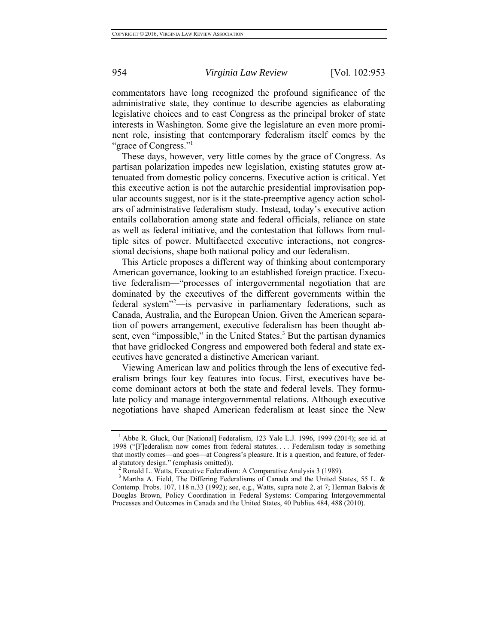commentators have long recognized the profound significance of the administrative state, they continue to describe agencies as elaborating legislative choices and to cast Congress as the principal broker of state interests in Washington. Some give the legislature an even more prominent role, insisting that contemporary federalism itself comes by the "grace of Congress."

These days, however, very little comes by the grace of Congress. As partisan polarization impedes new legislation, existing statutes grow attenuated from domestic policy concerns. Executive action is critical. Yet this executive action is not the autarchic presidential improvisation popular accounts suggest, nor is it the state-preemptive agency action scholars of administrative federalism study. Instead, today's executive action entails collaboration among state and federal officials, reliance on state as well as federal initiative, and the contestation that follows from multiple sites of power. Multifaceted executive interactions, not congressional decisions, shape both national policy and our federalism.

This Article proposes a different way of thinking about contemporary American governance, looking to an established foreign practice. Executive federalism—"processes of intergovernmental negotiation that are dominated by the executives of the different governments within the federal system"<sup>2</sup>- is pervasive in parliamentary federations, such as Canada, Australia, and the European Union. Given the American separation of powers arrangement, executive federalism has been thought absent, even "impossible," in the United States.<sup>3</sup> But the partisan dynamics that have gridlocked Congress and empowered both federal and state executives have generated a distinctive American variant.

Viewing American law and politics through the lens of executive federalism brings four key features into focus. First, executives have become dominant actors at both the state and federal levels. They formulate policy and manage intergovernmental relations. Although executive negotiations have shaped American federalism at least since the New

<sup>&</sup>lt;sup>1</sup> Abbe R. Gluck, Our [National] Federalism, 123 Yale L.J. 1996, 1999 (2014); see id. at 1998 ("[F]ederalism now comes from federal statutes. . . . Federalism today is something that mostly comes—and goes—at Congress's pleasure. It is a question, and feature, of feder-

al statutory design." (emphasis omitted)). <sup>2</sup> Ronald L. Watts, Executive Federalism: A Comparative Analysis 3 (1989). <sup>3</sup> Martha A. Field, The Differing Federalisms of Canada and the United States, 55 L. & Contemp. Probs. 107, 118 n.33 (1992); see, e.g., Watts, supra note 2, at 7; Herman Bakvis & Douglas Brown, Policy Coordination in Federal Systems: Comparing Intergovernmental Processes and Outcomes in Canada and the United States, 40 Publius 484, 488 (2010).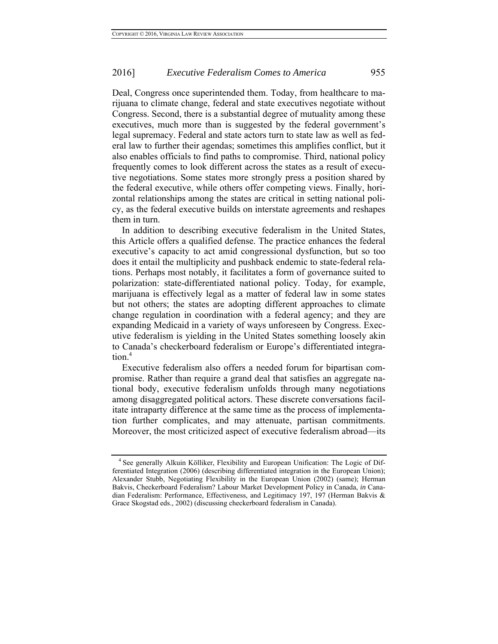Deal, Congress once superintended them. Today, from healthcare to marijuana to climate change, federal and state executives negotiate without Congress. Second, there is a substantial degree of mutuality among these executives, much more than is suggested by the federal government's legal supremacy. Federal and state actors turn to state law as well as federal law to further their agendas; sometimes this amplifies conflict, but it also enables officials to find paths to compromise. Third, national policy frequently comes to look different across the states as a result of executive negotiations. Some states more strongly press a position shared by the federal executive, while others offer competing views. Finally, horizontal relationships among the states are critical in setting national policy, as the federal executive builds on interstate agreements and reshapes them in turn.

In addition to describing executive federalism in the United States, this Article offers a qualified defense. The practice enhances the federal executive's capacity to act amid congressional dysfunction, but so too does it entail the multiplicity and pushback endemic to state-federal relations. Perhaps most notably, it facilitates a form of governance suited to polarization: state-differentiated national policy. Today, for example, marijuana is effectively legal as a matter of federal law in some states but not others; the states are adopting different approaches to climate change regulation in coordination with a federal agency; and they are expanding Medicaid in a variety of ways unforeseen by Congress. Executive federalism is yielding in the United States something loosely akin to Canada's checkerboard federalism or Europe's differentiated integration.<sup>4</sup>

Executive federalism also offers a needed forum for bipartisan compromise. Rather than require a grand deal that satisfies an aggregate national body, executive federalism unfolds through many negotiations among disaggregated political actors. These discrete conversations facilitate intraparty difference at the same time as the process of implementation further complicates, and may attenuate, partisan commitments. Moreover, the most criticized aspect of executive federalism abroad—its

<sup>&</sup>lt;sup>4</sup> See generally Alkuin Kölliker, Flexibility and European Unification: The Logic of Differentiated Integration (2006) (describing differentiated integration in the European Union); Alexander Stubb, Negotiating Flexibility in the European Union (2002) (same); Herman Bakvis, Checkerboard Federalism? Labour Market Development Policy in Canada, *in* Canadian Federalism: Performance, Effectiveness, and Legitimacy 197, 197 (Herman Bakvis & Grace Skogstad eds., 2002) (discussing checkerboard federalism in Canada).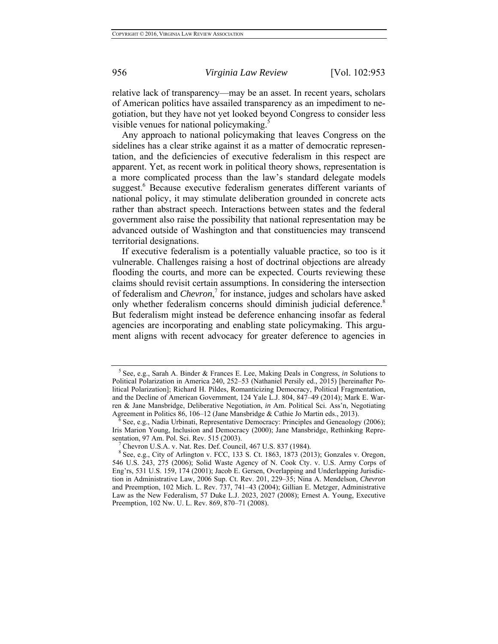relative lack of transparency—may be an asset. In recent years, scholars of American politics have assailed transparency as an impediment to negotiation, but they have not yet looked beyond Congress to consider less visible venues for national policymaking.<sup>5</sup>

Any approach to national policymaking that leaves Congress on the sidelines has a clear strike against it as a matter of democratic representation, and the deficiencies of executive federalism in this respect are apparent. Yet, as recent work in political theory shows, representation is a more complicated process than the law's standard delegate models suggest.<sup>6</sup> Because executive federalism generates different variants of national policy, it may stimulate deliberation grounded in concrete acts rather than abstract speech. Interactions between states and the federal government also raise the possibility that national representation may be advanced outside of Washington and that constituencies may transcend territorial designations.

If executive federalism is a potentially valuable practice, so too is it vulnerable. Challenges raising a host of doctrinal objections are already flooding the courts, and more can be expected. Courts reviewing these claims should revisit certain assumptions. In considering the intersection of federalism and *Chevron*, 7 for instance, judges and scholars have asked only whether federalism concerns should diminish judicial deference.<sup>8</sup> But federalism might instead be deference enhancing insofar as federal agencies are incorporating and enabling state policymaking. This argument aligns with recent advocacy for greater deference to agencies in

<sup>5</sup> See, e.g., Sarah A. Binder & Frances E. Lee, Making Deals in Congress, *in* Solutions to Political Polarization in America 240, 252–53 (Nathaniel Persily ed., 2015) [hereinafter Political Polarization]; Richard H. Pildes, Romanticizing Democracy, Political Fragmentation, and the Decline of American Government, 124 Yale L.J. 804, 847–49 (2014); Mark E. Warren & Jane Mansbridge, Deliberative Negotiation, *in* Am. Political Sci. Ass'n, Negotiating

Agreement in Politics 86, 106–12 (Jane Mansbridge & Cathie Jo Martin eds., 2013).<br><sup>6</sup> See, e.g., Nadia Urbinati, Representative Democracy: Principles and Geneaology (2006); Iris Marion Young, Inclusion and Democracy (2000); Jane Mansbridge, Rethinking Repre-

sentation, 97 Am. Pol. Sci. Rev. 515 (2003). <sup>7</sup><br><sup>7</sup> Chevron U.S.A. v. Nat. Res. Def. Council, 467 U.S. 837 (1984). <sup>8</sup> See, e.g., City of Arlington v. FCC, 133 S. Ct. 1863, 1873 (2013); Gonzales v. Oregon, 546 U.S. 243, 275 (2006); Solid Waste Agency of N. Cook Cty. v. U.S. Army Corps of Eng'rs, 531 U.S. 159, 174 (2001); Jacob E. Gersen, Overlapping and Underlapping Jurisdiction in Administrative Law, 2006 Sup. Ct. Rev. 201, 229–35; Nina A. Mendelson, *Chevron* and Preemption, 102 Mich. L. Rev. 737, 741–43 (2004); Gillian E. Metzger, Administrative Law as the New Federalism, 57 Duke L.J. 2023, 2027 (2008); Ernest A. Young, Executive Preemption, 102 Nw. U. L. Rev. 869, 870–71 (2008).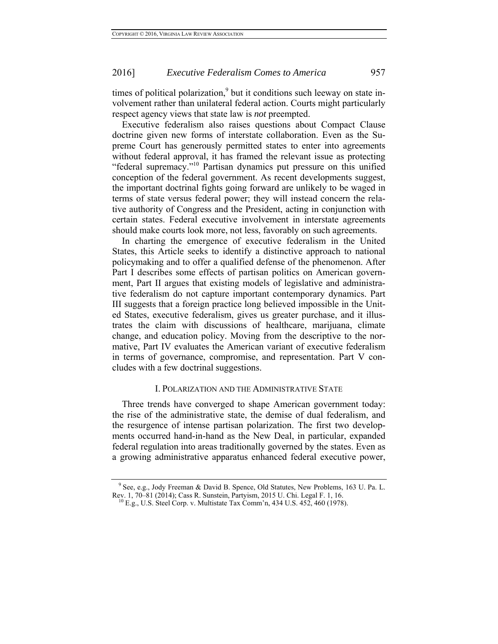times of political polarization,<sup>9</sup> but it conditions such leeway on state involvement rather than unilateral federal action. Courts might particularly respect agency views that state law is *not* preempted.

Executive federalism also raises questions about Compact Clause doctrine given new forms of interstate collaboration. Even as the Supreme Court has generously permitted states to enter into agreements without federal approval, it has framed the relevant issue as protecting "federal supremacy."<sup>10</sup> Partisan dynamics put pressure on this unified conception of the federal government. As recent developments suggest, the important doctrinal fights going forward are unlikely to be waged in terms of state versus federal power; they will instead concern the relative authority of Congress and the President, acting in conjunction with certain states. Federal executive involvement in interstate agreements should make courts look more, not less, favorably on such agreements.

In charting the emergence of executive federalism in the United States, this Article seeks to identify a distinctive approach to national policymaking and to offer a qualified defense of the phenomenon. After Part I describes some effects of partisan politics on American government, Part II argues that existing models of legislative and administrative federalism do not capture important contemporary dynamics. Part III suggests that a foreign practice long believed impossible in the United States, executive federalism, gives us greater purchase, and it illustrates the claim with discussions of healthcare, marijuana, climate change, and education policy. Moving from the descriptive to the normative, Part IV evaluates the American variant of executive federalism in terms of governance, compromise, and representation. Part V concludes with a few doctrinal suggestions.

#### I. POLARIZATION AND THE ADMINISTRATIVE STATE

Three trends have converged to shape American government today: the rise of the administrative state, the demise of dual federalism, and the resurgence of intense partisan polarization. The first two developments occurred hand-in-hand as the New Deal, in particular, expanded federal regulation into areas traditionally governed by the states. Even as a growing administrative apparatus enhanced federal executive power,

<sup>&</sup>lt;sup>9</sup> See, e.g., Jody Freeman & David B. Spence, Old Statutes, New Problems, 163 U. Pa. L. Rev. 1, 70–81 (2014); Cass R. Sunstein, Partyism, 2015 U. Chi. Legal F. 1, 16. 10 E.g., U.S. Steel Corp. v. Multistate Tax Comm'n, 434 U.S. 452, 460 (1978).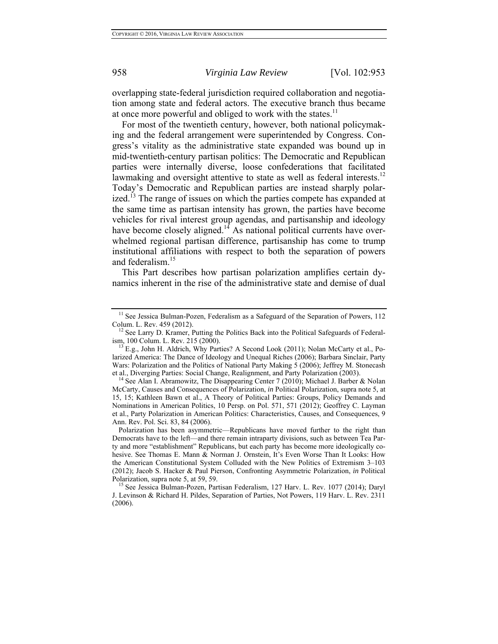overlapping state-federal jurisdiction required collaboration and negotiation among state and federal actors. The executive branch thus became at once more powerful and obliged to work with the states.<sup>11</sup>

For most of the twentieth century, however, both national policymaking and the federal arrangement were superintended by Congress. Congress's vitality as the administrative state expanded was bound up in mid-twentieth-century partisan politics: The Democratic and Republican parties were internally diverse, loose confederations that facilitated lawmaking and oversight attentive to state as well as federal interests.<sup>12</sup> Today's Democratic and Republican parties are instead sharply polarized.<sup>13</sup> The range of issues on which the parties compete has expanded at the same time as partisan intensity has grown, the parties have become vehicles for rival interest group agendas, and partisanship and ideology have become closely aligned.<sup>14</sup> As national political currents have overwhelmed regional partisan difference, partisanship has come to trump institutional affiliations with respect to both the separation of powers and federalism.<sup>15</sup>

This Part describes how partisan polarization amplifies certain dynamics inherent in the rise of the administrative state and demise of dual

<sup>&</sup>lt;sup>11</sup> See Jessica Bulman-Pozen, Federalism as a Safeguard of the Separation of Powers, 112 Colum. L. Rev. 459 (2012).<br><sup>12</sup> See Larry D. Kramer, Putting the Politics Back into the Political Safeguards of Federal-

ism, 100 Colum. L. Rev. 215 (2000).<br><sup>13</sup> E.g., John H. Aldrich, Why Parties? A Second Look (2011); Nolan McCarty et al., Po-

larized America: The Dance of Ideology and Unequal Riches (2006); Barbara Sinclair, Party Wars: Polarization and the Politics of National Party Making 5 (2006); Jeffrey M. Stonecash

et al., Diverging Parties: Social Change, Realignment, and Party Polarization (2003). 14 See Alan I. Abramowitz, The Disappearing Center 7 (2010); Michael J. Barber & Nolan McCarty, Causes and Consequences of Polarization, *in* Political Polarization, supra note 5, at 15, 15; Kathleen Bawn et al., A Theory of Political Parties: Groups, Policy Demands and Nominations in American Politics, 10 Persp. on Pol. 571, 571 (2012); Geoffrey C. Layman et al., Party Polarization in American Politics: Characteristics, Causes, and Consequences, 9 Ann. Rev. Pol. Sci. 83, 84 (2006).

Polarization has been asymmetric—Republicans have moved further to the right than Democrats have to the left—and there remain intraparty divisions, such as between Tea Party and more "establishment" Republicans, but each party has become more ideologically cohesive. See Thomas E. Mann & Norman J. Ornstein, It's Even Worse Than It Looks: How the American Constitutional System Colluded with the New Politics of Extremism 3–103 (2012); Jacob S. Hacker & Paul Pierson, Confronting Asymmetric Polarization, *in* Political Polarization, supra note 5, at 59, 59.<br><sup>15</sup> See Jessica Bulman-Pozen, Partisan Federalism, 127 Harv. L. Rev. 1077 (2014); Daryl

J. Levinson & Richard H. Pildes, Separation of Parties, Not Powers, 119 Harv. L. Rev. 2311 (2006).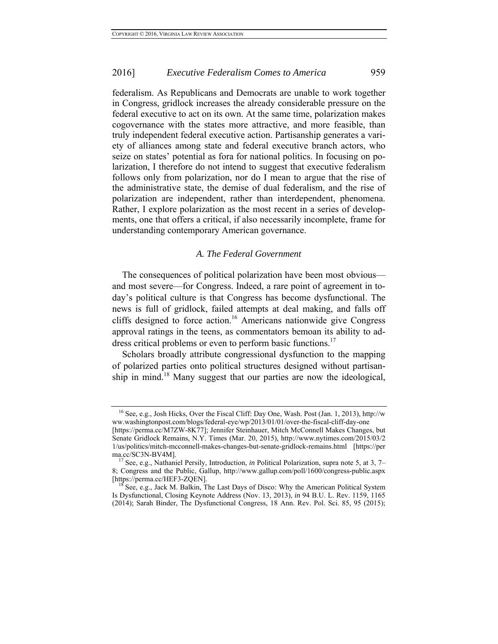federalism. As Republicans and Democrats are unable to work together in Congress, gridlock increases the already considerable pressure on the federal executive to act on its own. At the same time, polarization makes cogovernance with the states more attractive, and more feasible, than truly independent federal executive action. Partisanship generates a variety of alliances among state and federal executive branch actors, who seize on states' potential as fora for national politics. In focusing on polarization, I therefore do not intend to suggest that executive federalism follows only from polarization, nor do I mean to argue that the rise of the administrative state, the demise of dual federalism, and the rise of polarization are independent, rather than interdependent, phenomena. Rather, I explore polarization as the most recent in a series of developments, one that offers a critical, if also necessarily incomplete, frame for understanding contemporary American governance.

#### *A. The Federal Government*

The consequences of political polarization have been most obvious and most severe—for Congress. Indeed, a rare point of agreement in today's political culture is that Congress has become dysfunctional. The news is full of gridlock, failed attempts at deal making, and falls off cliffs designed to force action.<sup>16</sup> Americans nationwide give Congress approval ratings in the teens, as commentators bemoan its ability to address critical problems or even to perform basic functions.<sup>17</sup>

Scholars broadly attribute congressional dysfunction to the mapping of polarized parties onto political structures designed without partisanship in mind.<sup>18</sup> Many suggest that our parties are now the ideological,

<sup>16</sup> See, e.g., Josh Hicks, Over the Fiscal Cliff: Day One, Wash. Post (Jan. 1, 2013), http://w ww.washingtonpost.com/blogs/federal-eye/wp/2013/01/01/over-the-fiscal-cliff-day-one

<sup>[</sup>https://perma.cc/M7ZW-8K77]; Jennifer Steinhauer, Mitch McConnell Makes Changes, but Senate Gridlock Remains, N.Y. Times (Mar. 20, 2015), http://www.nytimes.com/2015/03/2 1/us/politics/mitch-mcconnell-makes-changes-but-senate-gridlock-remains.html [https://per ma.cc/SC3N-BV4M].<br><sup>17</sup> See, e.g., Nathaniel Persily, Introduction, *in* Political Polarization, supra note 5, at 3, 7–

<sup>8;</sup> Congress and the Public, Gallup, http://www.gallup.com/poll/1600/congress-public.aspx

 $h^8$  See, e.g., Jack M. Balkin, The Last Days of Disco: Why the American Political System Is Dysfunctional, Closing Keynote Address (Nov. 13, 2013), *in* 94 B.U. L. Rev. 1159, 1165 (2014); Sarah Binder, The Dysfunctional Congress, 18 Ann. Rev. Pol. Sci. 85, 95 (2015);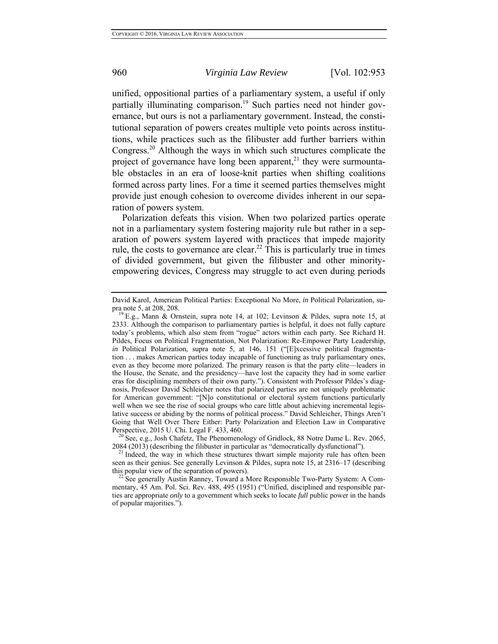unified, oppositional parties of a parliamentary system, a useful if only partially illuminating comparison.<sup>19</sup> Such parties need not hinder governance, but ours is not a parliamentary government. Instead, the constitutional separation of powers creates multiple veto points across institutions, while practices such as the filibuster add further barriers within Congress.20 Although the ways in which such structures complicate the project of governance have long been apparent, $^{21}$  they were surmountable obstacles in an era of loose-knit parties when shifting coalitions formed across party lines. For a time it seemed parties themselves might provide just enough cohesion to overcome divides inherent in our separation of powers system.

Polarization defeats this vision. When two polarized parties operate not in a parliamentary system fostering majority rule but rather in a separation of powers system layered with practices that impede majority rule, the costs to governance are clear.<sup>22</sup> This is particularly true in times of divided government, but given the filibuster and other minorityempowering devices, Congress may struggle to act even during periods

 $20$ <sup>5</sup> See, e.g., Josh Chafetz, The Phenomenology of Gridlock, 88 Notre Dame L. Rev. 2065, 2084 (2013) (describing the filibuster in particular as "democratically dysfunctional"). <sup>21</sup> Indeed, the way in which these structures thwart simple majority rule has often been

David Karol, American Political Parties: Exceptional No More, *in* Political Polarization, supra note 5, at 208, 208.<br><sup>19</sup> E.g., Mann & Ornstein, supra note 14, at 102; Levinson & Pildes, supra note 15, at

<sup>2333.</sup> Although the comparison to parliamentary parties is helpful, it does not fully capture today's problems, which also stem from "rogue" actors within each party. See Richard H. Pildes, Focus on Political Fragmentation, Not Polarization: Re-Empower Party Leadership, *in* Political Polarization, supra note 5, at 146, 151 ("[E]xcessive political fragmentation . . . makes American parties today incapable of functioning as truly parliamentary ones, even as they become more polarized. The primary reason is that the party elite—leaders in the House, the Senate, and the presidency—have lost the capacity they had in some earlier eras for disciplining members of their own party."). Consistent with Professor Pildes's diagnosis, Professor David Schleicher notes that polarized parties are not uniquely problematic for American government: "[N]o constitutional or electoral system functions particularly well when we see the rise of social groups who care little about achieving incremental legislative success or abiding by the norms of political process." David Schleicher, Things Aren't Going that Well Over There Either: Party Polarization and Election Law in Comparative Perspective, 2015 U. Chi. Legal F. 433, 460.

seen as their genius. See generally Levinson & Pildes, supra note 15, at 2316–17 (describing this popular view of the separation of powers).

 $t^{22}$  See generally Austin Ranney, Toward a More Responsible Two-Party System: A Commentary, 45 Am. Pol. Sci. Rev. 488, 495 (1951) ("Unified, disciplined and responsible parties are appropriate *only* to a government which seeks to locate *full* public power in the hands of popular majorities.").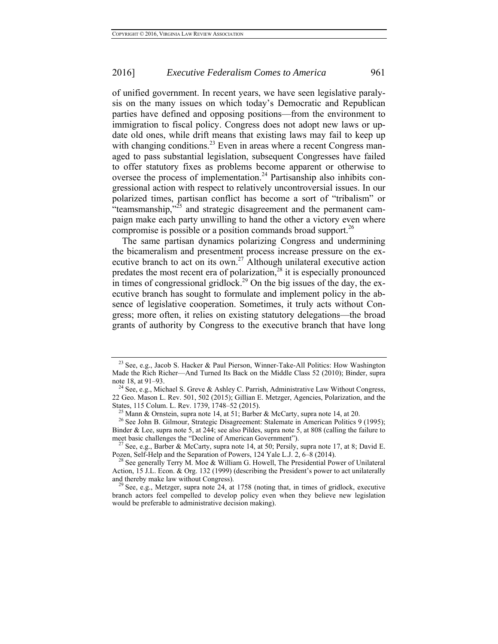of unified government. In recent years, we have seen legislative paralysis on the many issues on which today's Democratic and Republican parties have defined and opposing positions—from the environment to immigration to fiscal policy. Congress does not adopt new laws or update old ones, while drift means that existing laws may fail to keep up with changing conditions.<sup>23</sup> Even in areas where a recent Congress managed to pass substantial legislation, subsequent Congresses have failed to offer statutory fixes as problems become apparent or otherwise to oversee the process of implementation.<sup>24</sup> Partisanship also inhibits congressional action with respect to relatively uncontroversial issues. In our polarized times, partisan conflict has become a sort of "tribalism" or "teamsmanship,"<sup>25</sup> and strategic disagreement and the permanent campaign make each party unwilling to hand the other a victory even where compromise is possible or a position commands broad support.<sup>26</sup>

The same partisan dynamics polarizing Congress and undermining the bicameralism and presentment process increase pressure on the executive branch to act on its own.<sup>27</sup> Although unilateral executive action predates the most recent era of polarization, $28$  it is especially pronounced in times of congressional gridlock.<sup>29</sup> On the big issues of the day, the executive branch has sought to formulate and implement policy in the absence of legislative cooperation. Sometimes, it truly acts without Congress; more often, it relies on existing statutory delegations—the broad grants of authority by Congress to the executive branch that have long

<sup>&</sup>lt;sup>23</sup> See, e.g., Jacob S. Hacker & Paul Pierson, Winner-Take-All Politics: How Washington Made the Rich Richer—And Turned Its Back on the Middle Class 52 (2010); Binder, supra note 18, at 91–93.

<sup>&</sup>lt;sup>24</sup> See, e.g., Michael S. Greve & Ashley C. Parrish, Administrative Law Without Congress, 22 Geo. Mason L. Rev. 501, 502 (2015); Gillian E. Metzger, Agencies, Polarization, and the

<sup>&</sup>lt;sup>25</sup> Mann & Ornstein, supra note 14, at 51; Barber & McCarty, supra note 14, at 20. <sup>26</sup> See John B. Gilmour, Strategic Disagreement: Stalemate in American Politics 9 (1995);

Binder & Lee, supra note 5, at 244; see also Pildes, supra note 5, at 808 (calling the failure to

meet basic challenges the "Decline of American Government").<br><sup>27</sup> See, e.g., Barber & McCarty, supra note 14, at 50; Persily, supra note 17, at 8; David E. Pozen, Self-Help and the Separation of Powers, 124 Yale L.J. 2, 6–8 (2014). 28 See generally Terry M. Moe & William G. Howell, The Presidential Power of Unilateral

Action, 15 J.L. Econ. & Org. 132 (1999) (describing the President's power to act unilaterally

 $29$  See, e.g., Metzger, supra note 24, at 1758 (noting that, in times of gridlock, executive branch actors feel compelled to develop policy even when they believe new legislation would be preferable to administrative decision making).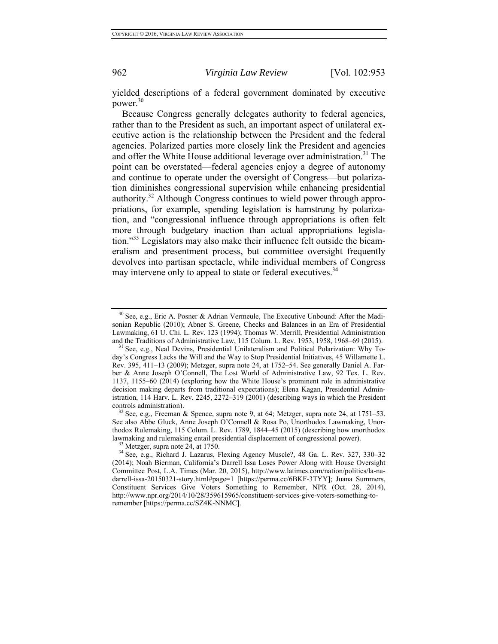yielded descriptions of a federal government dominated by executive power.<sup>30</sup>

Because Congress generally delegates authority to federal agencies, rather than to the President as such, an important aspect of unilateral executive action is the relationship between the President and the federal agencies. Polarized parties more closely link the President and agencies and offer the White House additional leverage over administration.<sup>31</sup> The point can be overstated—federal agencies enjoy a degree of autonomy and continue to operate under the oversight of Congress—but polarization diminishes congressional supervision while enhancing presidential authority.<sup>32</sup> Although Congress continues to wield power through appropriations, for example, spending legislation is hamstrung by polarization, and "congressional influence through appropriations is often felt more through budgetary inaction than actual appropriations legislation."33 Legislators may also make their influence felt outside the bicameralism and presentment process, but committee oversight frequently devolves into partisan spectacle, while individual members of Congress may intervene only to appeal to state or federal executives.<sup>34</sup>

<sup>30</sup> See, e.g., Eric A. Posner & Adrian Vermeule, The Executive Unbound: After the Madisonian Republic (2010); Abner S. Greene, Checks and Balances in an Era of Presidential Lawmaking, 61 U. Chi. L. Rev. 123 (1994); Thomas W. Merrill, Presidential Administration and the Traditions of Administrative Law, 115 Colum. L. Rev. 1953, 1958, 1968–69 (2015). <sup>31</sup> See, e.g., Neal Devins, Presidential Unilateralism and Political Polarization: Why To-

day's Congress Lacks the Will and the Way to Stop Presidential Initiatives, 45 Willamette L. Rev. 395, 411–13 (2009); Metzger, supra note 24, at 1752–54. See generally Daniel A. Farber & Anne Joseph O'Connell, The Lost World of Administrative Law, 92 Tex. L. Rev. 1137, 1155–60 (2014) (exploring how the White House's prominent role in administrative decision making departs from traditional expectations); Elena Kagan, Presidential Administration, 114 Harv. L. Rev. 2245, 2272–319 (2001) (describing ways in which the President controls administration).<br><sup>32</sup> See, e.g., Freeman & Spence, supra note 9, at 64; Metzger, supra note 24, at 1751–53.

See also Abbe Gluck, Anne Joseph O'Connell & Rosa Po, Unorthodox Lawmaking, Unorthodox Rulemaking, 115 Colum. L. Rev. 1789, 1844–45 (2015) (describing how unorthodox lawmaking and rulemaking entail presidential displacement of congressional power).<br><sup>33</sup> Metzger, supra note 24, at 1750.<br><sup>34</sup> See, e.g., Richard J. Lazarus, Flexing Agency Muscle?, 48 Ga. L. Rev. 327, 330–32

<sup>(2014);</sup> Noah Bierman, California's Darrell Issa Loses Power Along with House Oversight Committee Post, L.A. Times (Mar. 20, 2015), http://www.latimes.com/nation/politics/la-nadarrell-issa-20150321-story.html#page=1 [https://perma.cc/6BKF-3TYY]; Juana Summers, Constituent Services Give Voters Something to Remember, NPR (Oct. 28, 2014), http://www.npr.org/2014/10/28/359615965/constituent-services-give-voters-something-toremember [https://perma.cc/SZ4K-NNMC].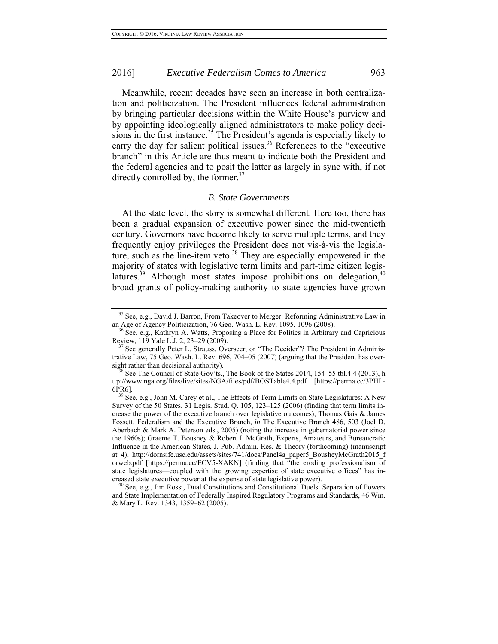Meanwhile, recent decades have seen an increase in both centralization and politicization. The President influences federal administration by bringing particular decisions within the White House's purview and by appointing ideologically aligned administrators to make policy decisions in the first instance.<sup>35</sup> The President's agenda is especially likely to carry the day for salient political issues.<sup>36</sup> References to the "executive" branch" in this Article are thus meant to indicate both the President and the federal agencies and to posit the latter as largely in sync with, if not directly controlled by, the former. $37$ 

#### *B. State Governments*

At the state level, the story is somewhat different. Here too, there has been a gradual expansion of executive power since the mid-twentieth century. Governors have become likely to serve multiple terms, and they frequently enjoy privileges the President does not vis-à-vis the legislature, such as the line-item veto.<sup>38</sup> They are especially empowered in the majority of states with legislative term limits and part-time citizen legislatures.<sup>39</sup> Although most states impose prohibitions on delegation,<sup>40</sup> broad grants of policy-making authority to state agencies have grown

<sup>&</sup>lt;sup>35</sup> See, e.g., David J. Barron, From Takeover to Merger: Reforming Administrative Law in an Age of Agency Politicization, 76 Geo. Wash. L. Rev. 1095, 1096 (2008).<br><sup>36</sup> See, e.g., Kathryn A. Watts, Proposing a Place for Politics in Arbitrary and Capricious

Review, 119 Yale L.J. 2, 23–29 (2009).<br><sup>37</sup> See generally Peter L. Strauss, Overseer, or "The Decider"? The President in Adminis-

trative Law, 75 Geo. Wash. L. Rev. 696, 704–05 (2007) (arguing that the President has oversight rather than decisional authority).<br><sup>38</sup> See The Council of State Gov'ts., The Book of the States 2014, 154–55 tbl.4.4 (2013), h

ttp://www.nga.org/files/live/sites/NGA/files/pdf/BOSTable4.4.pdf [https://perma.cc/3PHL- $6PR6$ ].<br><sup>39</sup> See, e.g., John M. Carey et al., The Effects of Term Limits on State Legislatures: A New

Survey of the 50 States, 31 Legis. Stud. Q. 105, 123–125 (2006) (finding that term limits increase the power of the executive branch over legislative outcomes); Thomas Gais & James Fossett, Federalism and the Executive Branch, *in* The Executive Branch 486, 503 (Joel D. Aberbach & Mark A. Peterson eds., 2005) (noting the increase in gubernatorial power since the 1960s); Graeme T. Boushey & Robert J. McGrath, Experts, Amateurs, and Bureaucratic Influence in the American States, J. Pub. Admin. Res. & Theory (forthcoming) (manuscript at 4), http://dornsife.usc.edu/assets/sites/741/docs/Panel4a\_paper5\_BousheyMcGrath2015\_f orweb.pdf [https://perma.cc/ECV5-XAKN] (finding that "the eroding professionalism of state legislatures—coupled with the growing expertise of state executive offices" has increased state executive power at the expense of state legislative power). 40 See, e.g., Jim Rossi, Dual Constitutions and Constitutional Duels: Separation of Powers

and State Implementation of Federally Inspired Regulatory Programs and Standards, 46 Wm. & Mary L. Rev. 1343, 1359–62 (2005).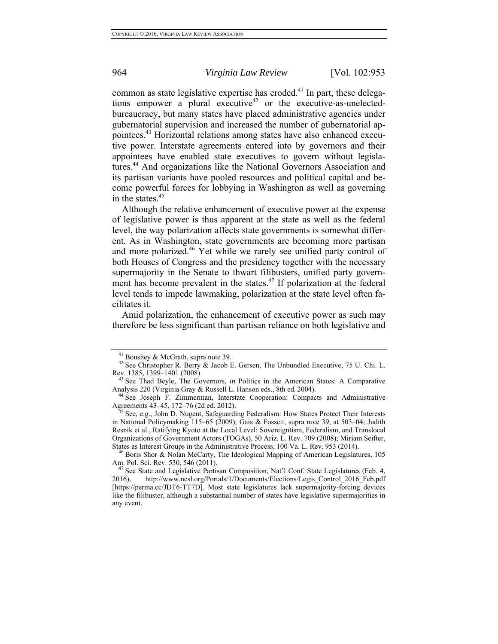common as state legislative expertise has eroded.<sup>41</sup> In part, these delegations empower a plural executive<sup>42</sup> or the executive-as-unelectedbureaucracy, but many states have placed administrative agencies under gubernatorial supervision and increased the number of gubernatorial appointees.43 Horizontal relations among states have also enhanced executive power. Interstate agreements entered into by governors and their appointees have enabled state executives to govern without legislatures.44 And organizations like the National Governors Association and its partisan variants have pooled resources and political capital and become powerful forces for lobbying in Washington as well as governing in the states.<sup>45</sup>

Although the relative enhancement of executive power at the expense of legislative power is thus apparent at the state as well as the federal level, the way polarization affects state governments is somewhat different. As in Washington, state governments are becoming more partisan and more polarized.<sup>46</sup> Yet while we rarely see unified party control of both Houses of Congress and the presidency together with the necessary supermajority in the Senate to thwart filibusters, unified party government has become prevalent in the states.<sup>47</sup> If polarization at the federal level tends to impede lawmaking, polarization at the state level often facilitates it.

Amid polarization, the enhancement of executive power as such may therefore be less significant than partisan reliance on both legislative and

<sup>&</sup>lt;sup>41</sup> Boushey & McGrath, supra note 39.<br><sup>42</sup> See Christopher R. Berry & Jacob E. Gersen, The Unbundled Executive, 75 U. Chi. L. Rev. 1385, 1399–1401 (2008). 43 See Thad Beyle, The Governors, *in* Politics in the American States: A Comparative

Analysis 220 (Virginia Gray & Russell L. Hanson eds., 8th ed. 2004).<br><sup>44</sup> See Joseph F. Zimmerman, Interstate Cooperation: Compacts and Administrative Agreements 43–45, 172–76 (2d ed. 2012).

See, e.g., John D. Nugent, Safeguarding Federalism: How States Protect Their Interests in National Policymaking 115–65 (2009); Gais & Fossett, supra note 39, at 503–04; Judith Resnik et al., Ratifying Kyoto at the Local Level: Sovereigntism, Federalism, and Translocal Organizations of Government Actors (TOGAs), 50 Ariz. L. Rev. 709 (2008); Miriam Seifter,

States as Interest Groups in the Administrative Process, 100 Va. L. Rev. 953 (2014). 46 Boris Shor & Nolan McCarty, The Ideological Mapping of American Legislatures, 105 Am. Pol. Sci. Rev. 530, 546 (2011).<br><sup>47</sup> See State and Legislative Partisan Composition, Nat'l Conf. State Legislatures (Feb. 4,

<sup>2016),</sup> http://www.ncsl.org/Portals/1/Documents/Elections/Legis\_Control\_2016\_Feb.pdf [https://perma.cc/JDT6-TT7D]. Most state legislatures lack supermajority-forcing devices like the filibuster, although a substantial number of states have legislative supermajorities in any event.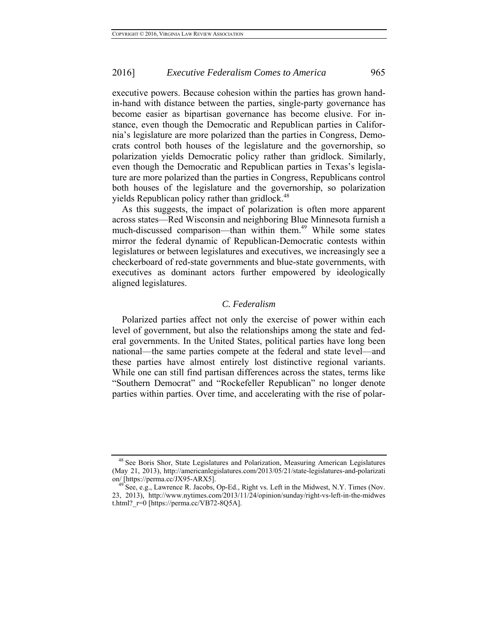executive powers. Because cohesion within the parties has grown handin-hand with distance between the parties, single-party governance has become easier as bipartisan governance has become elusive. For instance, even though the Democratic and Republican parties in California's legislature are more polarized than the parties in Congress, Democrats control both houses of the legislature and the governorship, so polarization yields Democratic policy rather than gridlock. Similarly, even though the Democratic and Republican parties in Texas's legislature are more polarized than the parties in Congress, Republicans control both houses of the legislature and the governorship, so polarization yields Republican policy rather than gridlock. $48$ 

As this suggests, the impact of polarization is often more apparent across states—Red Wisconsin and neighboring Blue Minnesota furnish a much-discussed comparison—than within them.<sup>49</sup> While some states mirror the federal dynamic of Republican-Democratic contests within legislatures or between legislatures and executives, we increasingly see a checkerboard of red-state governments and blue-state governments, with executives as dominant actors further empowered by ideologically aligned legislatures.

#### *C. Federalism*

Polarized parties affect not only the exercise of power within each level of government, but also the relationships among the state and federal governments. In the United States, political parties have long been national—the same parties compete at the federal and state level—and these parties have almost entirely lost distinctive regional variants. While one can still find partisan differences across the states, terms like "Southern Democrat" and "Rockefeller Republican" no longer denote parties within parties. Over time, and accelerating with the rise of polar-

<sup>&</sup>lt;sup>48</sup> See Boris Shor, State Legislatures and Polarization, Measuring American Legislatures (May 21, 2013), http://americanlegislatures.com/2013/05/21/state-legislatures-and-polarization/ [https://perma.cc/JX95-ARX5].

 $^{49}$  See, e.g., Lawrence R. Jacobs, Op-Ed., Right vs. Left in the Midwest, N.Y. Times (Nov. 23, 2013), http://www.nytimes.com/2013/11/24/opinion/sunday/right-vs-left-in-the-midwes t.html? $r=0$  [https://perma.cc/VB72-8Q5A].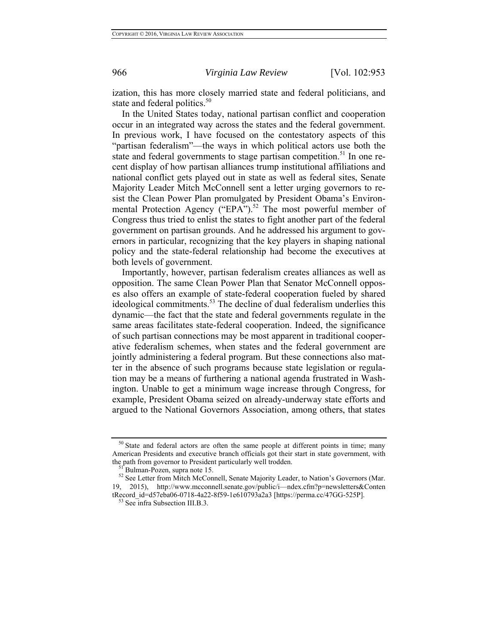ization, this has more closely married state and federal politicians, and state and federal politics.<sup>50</sup>

In the United States today, national partisan conflict and cooperation occur in an integrated way across the states and the federal government. In previous work, I have focused on the contestatory aspects of this "partisan federalism"—the ways in which political actors use both the state and federal governments to stage partisan competition.<sup>51</sup> In one recent display of how partisan alliances trump institutional affiliations and national conflict gets played out in state as well as federal sites, Senate Majority Leader Mitch McConnell sent a letter urging governors to resist the Clean Power Plan promulgated by President Obama's Environmental Protection Agency ("EPA").<sup>52</sup> The most powerful member of Congress thus tried to enlist the states to fight another part of the federal government on partisan grounds. And he addressed his argument to governors in particular, recognizing that the key players in shaping national policy and the state-federal relationship had become the executives at both levels of government.

Importantly, however, partisan federalism creates alliances as well as opposition. The same Clean Power Plan that Senator McConnell opposes also offers an example of state-federal cooperation fueled by shared ideological commitments.<sup>53</sup> The decline of dual federalism underlies this dynamic—the fact that the state and federal governments regulate in the same areas facilitates state-federal cooperation. Indeed, the significance of such partisan connections may be most apparent in traditional cooperative federalism schemes, when states and the federal government are jointly administering a federal program. But these connections also matter in the absence of such programs because state legislation or regulation may be a means of furthering a national agenda frustrated in Washington. Unable to get a minimum wage increase through Congress, for example, President Obama seized on already-underway state efforts and argued to the National Governors Association, among others, that states

<sup>&</sup>lt;sup>50</sup> State and federal actors are often the same people at different points in time; many American Presidents and executive branch officials got their start in state government, with the path from governor to President particularly well trodden.

<sup>&</sup>lt;sup>51</sup> Bulman-Pozen, supra note 15.<br><sup>52</sup> See Letter from Mitch McConnell, Senate Majority Leader, to Nation's Governors (Mar. 19, 2015), http://www.mcconnell.senate.gov/public/i—ndex.cfm?p=newsletters&Conten tRecord\_id=d57eba06-0718-4a22-8f59-1e610793a2a3 [https://perma.cc/47GG-525P].<br><sup>53</sup> See infra Subsection III.B.3.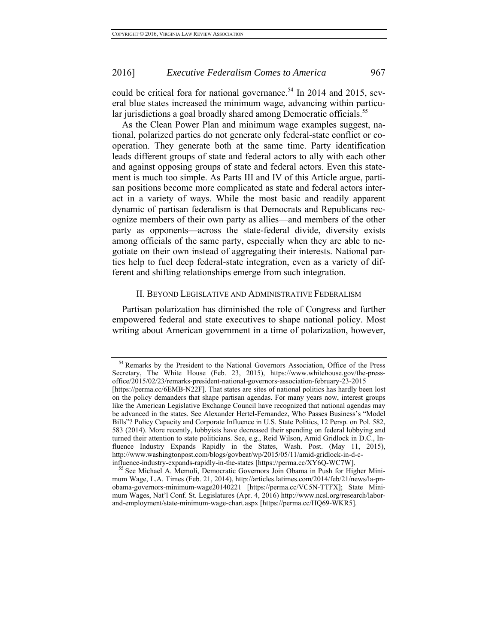could be critical fora for national governance.<sup>54</sup> In 2014 and 2015, several blue states increased the minimum wage, advancing within particular jurisdictions a goal broadly shared among Democratic officials.<sup>55</sup>

As the Clean Power Plan and minimum wage examples suggest, national, polarized parties do not generate only federal-state conflict or cooperation. They generate both at the same time. Party identification leads different groups of state and federal actors to ally with each other and against opposing groups of state and federal actors. Even this statement is much too simple. As Parts III and IV of this Article argue, partisan positions become more complicated as state and federal actors interact in a variety of ways. While the most basic and readily apparent dynamic of partisan federalism is that Democrats and Republicans recognize members of their own party as allies—and members of the other party as opponents—across the state-federal divide, diversity exists among officials of the same party, especially when they are able to negotiate on their own instead of aggregating their interests. National parties help to fuel deep federal-state integration, even as a variety of different and shifting relationships emerge from such integration.

#### II. BEYOND LEGISLATIVE AND ADMINISTRATIVE FEDERALISM

Partisan polarization has diminished the role of Congress and further empowered federal and state executives to shape national policy. Most writing about American government in a time of polarization, however,

<sup>&</sup>lt;sup>54</sup> Remarks by the President to the National Governors Association, Office of the Press Secretary, The White House (Feb. 23, 2015), https://www.whitehouse.gov/the-pressoffice/2015/02/23/remarks-president-national-governors-association-february-23-2015 [https://perma.cc/6EMB-N22F]. That states are sites of national politics has hardly been lost on the policy demanders that shape partisan agendas. For many years now, interest groups like the American Legislative Exchange Council have recognized that national agendas may be advanced in the states. See Alexander Hertel-Fernandez, Who Passes Business's "Model Bills"? Policy Capacity and Corporate Influence in U.S. State Politics, 12 Persp. on Pol. 582, 583 (2014). More recently, lobbyists have decreased their spending on federal lobbying and turned their attention to state politicians. See, e.g., Reid Wilson, Amid Gridlock in D.C., Influence Industry Expands Rapidly in the States, Wash. Post. (May 11, 2015), http://www.washingtonpost.com/blogs/govbeat/wp/2015/05/11/amid-gridlock-in-d-c-

influence-industry-expands-rapidly-in-the-states [https://perma.cc/XY6Q-WC7W]. 55 See Michael A. Memoli, Democratic Governors Join Obama in Push for Higher Minimum Wage, L.A. Times (Feb. 21, 2014), http://articles.latimes.com/2014/feb/21/news/la-pnobama-governors-minimum-wage20140221 [https://perma.cc/VC5N-TTFX]; State Minimum Wages, Nat'l Conf. St. Legislatures (Apr. 4, 2016) http://www.ncsl.org/research/laborand-employment/state-minimum-wage-chart.aspx [https://perma.cc/HQ69-WKR5].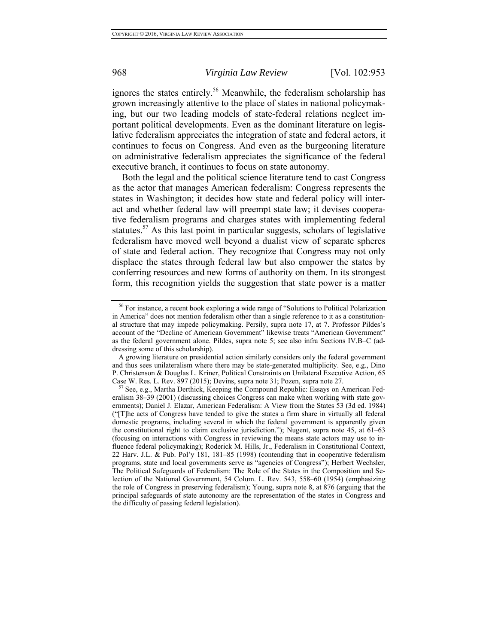ignores the states entirely.<sup>56</sup> Meanwhile, the federalism scholarship has grown increasingly attentive to the place of states in national policymaking, but our two leading models of state-federal relations neglect important political developments. Even as the dominant literature on legislative federalism appreciates the integration of state and federal actors, it continues to focus on Congress. And even as the burgeoning literature on administrative federalism appreciates the significance of the federal executive branch, it continues to focus on state autonomy.

Both the legal and the political science literature tend to cast Congress as the actor that manages American federalism: Congress represents the states in Washington; it decides how state and federal policy will interact and whether federal law will preempt state law; it devises cooperative federalism programs and charges states with implementing federal statutes.<sup>57</sup> As this last point in particular suggests, scholars of legislative federalism have moved well beyond a dualist view of separate spheres of state and federal action. They recognize that Congress may not only displace the states through federal law but also empower the states by conferring resources and new forms of authority on them. In its strongest form, this recognition yields the suggestion that state power is a matter

<sup>&</sup>lt;sup>56</sup> For instance, a recent book exploring a wide range of "Solutions to Political Polarization in America" does not mention federalism other than a single reference to it as a constitutional structure that may impede policymaking. Persily, supra note 17, at 7. Professor Pildes's account of the "Decline of American Government" likewise treats "American Government" as the federal government alone. Pildes, supra note 5; see also infra Sections IV.B–C (addressing some of this scholarship).

A growing literature on presidential action similarly considers only the federal government and thus sees unilateralism where there may be state-generated multiplicity. See, e.g., Dino P. Christenson & Douglas L. Kriner, Political Constraints on Unilateral Executive Action, 65 Case W. Res. L. Rev. 897 (2015); Devins, supra note 31; Pozen, supra note 27.<br><sup>57</sup> See, e.g., Martha Derthick, Keeping the Compound Republic: Essays on American Fed-

eralism 38–39 (2001) (discussing choices Congress can make when working with state governments); Daniel J. Elazar, American Federalism: A View from the States 53 (3d ed. 1984) ("[T]he acts of Congress have tended to give the states a firm share in virtually all federal domestic programs, including several in which the federal government is apparently given the constitutional right to claim exclusive jurisdiction."); Nugent, supra note 45, at 61–63 (focusing on interactions with Congress in reviewing the means state actors may use to influence federal policymaking); Roderick M. Hills, Jr., Federalism in Constitutional Context, 22 Harv. J.L. & Pub. Pol'y 181, 181–85 (1998) (contending that in cooperative federalism programs, state and local governments serve as "agencies of Congress"); Herbert Wechsler, The Political Safeguards of Federalism: The Role of the States in the Composition and Selection of the National Government, 54 Colum. L. Rev. 543, 558–60 (1954) (emphasizing the role of Congress in preserving federalism); Young, supra note 8, at 876 (arguing that the principal safeguards of state autonomy are the representation of the states in Congress and the difficulty of passing federal legislation).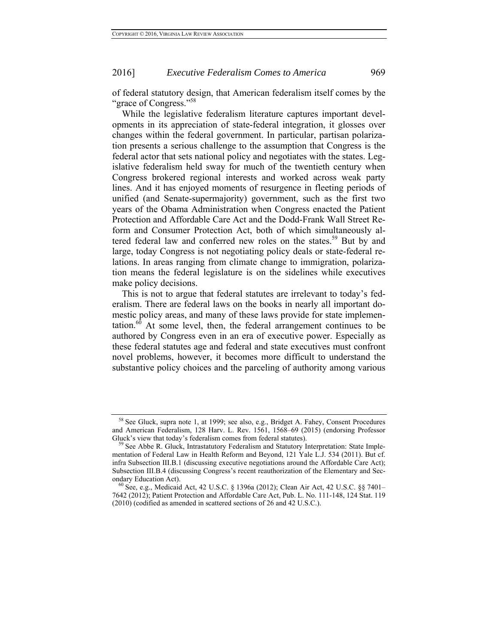of federal statutory design, that American federalism itself comes by the "grace of Congress."<sup>58</sup>

While the legislative federalism literature captures important developments in its appreciation of state-federal integration, it glosses over changes within the federal government. In particular, partisan polarization presents a serious challenge to the assumption that Congress is the federal actor that sets national policy and negotiates with the states. Legislative federalism held sway for much of the twentieth century when Congress brokered regional interests and worked across weak party lines. And it has enjoyed moments of resurgence in fleeting periods of unified (and Senate-supermajority) government, such as the first two years of the Obama Administration when Congress enacted the Patient Protection and Affordable Care Act and the Dodd-Frank Wall Street Reform and Consumer Protection Act, both of which simultaneously altered federal law and conferred new roles on the states.<sup>59</sup> But by and large, today Congress is not negotiating policy deals or state-federal relations. In areas ranging from climate change to immigration, polarization means the federal legislature is on the sidelines while executives make policy decisions.

This is not to argue that federal statutes are irrelevant to today's federalism. There are federal laws on the books in nearly all important domestic policy areas, and many of these laws provide for state implementation.<sup>60</sup> At some level, then, the federal arrangement continues to be authored by Congress even in an era of executive power. Especially as these federal statutes age and federal and state executives must confront novel problems, however, it becomes more difficult to understand the substantive policy choices and the parceling of authority among various

<sup>&</sup>lt;sup>58</sup> See Gluck, supra note 1, at 1999; see also, e.g., Bridget A. Fahey, Consent Procedures and American Federalism, 128 Harv. L. Rev. 1561, 1568–69 (2015) (endorsing Professor Gluck's view that today's federalism comes from federal statutes).<br><sup>59</sup> See Abbe R. Gluck, Intrastatutory Federalism and Statutory Interpretation: State Imple-

mentation of Federal Law in Health Reform and Beyond, 121 Yale L.J. 534 (2011). But cf. infra Subsection III.B.1 (discussing executive negotiations around the Affordable Care Act); Subsection III.B.4 (discussing Congress's recent reauthorization of the Elementary and Secondary Education Act).<br><sup>60</sup> See, e.g., Medicaid Act, 42 U.S.C. § 1396a (2012); Clean Air Act, 42 U.S.C. §§ 7401–

<sup>7642 (2012);</sup> Patient Protection and Affordable Care Act, Pub. L. No. 111-148, 124 Stat. 119 (2010) (codified as amended in scattered sections of 26 and 42 U.S.C.).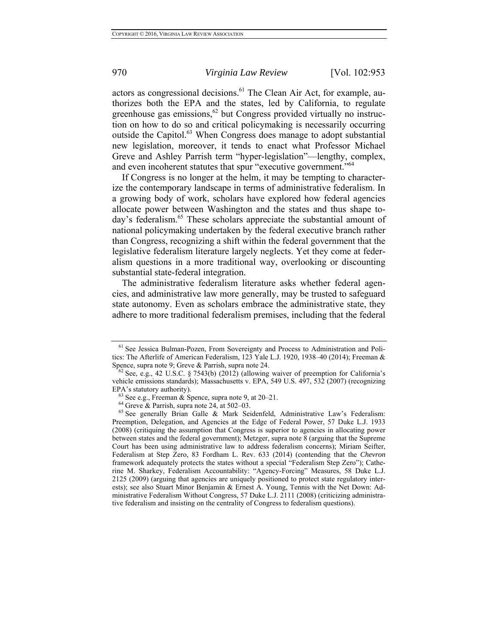actors as congressional decisions.<sup>61</sup> The Clean Air Act, for example, authorizes both the EPA and the states, led by California, to regulate greenhouse gas emissions,  $62$  but Congress provided virtually no instruction on how to do so and critical policymaking is necessarily occurring outside the Capitol.<sup>63</sup> When Congress does manage to adopt substantial new legislation, moreover, it tends to enact what Professor Michael Greve and Ashley Parrish term "hyper-legislation"—lengthy, complex, and even incoherent statutes that spur "executive government."<sup>64</sup>

If Congress is no longer at the helm, it may be tempting to characterize the contemporary landscape in terms of administrative federalism. In a growing body of work, scholars have explored how federal agencies allocate power between Washington and the states and thus shape today's federalism.<sup>65</sup> These scholars appreciate the substantial amount of national policymaking undertaken by the federal executive branch rather than Congress, recognizing a shift within the federal government that the legislative federalism literature largely neglects. Yet they come at federalism questions in a more traditional way, overlooking or discounting substantial state-federal integration.

The administrative federalism literature asks whether federal agencies, and administrative law more generally, may be trusted to safeguard state autonomy. Even as scholars embrace the administrative state, they adhere to more traditional federalism premises, including that the federal

<sup>&</sup>lt;sup>61</sup> See Jessica Bulman-Pozen, From Sovereignty and Process to Administration and Politics: The Afterlife of American Federalism, 123 Yale L.J. 1920, 1938–40 (2014); Freeman & Spence, supra note 9; Greve & Parrish, supra note 24.<br><sup>62</sup> See, e.g., 42 U.S.C. § 7543(b) (2012) (allowing waiver of preemption for California's

vehicle emissions standards); Massachusetts v. EPA, 549 U.S. 497, 532 (2007) (recognizing EPA's statutory authority).<br>
<sup>63</sup> See e.g., Freeman & Spence, supra note 9, at 20–21.<br>
<sup>64</sup> Greve & Parrish, supra note 24, at 502–03.<br>
<sup>65</sup> See generally Brian Galle & Mark Seidenfeld, Administrative Law's Federalism:

Preemption, Delegation, and Agencies at the Edge of Federal Power, 57 Duke L.J. 1933 (2008) (critiquing the assumption that Congress is superior to agencies in allocating power between states and the federal government); Metzger, supra note 8 (arguing that the Supreme Court has been using administrative law to address federalism concerns); Miriam Seifter, Federalism at Step Zero, 83 Fordham L. Rev. 633 (2014) (contending that the *Chevron*  framework adequately protects the states without a special "Federalism Step Zero"); Catherine M. Sharkey, Federalism Accountability: "Agency-Forcing" Measures, 58 Duke L.J. 2125 (2009) (arguing that agencies are uniquely positioned to protect state regulatory interests); see also Stuart Minor Benjamin & Ernest A. Young, Tennis with the Net Down: Administrative Federalism Without Congress, 57 Duke L.J. 2111 (2008) (criticizing administrative federalism and insisting on the centrality of Congress to federalism questions).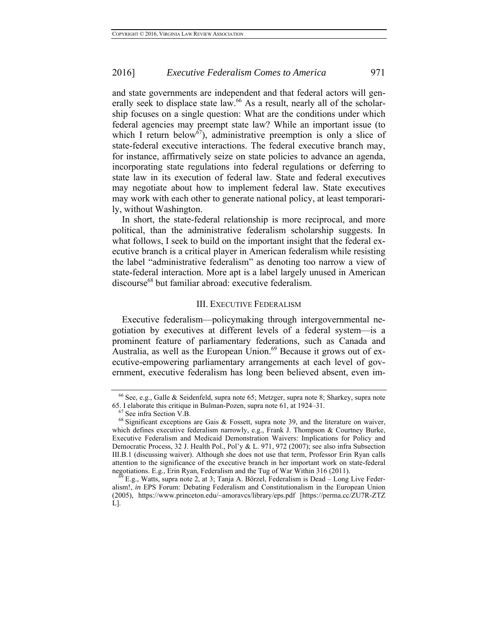and state governments are independent and that federal actors will generally seek to displace state law.<sup>66</sup> As a result, nearly all of the scholarship focuses on a single question: What are the conditions under which federal agencies may preempt state law? While an important issue (to which I return below<sup>67</sup>), administrative preemption is only a slice of state-federal executive interactions. The federal executive branch may, for instance, affirmatively seize on state policies to advance an agenda, incorporating state regulations into federal regulations or deferring to state law in its execution of federal law. State and federal executives may negotiate about how to implement federal law. State executives may work with each other to generate national policy, at least temporarily, without Washington.

In short, the state-federal relationship is more reciprocal, and more political, than the administrative federalism scholarship suggests. In what follows, I seek to build on the important insight that the federal executive branch is a critical player in American federalism while resisting the label "administrative federalism" as denoting too narrow a view of state-federal interaction. More apt is a label largely unused in American discourse<sup>68</sup> but familiar abroad: executive federalism.

#### III. EXECUTIVE FEDERALISM

Executive federalism—policymaking through intergovernmental negotiation by executives at different levels of a federal system—is a prominent feature of parliamentary federations, such as Canada and Australia, as well as the European Union.<sup>69</sup> Because it grows out of executive-empowering parliamentary arrangements at each level of government, executive federalism has long been believed absent, even im-

<sup>66</sup> See, e.g., Galle & Seidenfeld, supra note 65; Metzger, supra note 8; Sharkey, supra note 65. I elaborate this critique in Bulman-Pozen, supra note 61, at 1924–31.<br><sup>67</sup> See infra Section V.B. <sup>68</sup> Significant exceptions are Gais & Fossett, supra note 39, and the literature on waiver,

which defines executive federalism narrowly, e.g., Frank J. Thompson & Courtney Burke, Executive Federalism and Medicaid Demonstration Waivers: Implications for Policy and Democratic Process, 32 J. Health Pol., Pol'y & L. 971, 972 (2007); see also infra Subsection III.B.1 (discussing waiver). Although she does not use that term, Professor Erin Ryan calls attention to the significance of the executive branch in her important work on state-federal negotiations. E.g., Erin Ryan, Federalism and the Tug of War Within 316 (2011).<br><sup>69</sup> E.g., Watts, supra note 2, at 3; Tanja A. Börzel, Federalism is Dead – Long Live Feder-

alism!, *in* EPS Forum: Debating Federalism and Constitutionalism in the European Union (2005), https://www.princeton.edu/~amoravcs/library/eps.pdf [https://perma.cc/ZU7R-ZTZ L].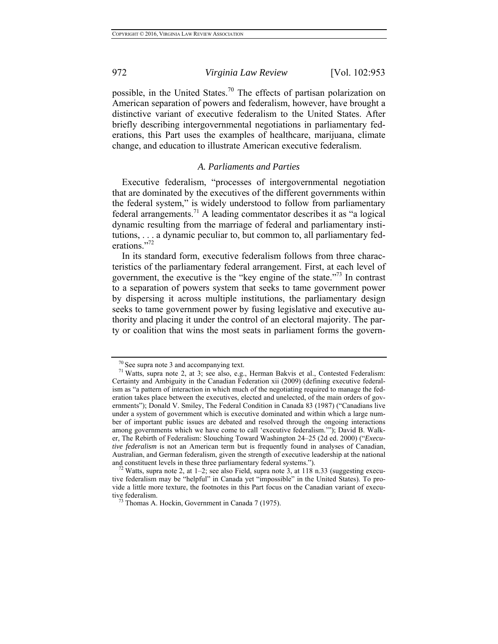possible, in the United States.<sup>70</sup> The effects of partisan polarization on American separation of powers and federalism, however, have brought a distinctive variant of executive federalism to the United States. After briefly describing intergovernmental negotiations in parliamentary federations, this Part uses the examples of healthcare, marijuana, climate change, and education to illustrate American executive federalism.

#### *A. Parliaments and Parties*

Executive federalism, "processes of intergovernmental negotiation that are dominated by the executives of the different governments within the federal system," is widely understood to follow from parliamentary federal arrangements.<sup>71</sup> A leading commentator describes it as "a logical dynamic resulting from the marriage of federal and parliamentary institutions, . . . a dynamic peculiar to, but common to, all parliamentary federations."<sup>72</sup>

In its standard form, executive federalism follows from three characteristics of the parliamentary federal arrangement. First, at each level of government, the executive is the "key engine of the state."73 In contrast to a separation of powers system that seeks to tame government power by dispersing it across multiple institutions, the parliamentary design seeks to tame government power by fusing legislative and executive authority and placing it under the control of an electoral majority. The party or coalition that wins the most seats in parliament forms the govern-

<sup>&</sup>lt;sup>70</sup> See supra note 3 and accompanying text.<br><sup>71</sup> Watts, supra note 2, at 3; see also, e.g., Herman Bakvis et al., Contested Federalism: Certainty and Ambiguity in the Canadian Federation xii (2009) (defining executive federalism as "a pattern of interaction in which much of the negotiating required to manage the federation takes place between the executives, elected and unelected, of the main orders of governments"); Donald V. Smiley, The Federal Condition in Canada 83 (1987) ("Canadians live under a system of government which is executive dominated and within which a large number of important public issues are debated and resolved through the ongoing interactions among governments which we have come to call 'executive federalism.'"); David B. Walker, The Rebirth of Federalism: Slouching Toward Washington 24–25 (2d ed. 2000) ("*Executive federalism* is not an American term but is frequently found in analyses of Canadian, Australian, and German federalism, given the strength of executive leadership at the national and constituent levels in these three parliamentary federal systems."). <sup>72</sup> Watts, supra note 2, at  $1-2$ ; see also Field, supra note 3, at 118 n.33 (suggesting execu-

tive federalism may be "helpful" in Canada yet "impossible" in the United States). To provide a little more texture, the footnotes in this Part focus on the Canadian variant of executive federalism.<br> $^{73}$  Thomas A. Hockin, Government in Canada 7 (1975).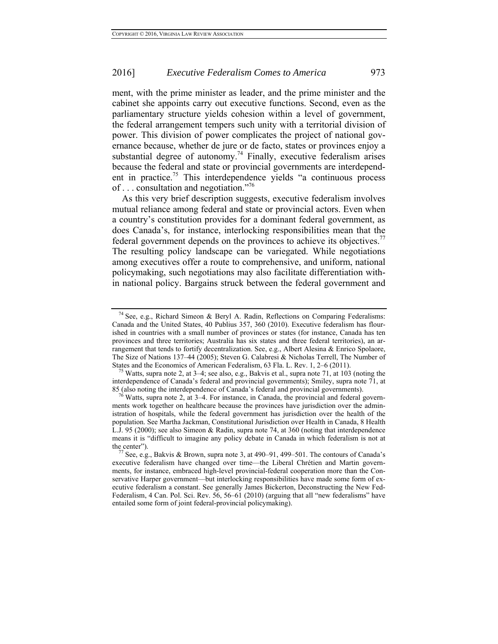ment, with the prime minister as leader, and the prime minister and the cabinet she appoints carry out executive functions. Second, even as the parliamentary structure yields cohesion within a level of government, the federal arrangement tempers such unity with a territorial division of power. This division of power complicates the project of national governance because, whether de jure or de facto, states or provinces enjoy a substantial degree of autonomy.<sup>74</sup> Finally, executive federalism arises because the federal and state or provincial governments are interdependent in practice.<sup>75</sup> This interdependence yields "a continuous process of . . . consultation and negotiation."76

As this very brief description suggests, executive federalism involves mutual reliance among federal and state or provincial actors. Even when a country's constitution provides for a dominant federal government, as does Canada's, for instance, interlocking responsibilities mean that the federal government depends on the provinces to achieve its objectives.<sup>77</sup> The resulting policy landscape can be variegated. While negotiations among executives offer a route to comprehensive, and uniform, national policymaking, such negotiations may also facilitate differentiation within national policy. Bargains struck between the federal government and

<sup>&</sup>lt;sup>74</sup> See, e.g., Richard Simeon & Beryl A. Radin, Reflections on Comparing Federalisms: Canada and the United States, 40 Publius 357, 360 (2010). Executive federalism has flourished in countries with a small number of provinces or states (for instance, Canada has ten provinces and three territories; Australia has six states and three federal territories), an arrangement that tends to fortify decentralization. See, e.g., Albert Alesina & Enrico Spolaore, The Size of Nations 137–44 (2005); Steven G. Calabresi & Nicholas Terrell, The Number of States and the Economics of American Federalism, 63 Fla. L. Rev. 1, 2–6 (2011).<br><sup>75</sup> Watts, supra note 2, at 3–4; see also, e.g., Bakvis et al., supra note 71, at 103 (noting the

interdependence of Canada's federal and provincial governments); Smiley, supra note 71, at

<sup>85 (</sup>also noting the interdependence of Canada's federal and provincial governments). <sup>76</sup> Watts, supra note 2, at 3–4. For instance, in Canada, the provincial and federal governments work together on healthcare because the provinces have jurisdiction over the administration of hospitals, while the federal government has jurisdiction over the health of the population. See Martha Jackman, Constitutional Jurisdiction over Health in Canada, 8 Health L.J. 95 (2000); see also Simeon & Radin, supra note 74, at 360 (noting that interdependence means it is "difficult to imagine any policy debate in Canada in which federalism is not at

the center").  $\frac{77}{7}$  See, e.g., Bakvis & Brown, supra note 3, at 490–91, 499–501. The contours of Canada's executive federalism have changed over time—the Liberal Chrétien and Martin governments, for instance, embraced high-level provincial-federal cooperation more than the Conservative Harper government—but interlocking responsibilities have made some form of executive federalism a constant. See generally James Bickerton, Deconstructing the New Fed-Federalism, 4 Can. Pol. Sci. Rev. 56, 56–61 (2010) (arguing that all "new federalisms" have entailed some form of joint federal-provincial policymaking).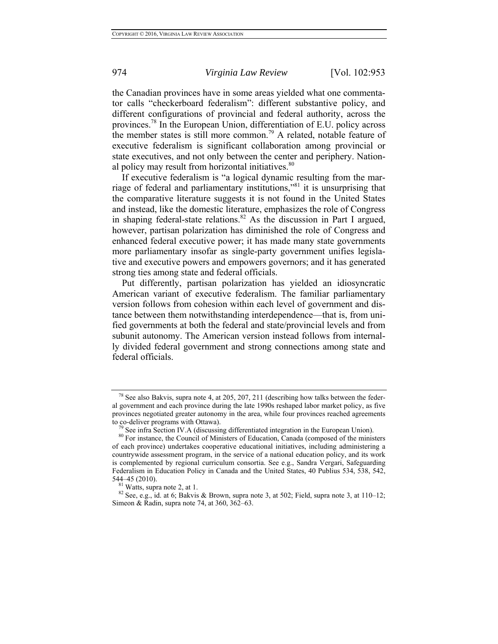the Canadian provinces have in some areas yielded what one commentator calls "checkerboard federalism": different substantive policy, and different configurations of provincial and federal authority, across the provinces.78 In the European Union, differentiation of E.U. policy across the member states is still more common.<sup>79</sup> A related, notable feature of executive federalism is significant collaboration among provincial or state executives, and not only between the center and periphery. National policy may result from horizontal initiatives.<sup>80</sup>

If executive federalism is "a logical dynamic resulting from the marriage of federal and parliamentary institutions,"81 it is unsurprising that the comparative literature suggests it is not found in the United States and instead, like the domestic literature, emphasizes the role of Congress in shaping federal-state relations.<sup>82</sup> As the discussion in Part I argued, however, partisan polarization has diminished the role of Congress and enhanced federal executive power; it has made many state governments more parliamentary insofar as single-party government unifies legislative and executive powers and empowers governors; and it has generated strong ties among state and federal officials.

Put differently, partisan polarization has yielded an idiosyncratic American variant of executive federalism. The familiar parliamentary version follows from cohesion within each level of government and distance between them notwithstanding interdependence—that is, from unified governments at both the federal and state/provincial levels and from subunit autonomy. The American version instead follows from internally divided federal government and strong connections among state and federal officials.

 $^{78}$  See also Bakvis, supra note 4, at 205, 207, 211 (describing how talks between the federal government and each province during the late 1990s reshaped labor market policy, as five provinces negotiated greater autonomy in the area, while four provinces reached agreements

to co-deliver programs with Ottawa).<br><sup>79</sup> See infra Section IV.A (discussing differentiated integration in the European Union).<br><sup>80</sup> For instance, the Council of Ministers of Education, Canada (composed of the ministers of each province) undertakes cooperative educational initiatives, including administering a countrywide assessment program, in the service of a national education policy, and its work is complemented by regional curriculum consortia. See e.g., Sandra Vergari, Safeguarding Federalism in Education Policy in Canada and the United States, 40 Publius 534, 538, 542,

<sup>544–45 (2010).&</sup>lt;br><sup>81</sup> Watts, supra note 2, at 1.<br><sup>82</sup> See, e.g., id. at 6; Bakvis & Brown, supra note 3, at 502; Field, supra note 3, at 110–12; Simeon & Radin, supra note 74, at 360, 362–63.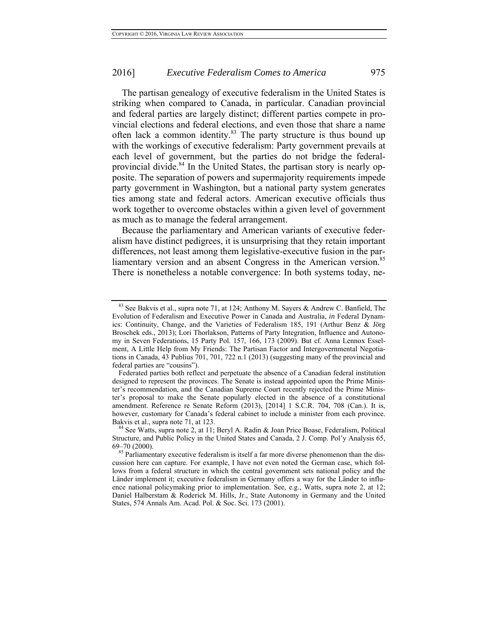The partisan genealogy of executive federalism in the United States is striking when compared to Canada, in particular. Canadian provincial and federal parties are largely distinct; different parties compete in provincial elections and federal elections, and even those that share a name often lack a common identity.<sup>83</sup> The party structure is thus bound up with the workings of executive federalism: Party government prevails at each level of government, but the parties do not bridge the federalprovincial divide.<sup>84</sup> In the United States, the partisan story is nearly opposite. The separation of powers and supermajority requirements impede party government in Washington, but a national party system generates ties among state and federal actors. American executive officials thus work together to overcome obstacles within a given level of government as much as to manage the federal arrangement.

Because the parliamentary and American variants of executive federalism have distinct pedigrees, it is unsurprising that they retain important differences, not least among them legislative-executive fusion in the parliamentary version and an absent Congress in the American version.<sup>85</sup> There is nonetheless a notable convergence: In both systems today, ne-

<sup>83</sup> See Bakvis et al., supra note 71, at 124; Anthony M. Sayers & Andrew C. Banfield, The Evolution of Federalism and Executive Power in Canada and Australia, *in* Federal Dynamics: Continuity, Change, and the Varieties of Federalism 185, 191 (Arthur Benz & Jörg Broschek eds., 2013); Lori Thorlakson, Patterns of Party Integration, Influence and Autonomy in Seven Federations, 15 Party Pol. 157, 166, 173 (2009). But cf. Anna Lennox Esselment, A Little Help from My Friends: The Partisan Factor and Intergovernmental Negotiations in Canada, 43 Publius 701, 701, 722 n.1 (2013) (suggesting many of the provincial and federal parties are "cousins").

Federated parties both reflect and perpetuate the absence of a Canadian federal institution designed to represent the provinces. The Senate is instead appointed upon the Prime Minister's recommendation, and the Canadian Supreme Court recently rejected the Prime Minister's proposal to make the Senate popularly elected in the absence of a constitutional amendment. Reference re Senate Reform (2013), [2014] 1 S.C.R. 704, 708 (Can.). It is, however, customary for Canada's federal cabinet to include a minister from each province.

Bakvis et al., supra note 71, at 123.<br><sup>84</sup> See Watts, supra note 2, at 11; Beryl A. Radin & Joan Price Boase, Federalism, Political Structure, and Public Policy in the United States and Canada, 2 J. Comp. Pol'y Analysis 65,

<sup>69–70 (2000).&</sup>lt;br><sup>85</sup> Parliamentary executive federalism is itself a far more diverse phenomenon than the discussion here can capture. For example, I have not even noted the German case, which follows from a federal structure in which the central government sets national policy and the Länder implement it; executive federalism in Germany offers a way for the Länder to influence national policymaking prior to implementation. See, e.g., Watts, supra note 2, at 12; Daniel Halberstam & Roderick M. Hills, Jr., State Autonomy in Germany and the United States, 574 Annals Am. Acad. Pol. & Soc. Sci. 173 (2001).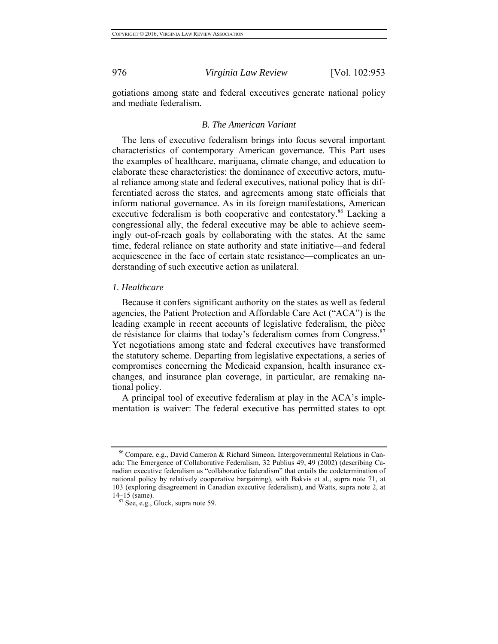gotiations among state and federal executives generate national policy and mediate federalism.

#### *B. The American Variant*

The lens of executive federalism brings into focus several important characteristics of contemporary American governance. This Part uses the examples of healthcare, marijuana, climate change, and education to elaborate these characteristics: the dominance of executive actors, mutual reliance among state and federal executives, national policy that is differentiated across the states, and agreements among state officials that inform national governance. As in its foreign manifestations, American executive federalism is both cooperative and contestatory.<sup>86</sup> Lacking a congressional ally, the federal executive may be able to achieve seemingly out-of-reach goals by collaborating with the states. At the same time, federal reliance on state authority and state initiative—and federal acquiescence in the face of certain state resistance—complicates an understanding of such executive action as unilateral.

#### *1. Healthcare*

Because it confers significant authority on the states as well as federal agencies, the Patient Protection and Affordable Care Act ("ACA") is the leading example in recent accounts of legislative federalism, the pièce de résistance for claims that today's federalism comes from Congress.<sup>87</sup> Yet negotiations among state and federal executives have transformed the statutory scheme. Departing from legislative expectations, a series of compromises concerning the Medicaid expansion, health insurance exchanges, and insurance plan coverage, in particular, are remaking national policy.

A principal tool of executive federalism at play in the ACA's implementation is waiver: The federal executive has permitted states to opt

<sup>86</sup> Compare, e.g., David Cameron & Richard Simeon, Intergovernmental Relations in Canada: The Emergence of Collaborative Federalism, 32 Publius 49, 49 (2002) (describing Canadian executive federalism as "collaborative federalism" that entails the codetermination of national policy by relatively cooperative bargaining), with Bakvis et al., supra note 71, at 103 (exploring disagreement in Canadian executive federalism), and Watts, supra note 2, at  $14-15$  (same).<br><sup>87</sup> See, e.g., Gluck, supra note 59.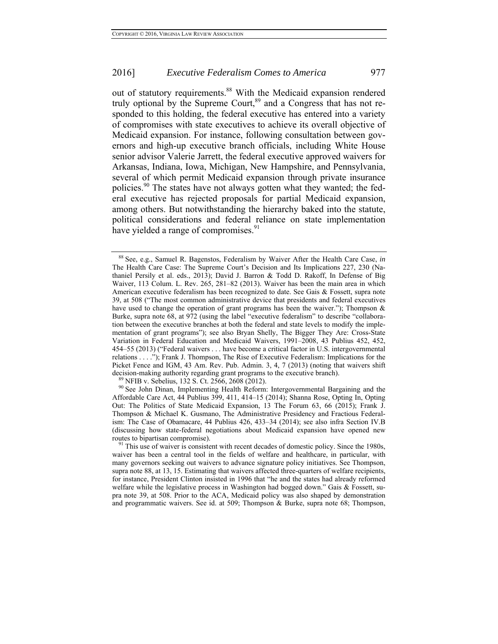out of statutory requirements.<sup>88</sup> With the Medicaid expansion rendered truly optional by the Supreme Court,<sup>89</sup> and a Congress that has not responded to this holding, the federal executive has entered into a variety of compromises with state executives to achieve its overall objective of Medicaid expansion. For instance, following consultation between governors and high-up executive branch officials, including White House senior advisor Valerie Jarrett, the federal executive approved waivers for Arkansas, Indiana, Iowa, Michigan, New Hampshire, and Pennsylvania, several of which permit Medicaid expansion through private insurance policies.<sup>90</sup> The states have not always gotten what they wanted; the federal executive has rejected proposals for partial Medicaid expansion, among others. But notwithstanding the hierarchy baked into the statute, political considerations and federal reliance on state implementation have yielded a range of compromises.<sup>91</sup>

<sup>88</sup> See, e.g., Samuel R. Bagenstos, Federalism by Waiver After the Health Care Case, *in* The Health Care Case: The Supreme Court's Decision and Its Implications 227, 230 (Nathaniel Persily et al. eds., 2013); David J. Barron & Todd D. Rakoff, In Defense of Big Waiver, 113 Colum. L. Rev. 265, 281–82 (2013). Waiver has been the main area in which American executive federalism has been recognized to date. See Gais & Fossett, supra note 39, at 508 ("The most common administrative device that presidents and federal executives have used to change the operation of grant programs has been the waiver."); Thompson & Burke, supra note 68, at 972 (using the label "executive federalism" to describe "collaboration between the executive branches at both the federal and state levels to modify the implementation of grant programs"); see also Bryan Shelly, The Bigger They Are: Cross-State Variation in Federal Education and Medicaid Waivers, 1991–2008, 43 Publius 452, 452, 454–55 (2013) ("Federal waivers . . . have become a critical factor in U.S. intergovernmental relations . . . ."); Frank J. Thompson, The Rise of Executive Federalism: Implications for the Picket Fence and IGM, 43 Am. Rev. Pub. Admin. 3, 4, 7 (2013) (noting that waivers shift decision-making authority regarding grant programs to the executive branch).<br><sup>89</sup> NFIB v. Sebelius, 132 S. Ct. 2566, 2608 (2012).<br><sup>90</sup> See John Dinan, Implementing Health Reform: Intergovernmental Bargaining and the

Affordable Care Act, 44 Publius 399, 411, 414–15 (2014); Shanna Rose, Opting In, Opting Out: The Politics of State Medicaid Expansion, 13 The Forum 63, 66 (2015); Frank J. Thompson & Michael K. Gusmano, The Administrative Presidency and Fractious Federalism: The Case of Obamacare, 44 Publius 426, 433–34 (2014); see also infra Section IV.B (discussing how state-federal negotiations about Medicaid expansion have opened new routes to bipartisan compromise).<br><sup>91</sup> This use of waiver is consistent with recent decades of domestic policy. Since the 1980s,

waiver has been a central tool in the fields of welfare and healthcare, in particular, with many governors seeking out waivers to advance signature policy initiatives. See Thompson, supra note 88, at 13, 15. Estimating that waivers affected three-quarters of welfare recipients, for instance, President Clinton insisted in 1996 that "he and the states had already reformed welfare while the legislative process in Washington had bogged down." Gais & Fossett, supra note 39, at 508. Prior to the ACA, Medicaid policy was also shaped by demonstration and programmatic waivers. See id. at 509; Thompson & Burke, supra note 68; Thompson,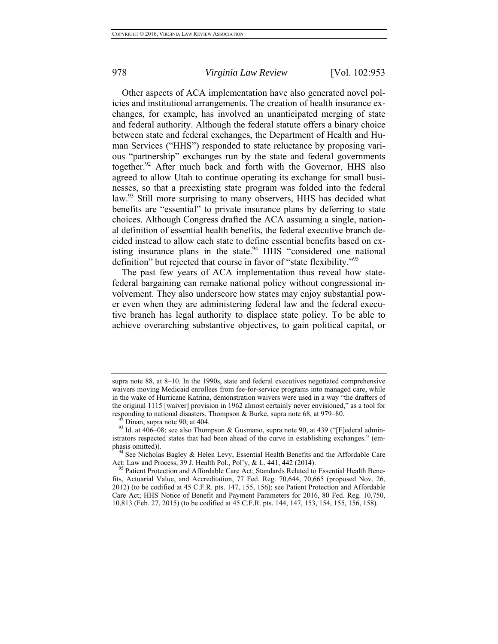Other aspects of ACA implementation have also generated novel policies and institutional arrangements. The creation of health insurance exchanges, for example, has involved an unanticipated merging of state and federal authority. Although the federal statute offers a binary choice between state and federal exchanges, the Department of Health and Human Services ("HHS") responded to state reluctance by proposing various "partnership" exchanges run by the state and federal governments together.<sup>92</sup> After much back and forth with the Governor, HHS also agreed to allow Utah to continue operating its exchange for small businesses, so that a preexisting state program was folded into the federal law.<sup>93</sup> Still more surprising to many observers, HHS has decided what benefits are "essential" to private insurance plans by deferring to state choices. Although Congress drafted the ACA assuming a single, national definition of essential health benefits, the federal executive branch decided instead to allow each state to define essential benefits based on existing insurance plans in the state.<sup>94</sup> HHS "considered one national definition" but rejected that course in favor of "state flexibility."<sup>95</sup>

The past few years of ACA implementation thus reveal how statefederal bargaining can remake national policy without congressional involvement. They also underscore how states may enjoy substantial power even when they are administering federal law and the federal executive branch has legal authority to displace state policy. To be able to achieve overarching substantive objectives, to gain political capital, or

supra note 88, at 8–10. In the 1990s, state and federal executives negotiated comprehensive waivers moving Medicaid enrollees from fee-for-service programs into managed care, while in the wake of Hurricane Katrina, demonstration waivers were used in a way "the drafters of the original 1115 [waiver] provision in 1962 almost certainly never envisioned," as a tool for

responding to national disasters. Thompson & Burke, supra note 68, at 979–80.<br><sup>92</sup> Dinan, supra note 90, at 404.<br><sup>93</sup> Id. at 406–08; see also Thompson & Gusmano, supra note 90, at 439 ("[F]ederal administrators respected states that had been ahead of the curve in establishing exchanges." (em-

phasis omitted)). <sup>94</sup> See Nicholas Bagley & Helen Levy, Essential Health Benefits and the Affordable Care Act: Law and Process, 39 J. Health Pol., Pol'y, & L. 441, 442 (2014).

<sup>&</sup>lt;sup>95</sup> Patient Protection and Affordable Care Act; Standards Related to Essential Health Benefits, Actuarial Value, and Accreditation, 77 Fed. Reg. 70,644, 70,665 (proposed Nov. 26, 2012) (to be codified at 45 C.F.R. pts. 147, 155, 156); see Patient Protection and Affordable Care Act; HHS Notice of Benefit and Payment Parameters for 2016, 80 Fed. Reg. 10,750, 10,813 (Feb. 27, 2015) (to be codified at 45 C.F.R. pts. 144, 147, 153, 154, 155, 156, 158).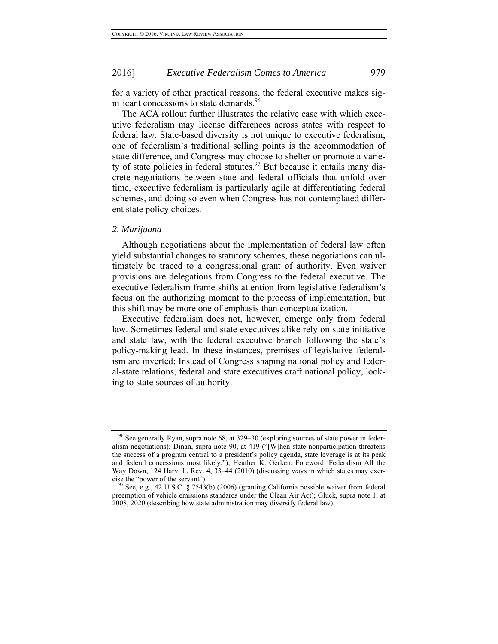for a variety of other practical reasons, the federal executive makes significant concessions to state demands.<sup>96</sup>

The ACA rollout further illustrates the relative ease with which executive federalism may license differences across states with respect to federal law. State-based diversity is not unique to executive federalism; one of federalism's traditional selling points is the accommodation of state difference, and Congress may choose to shelter or promote a variety of state policies in federal statutes.<sup>97</sup> But because it entails many discrete negotiations between state and federal officials that unfold over time, executive federalism is particularly agile at differentiating federal schemes, and doing so even when Congress has not contemplated different state policy choices.

#### *2. Marijuana*

Although negotiations about the implementation of federal law often yield substantial changes to statutory schemes, these negotiations can ultimately be traced to a congressional grant of authority. Even waiver provisions are delegations from Congress to the federal executive. The executive federalism frame shifts attention from legislative federalism's focus on the authorizing moment to the process of implementation, but this shift may be more one of emphasis than conceptualization.

Executive federalism does not, however, emerge only from federal law. Sometimes federal and state executives alike rely on state initiative and state law, with the federal executive branch following the state's policy-making lead. In these instances, premises of legislative federalism are inverted: Instead of Congress shaping national policy and federal-state relations, federal and state executives craft national policy, looking to state sources of authority.

<sup>96</sup> See generally Ryan, supra note 68, at 329–30 (exploring sources of state power in federalism negotiations); Dinan, supra note 90, at 419 ("[W]hen state nonparticipation threatens the success of a program central to a president's policy agenda, state leverage is at its peak and federal concessions most likely."); Heather K. Gerken, Foreword: Federalism All the Way Down, 124 Harv. L. Rev. 4, 33–44 (2010) (discussing ways in which states may exercise the "power of the servant").<br><sup>97</sup> See, e.g., 42 U.S.C. § 7543(b) (2006) (granting California possible waiver from federal

preemption of vehicle emissions standards under the Clean Air Act); Gluck, supra note 1, at 2008, 2020 (describing how state administration may diversify federal law).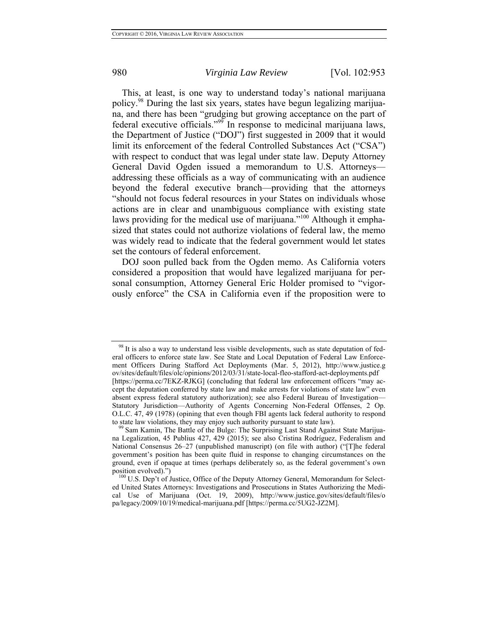This, at least, is one way to understand today's national marijuana policy.98 During the last six years, states have begun legalizing marijuana, and there has been "grudging but growing acceptance on the part of federal executive officials."99 In response to medicinal marijuana laws, the Department of Justice ("DOJ") first suggested in 2009 that it would limit its enforcement of the federal Controlled Substances Act ("CSA") with respect to conduct that was legal under state law. Deputy Attorney General David Ogden issued a memorandum to U.S. Attorneys addressing these officials as a way of communicating with an audience beyond the federal executive branch—providing that the attorneys "should not focus federal resources in your States on individuals whose actions are in clear and unambiguous compliance with existing state laws providing for the medical use of marijuana."<sup>100</sup> Although it emphasized that states could not authorize violations of federal law, the memo was widely read to indicate that the federal government would let states set the contours of federal enforcement.

DOJ soon pulled back from the Ogden memo. As California voters considered a proposition that would have legalized marijuana for personal consumption, Attorney General Eric Holder promised to "vigorously enforce" the CSA in California even if the proposition were to

 $98$  It is also a way to understand less visible developments, such as state deputation of federal officers to enforce state law. See State and Local Deputation of Federal Law Enforcement Officers During Stafford Act Deployments (Mar. 5, 2012), http://www.justice.g ov/sites/default/files/olc/opinions/2012/03/31/state-local-fleo-stafford-act-deployments.pdf [https://perma.cc/7EKZ-RJKG] (concluding that federal law enforcement officers "may accept the deputation conferred by state law and make arrests for violations of state law" even absent express federal statutory authorization); see also Federal Bureau of Investigation— Statutory Jurisdiction—Authority of Agents Concerning Non-Federal Offenses, 2 Op. O.L.C. 47, 49 (1978) (opining that even though FBI agents lack federal authority to respond to state law violations, they may enjoy such authority pursuant to state law).<br><sup>99</sup> Sam Kamin, The Battle of the Bulge: The Surprising Last Stand Against State Marijua-

na Legalization, 45 Publius 427, 429 (2015); see also Cristina Rodríguez, Federalism and National Consensus 26–27 (unpublished manuscript) (on file with author) ("[T]he federal government's position has been quite fluid in response to changing circumstances on the ground, even if opaque at times (perhaps deliberately so, as the federal government's own

<sup>&</sup>lt;sup>100</sup> U.S. Dep't of Justice, Office of the Deputy Attorney General, Memorandum for Selected United States Attorneys: Investigations and Prosecutions in States Authorizing the Medical Use of Marijuana (Oct. 19, 2009), http://www.justice.gov/sites/default/files/o pa/legacy/2009/10/19/medical-marijuana.pdf [https://perma.cc/5UG2-JZ2M].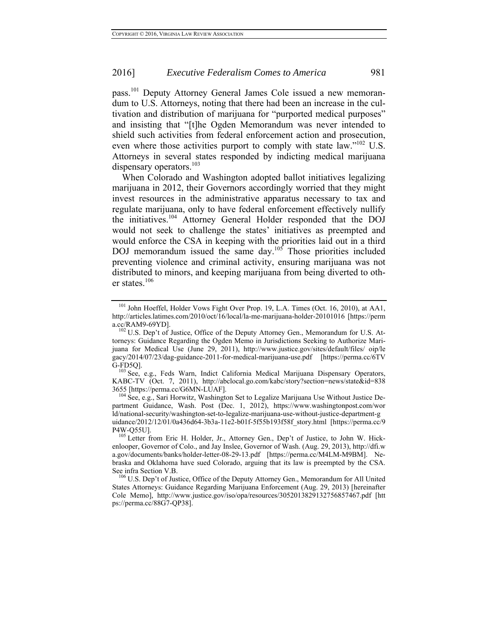pass.101 Deputy Attorney General James Cole issued a new memorandum to U.S. Attorneys, noting that there had been an increase in the cultivation and distribution of marijuana for "purported medical purposes" and insisting that "[t]he Ogden Memorandum was never intended to shield such activities from federal enforcement action and prosecution, even where those activities purport to comply with state law."<sup>102</sup> U.S. Attorneys in several states responded by indicting medical marijuana dispensary operators. $^{103}$ 

When Colorado and Washington adopted ballot initiatives legalizing marijuana in 2012, their Governors accordingly worried that they might invest resources in the administrative apparatus necessary to tax and regulate marijuana, only to have federal enforcement effectively nullify the initiatives.104 Attorney General Holder responded that the DOJ would not seek to challenge the states' initiatives as preempted and would enforce the CSA in keeping with the priorities laid out in a third DOJ memorandum issued the same day.<sup>105</sup> Those priorities included preventing violence and criminal activity, ensuring marijuana was not distributed to minors, and keeping marijuana from being diverted to other states.<sup>106</sup>

G-FD5Q].<br><sup>103</sup> See, e.g., Feds Warn, Indict California Medical Marijuana Dispensary Operators, KABC-TV (Oct. 7, 2011), http://abclocal.go.com/kabc/story?section=news/state&id=838 3655 [https://perma.cc/G6MN-LUAF]. 104 See, e.g., Sari Horwitz, Washington Set to Legalize Marijuana Use Without Justice De-

partment Guidance, Wash. Post (Dec. 1, 2012), https://www.washingtonpost.com/wor ld/national-security/washington-set-to-legalize-marijuana-use-without-justice-department-g uidance/2012/12/01/0a436d64-3b3a-11e2-b01f-5f55b193f58f\_story.html [https://perma.cc/9

<sup>&</sup>lt;sup>101</sup> John Hoeffel, Holder Vows Fight Over Prop. 19, L.A. Times (Oct. 16, 2010), at AA1, http://articles.latimes.com/2010/oct/16/local/la-me-marijuana-holder-20101016 [https://perm

<sup>&</sup>lt;sup>102</sup> U.S. Dep't of Justice, Office of the Deputy Attorney Gen., Memorandum for U.S. Attorneys: Guidance Regarding the Ogden Memo in Jurisdictions Seeking to Authorize Marijuana for Medical Use (June 29, 2011), http://www.justice.gov/sites/default/files/ oip/le gacy/2014/07/23/dag-guidance-2011-for-medical-marijuana-use.pdf [https://perma.cc/6TV

<sup>&</sup>lt;sup>105</sup> Letter from Eric H. Holder, Jr., Attorney Gen., Dep't of Justice, to John W. Hickenlooper, Governor of Colo., and Jay Inslee, Governor of Wash. (Aug. 29, 2013), http://dfi.w a.gov/documents/banks/holder-letter-08-29-13.pdf [https://perma.cc/M4LM-M9BM]. Nebraska and Oklahoma have sued Colorado, arguing that its law is preempted by the CSA.

<sup>&</sup>lt;sup>106</sup> U.S. Dep't of Justice, Office of the Deputy Attorney Gen., Memorandum for All United States Attorneys: Guidance Regarding Marijuana Enforcement (Aug. 29, 2013) [hereinafter Cole Memo], http://www.justice.gov/iso/opa/resources/3052013829132756857467.pdf [htt ps://perma.cc/88G7-QP38].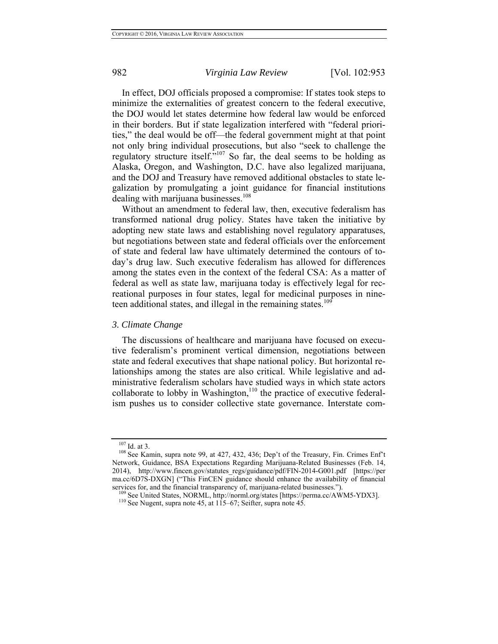In effect, DOJ officials proposed a compromise: If states took steps to minimize the externalities of greatest concern to the federal executive, the DOJ would let states determine how federal law would be enforced in their borders. But if state legalization interfered with "federal priorities," the deal would be off—the federal government might at that point not only bring individual prosecutions, but also "seek to challenge the regulatory structure itself. $\mathring{m}^{107}$  So far, the deal seems to be holding as Alaska, Oregon, and Washington, D.C. have also legalized marijuana, and the DOJ and Treasury have removed additional obstacles to state legalization by promulgating a joint guidance for financial institutions dealing with marijuana businesses.<sup>108</sup>

Without an amendment to federal law, then, executive federalism has transformed national drug policy. States have taken the initiative by adopting new state laws and establishing novel regulatory apparatuses, but negotiations between state and federal officials over the enforcement of state and federal law have ultimately determined the contours of today's drug law. Such executive federalism has allowed for differences among the states even in the context of the federal CSA: As a matter of federal as well as state law, marijuana today is effectively legal for recreational purposes in four states, legal for medicinal purposes in nineteen additional states, and illegal in the remaining states.<sup>109</sup>

#### *3. Climate Change*

The discussions of healthcare and marijuana have focused on executive federalism's prominent vertical dimension, negotiations between state and federal executives that shape national policy. But horizontal relationships among the states are also critical. While legislative and administrative federalism scholars have studied ways in which state actors collaborate to lobby in Washington,<sup>110</sup> the practice of executive federalism pushes us to consider collective state governance. Interstate com-

<sup>&</sup>lt;sup>107</sup> Id. at 3.<br><sup>108</sup> See Kamin, supra note 99, at 427, 432, 436; Dep't of the Treasury, Fin. Crimes Enf't Network, Guidance, BSA Expectations Regarding Marijuana-Related Businesses (Feb. 14, 2014), http://www.fincen.gov/statutes\_regs/guidance/pdf/FIN-2014-G001.pdf [https://per ma.cc/6D7S-DXGN] ("This FinCEN guidance should enhance the availability of financial services for, and the financial transparency of, marijuana-related businesses.").<br><sup>109</sup> See United States, NORML, http://norml.org/states [https://perma.cc/AWM5-YDX3].<br><sup>110</sup> See Nugent, supra note 45, at 115–67; Seifter, s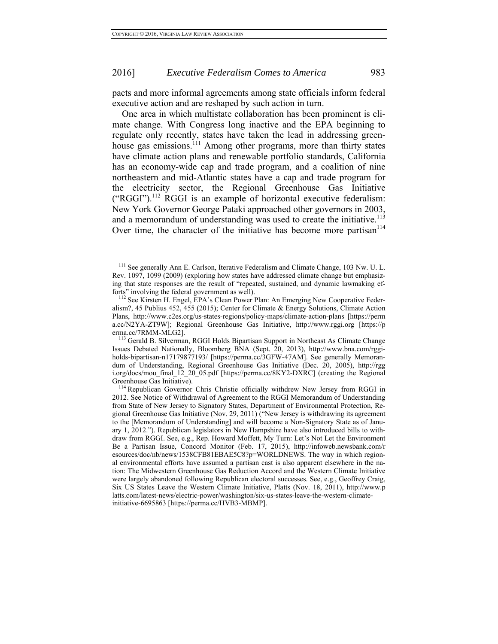pacts and more informal agreements among state officials inform federal executive action and are reshaped by such action in turn.

One area in which multistate collaboration has been prominent is climate change. With Congress long inactive and the EPA beginning to regulate only recently, states have taken the lead in addressing greenhouse gas emissions.<sup>111</sup> Among other programs, more than thirty states have climate action plans and renewable portfolio standards, California has an economy-wide cap and trade program, and a coalition of nine northeastern and mid-Atlantic states have a cap and trade program for the electricity sector, the Regional Greenhouse Gas Initiative  $("RGGI").<sup>112</sup> RGGI is an example of horizontal executive federalism:$ New York Governor George Pataki approached other governors in 2003, and a memorandum of understanding was used to create the initiative.<sup>113</sup> Over time, the character of the initiative has become more partisan $114$ 

<sup>111</sup> See generally Ann E. Carlson, Iterative Federalism and Climate Change, 103 Nw. U. L. Rev. 1097, 1099 (2009) (exploring how states have addressed climate change but emphasizing that state responses are the result of "repeated, sustained, and dynamic lawmaking ef-<br>forts" involving the federal government as well).

<sup>&</sup>lt;sup>112</sup> See Kirsten H. Engel, EPA's Clean Power Plan: An Emerging New Cooperative Federalism?, 45 Publius 452, 455 (2015); Center for Climate & Energy Solutions, Climate Action Plans, http://www.c2es.org/us-states-regions/policy-maps/climate-action-plans [https://perm a.cc/N2YA-ZT9W]; Regional Greenhouse Gas Initiative, http://www.rggi.org [https://p

erma.cc/7RMM-MLG2].<br><sup>113</sup> Gerald B. Silverman, RGGI Holds Bipartisan Support in Northeast As Climate Change Issues Debated Nationally, Bloomberg BNA (Sept. 20, 2013), http://www.bna.com/rggiholds-bipartisan-n17179877193/ [https://perma.cc/3GFW-47AM]. See generally Memorandum of Understanding, Regional Greenhouse Gas Initiative (Dec. 20, 2005), http://rgg i.org/docs/mou\_final\_12\_20\_05.pdf [https://perma.cc/8KY2-DXRC] (creating the Regional

Greenhouse Gas Initiative).<br><sup>114</sup> Republican Governor Chris Christie officially withdrew New Jersey from RGGI in 2012. See Notice of Withdrawal of Agreement to the RGGI Memorandum of Understanding from State of New Jersey to Signatory States, Department of Environmental Protection, Regional Greenhouse Gas Initiative (Nov. 29, 2011) ("New Jersey is withdrawing its agreement to the [Memorandum of Understanding] and will become a Non-Signatory State as of January 1, 2012."). Republican legislators in New Hampshire have also introduced bills to withdraw from RGGI. See, e.g., Rep. Howard Moffett, My Turn: Let's Not Let the Environment Be a Partisan Issue, Concord Monitor (Feb. 17, 2015), http://infoweb.newsbank.com/r esources/doc/nb/news/1538CFB81EBAE5C8?p=WORLDNEWS. The way in which regional environmental efforts have assumed a partisan cast is also apparent elsewhere in the nation: The Midwestern Greenhouse Gas Reduction Accord and the Western Climate Initiative were largely abandoned following Republican electoral successes. See, e.g., Geoffrey Craig, Six US States Leave the Western Climate Initiative, Platts (Nov. 18, 2011), http://www.p latts.com/latest-news/electric-power/washington/six-us-states-leave-the-western-climateinitiative-6695863 [https://perma.cc/HVB3-MBMP].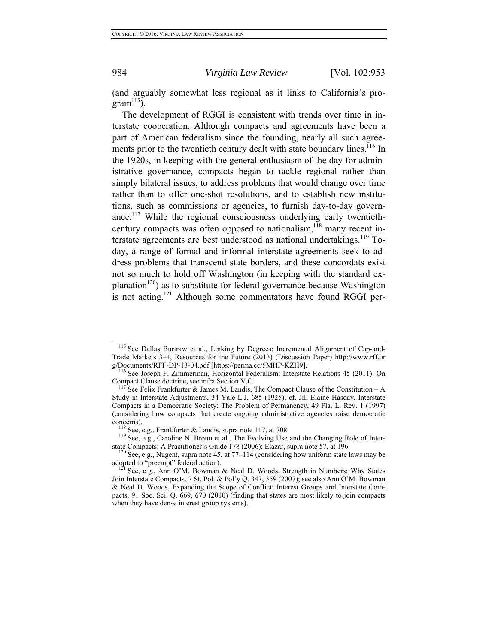(and arguably somewhat less regional as it links to California's pro $gram<sup>115</sup>$ ).

The development of RGGI is consistent with trends over time in interstate cooperation. Although compacts and agreements have been a part of American federalism since the founding, nearly all such agreements prior to the twentieth century dealt with state boundary lines.<sup>116</sup> In the 1920s, in keeping with the general enthusiasm of the day for administrative governance, compacts began to tackle regional rather than simply bilateral issues, to address problems that would change over time rather than to offer one-shot resolutions, and to establish new institutions, such as commissions or agencies, to furnish day-to-day governance.117 While the regional consciousness underlying early twentiethcentury compacts was often opposed to nationalism, $118$  many recent interstate agreements are best understood as national undertakings.<sup>119</sup> Today, a range of formal and informal interstate agreements seek to address problems that transcend state borders, and these concordats exist not so much to hold off Washington (in keeping with the standard explanation<sup>120</sup>) as to substitute for federal governance because Washington is not acting.<sup>121</sup> Although some commentators have found RGGI per-

<sup>&</sup>lt;sup>115</sup> See Dallas Burtraw et al., Linking by Degrees: Incremental Alignment of Cap-and-Trade Markets 3–4, Resources for the Future (2013) (Discussion Paper) http://www.rff.or

 $\frac{116}{116}$  See Joseph F. Zimmerman, Horizontal Federalism: Interstate Relations 45 (2011). On Compact Clause doctrine, see infra Section V.C.

<sup>&</sup>lt;sup>117</sup> See Felix Frankfurter & James M. Landis, The Compact Clause of the Constitution – A Study in Interstate Adjustments, 34 Yale L.J. 685 (1925); cf. Jill Elaine Hasday, Interstate Compacts in a Democratic Society: The Problem of Permanency, 49 Fla. L. Rev. 1 (1997) (considering how compacts that create ongoing administrative agencies raise democratic

concerns). <sup>118</sup> See, e.g., Frankfurter & Landis, supra note 117, at 708. <sup>118</sup> See, e.g., Caroline N. Broun et al., The Evolving Use and the Changing Role of Inter-

state Compacts: A Practitioner's Guide 178 (2006); Elazar, supra note 57, at 196.<br><sup>120</sup> See, e.g., Nugent, supra note 45, at 77–114 (considering how uniform state laws may be adopted to "preempt" federal action).

 $121$  See, e.g., Ann O'M. Bowman & Neal D. Woods, Strength in Numbers: Why States Join Interstate Compacts, 7 St. Pol. & Pol'y Q. 347, 359 (2007); see also Ann O'M. Bowman & Neal D. Woods, Expanding the Scope of Conflict: Interest Groups and Interstate Compacts, 91 Soc. Sci. Q. 669, 670 (2010) (finding that states are most likely to join compacts when they have dense interest group systems).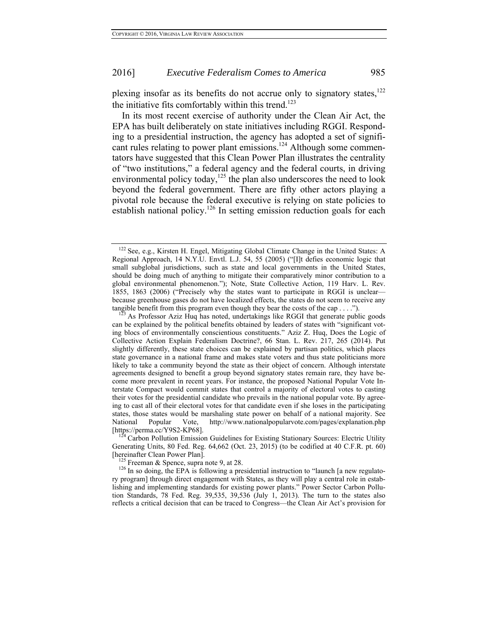plexing insofar as its benefits do not accrue only to signatory states, $122$ the initiative fits comfortably within this trend.<sup>123</sup>

In its most recent exercise of authority under the Clean Air Act, the EPA has built deliberately on state initiatives including RGGI. Responding to a presidential instruction, the agency has adopted a set of significant rules relating to power plant emissions.<sup>124</sup> Although some commentators have suggested that this Clean Power Plan illustrates the centrality of "two institutions," a federal agency and the federal courts, in driving environmental policy today, $125$  the plan also underscores the need to look beyond the federal government. There are fifty other actors playing a pivotal role because the federal executive is relying on state policies to establish national policy.<sup>126</sup> In setting emission reduction goals for each

Generating Units, 80 Fed. Reg. 64,662 (Oct. 23, 2015) (to be codified at 40 C.F.R. pt. 60) [hereinafter Clean Power Plan].<br><sup>125</sup> Freeman & Spence, supra note 9, at 28.<br><sup>126</sup> In so doing, the EPA is following a presidential instruction to "launch [a new regulato-

ry program] through direct engagement with States, as they will play a central role in establishing and implementing standards for existing power plants." Power Sector Carbon Pollution Standards, 78 Fed. Reg. 39,535, 39,536 (July 1, 2013). The turn to the states also reflects a critical decision that can be traced to Congress—the Clean Air Act's provision for

<sup>122</sup> See, e.g., Kirsten H. Engel, Mitigating Global Climate Change in the United States: A Regional Approach, 14 N.Y.U. Envtl. L.J. 54, 55 (2005) ("[I]t defies economic logic that small subglobal jurisdictions, such as state and local governments in the United States, should be doing much of anything to mitigate their comparatively minor contribution to a global environmental phenomenon."); Note, State Collective Action, 119 Harv. L. Rev. 1855, 1863 (2006) ("Precisely why the states want to participate in RGGI is unclear because greenhouse gases do not have localized effects, the states do not seem to receive any tangible benefit from this program even though they bear the costs of the cap . . . ."). <sup>123</sup> As Professor Aziz Huq has noted, undertakings like RGGI that generate public goods

can be explained by the political benefits obtained by leaders of states with "significant voting blocs of environmentally conscientious constituents." Aziz Z. Huq, Does the Logic of Collective Action Explain Federalism Doctrine?, 66 Stan. L. Rev. 217, 265 (2014). Put slightly differently, these state choices can be explained by partisan politics, which places state governance in a national frame and makes state voters and thus state politicians more likely to take a community beyond the state as their object of concern. Although interstate agreements designed to benefit a group beyond signatory states remain rare, they have become more prevalent in recent years. For instance, the proposed National Popular Vote Interstate Compact would commit states that control a majority of electoral votes to casting their votes for the presidential candidate who prevails in the national popular vote. By agreeing to cast all of their electoral votes for that candidate even if she loses in the participating states, those states would be marshaling state power on behalf of a national majority. See National Popular Vote, http://www.nationalpopularvote.com/pages/explanation.php [https://perma.cc/Y9S2-KP68]. 124 Carbon Pollution Emission Guidelines for Existing Stationary Sources: Electric Utility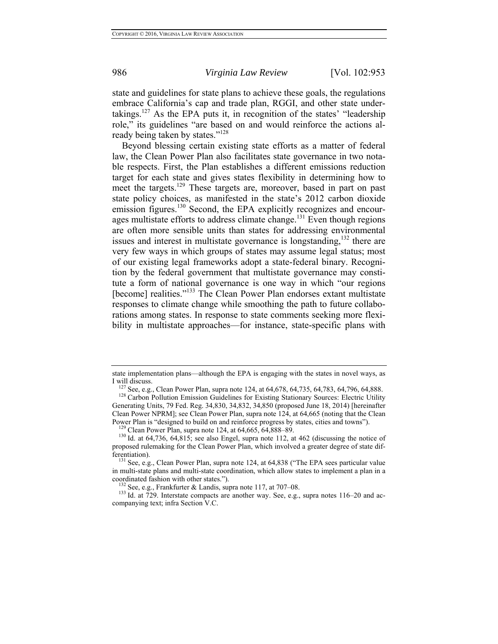state and guidelines for state plans to achieve these goals, the regulations embrace California's cap and trade plan, RGGI, and other state undertakings.<sup>127</sup> As the EPA puts it, in recognition of the states' "leadership role," its guidelines "are based on and would reinforce the actions already being taken by states."<sup>128</sup>

Beyond blessing certain existing state efforts as a matter of federal law, the Clean Power Plan also facilitates state governance in two notable respects. First, the Plan establishes a different emissions reduction target for each state and gives states flexibility in determining how to meet the targets.<sup>129</sup> These targets are, moreover, based in part on past state policy choices, as manifested in the state's 2012 carbon dioxide emission figures.<sup>130</sup> Second, the EPA explicitly recognizes and encourages multistate efforts to address climate change.<sup>131</sup> Even though regions are often more sensible units than states for addressing environmental issues and interest in multistate governance is longstanding,  $132$  there are very few ways in which groups of states may assume legal status; most of our existing legal frameworks adopt a state-federal binary. Recognition by the federal government that multistate governance may constitute a form of national governance is one way in which "our regions [become] realities."<sup>133</sup> The Clean Power Plan endorses extant multistate responses to climate change while smoothing the path to future collaborations among states. In response to state comments seeking more flexibility in multistate approaches—for instance, state-specific plans with

state implementation plans—although the EPA is engaging with the states in novel ways, as I will discuss.<br><sup>127</sup> See, e.g., Clean Power Plan, supra note 124, at 64,678, 64,735, 64,783, 64,796, 64,888.<br><sup>128</sup> Carbon Pollution Emission Guidelines for Existing Stationary Sources: Electric Utility

Generating Units, 79 Fed. Reg. 34,830, 34,832, 34,850 (proposed June 18, 2014) [hereinafter Clean Power NPRM]; see Clean Power Plan, supra note 124, at 64,665 (noting that the Clean Power Plan is "designed to build on and reinforce progress by states, cities and towns").<br><sup>129</sup> Clean Power Plan, supra note 124, at 64,665, 64,888–89.<br><sup>130</sup> Id. at 64,736, 64,815; see also Engel, supra note 112, at 462 (d

proposed rulemaking for the Clean Power Plan, which involved a greater degree of state differentiation). <sup>131</sup> See, e.g., Clean Power Plan, supra note 124, at 64,838 ("The EPA sees particular value

in multi-state plans and multi-state coordination, which allow states to implement a plan in a

<sup>&</sup>lt;sup>132</sup> See, e.g., Frankfurter & Landis, supra note 117, at 707–08.  $\frac{133 \text{ Id. at } 729. \text{ Interest}}{429. \text{ Interest}}$  Id. at 729. Interstate compacts are another way. See, e.g., supra notes 116–20 and accompanying text; infra Section V.C.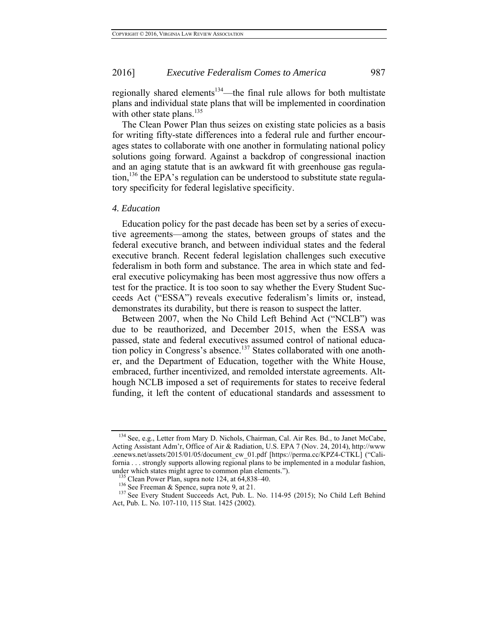regionally shared elements<sup>134</sup>—the final rule allows for both multistate plans and individual state plans that will be implemented in coordination with other state plans. $^{135}$ 

The Clean Power Plan thus seizes on existing state policies as a basis for writing fifty-state differences into a federal rule and further encourages states to collaborate with one another in formulating national policy solutions going forward. Against a backdrop of congressional inaction and an aging statute that is an awkward fit with greenhouse gas regulation,<sup>136</sup> the EPA's regulation can be understood to substitute state regulatory specificity for federal legislative specificity.

#### *4. Education*

Education policy for the past decade has been set by a series of executive agreements—among the states, between groups of states and the federal executive branch, and between individual states and the federal executive branch. Recent federal legislation challenges such executive federalism in both form and substance. The area in which state and federal executive policymaking has been most aggressive thus now offers a test for the practice. It is too soon to say whether the Every Student Succeeds Act ("ESSA") reveals executive federalism's limits or, instead, demonstrates its durability, but there is reason to suspect the latter.

Between 2007, when the No Child Left Behind Act ("NCLB") was due to be reauthorized, and December 2015, when the ESSA was passed, state and federal executives assumed control of national education policy in Congress's absence.<sup>137</sup> States collaborated with one another, and the Department of Education, together with the White House, embraced, further incentivized, and remolded interstate agreements. Although NCLB imposed a set of requirements for states to receive federal funding, it left the content of educational standards and assessment to

<sup>134</sup> See, e.g., Letter from Mary D. Nichols, Chairman, Cal. Air Res. Bd., to Janet McCabe, Acting Assistant Adm'r, Office of Air & Radiation, U.S. EPA 7 (Nov. 24, 2014), http://www .eenews.net/assets/2015/01/05/document\_cw\_01.pdf [https://perma.cc/KPZ4-CTKL] ("California . . . strongly supports allowing regional plans to be implemented in a modular fashion, under which states might agree to common plan elements.").<br>
<sup>135</sup> Clean Power Plan, supra note 124, at 64,838–40.<br>
<sup>136</sup> See Freeman & Spence, supra note 9, at 21.<br>
<sup>137</sup> See Every Student Succeeds Act, Pub. L. No. 114-95

Act, Pub. L. No. 107-110, 115 Stat. 1425 (2002).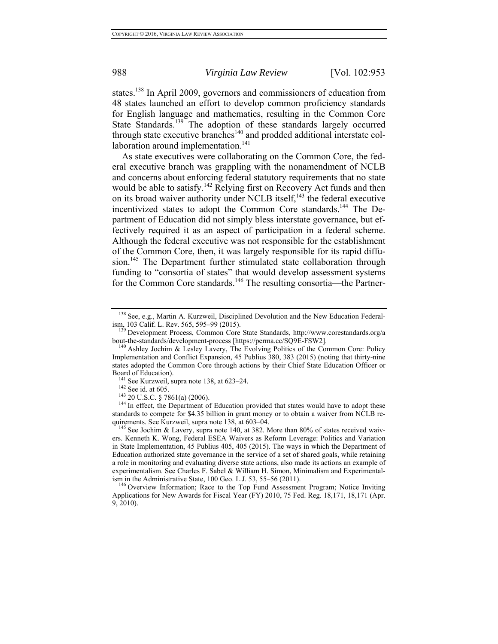states.138 In April 2009, governors and commissioners of education from 48 states launched an effort to develop common proficiency standards for English language and mathematics, resulting in the Common Core State Standards.<sup>139</sup> The adoption of these standards largely occurred through state executive branches<sup>140</sup> and prodded additional interstate collaboration around implementation. $141$ 

As state executives were collaborating on the Common Core, the federal executive branch was grappling with the nonamendment of NCLB and concerns about enforcing federal statutory requirements that no state would be able to satisfy.<sup>142</sup> Relying first on Recovery Act funds and then on its broad waiver authority under NCLB itself, $143$  the federal executive incentivized states to adopt the Common Core standards.<sup>144</sup> The Department of Education did not simply bless interstate governance, but effectively required it as an aspect of participation in a federal scheme. Although the federal executive was not responsible for the establishment of the Common Core, then, it was largely responsible for its rapid diffusion.<sup>145</sup> The Department further stimulated state collaboration through funding to "consortia of states" that would develop assessment systems for the Common Core standards.<sup>146</sup> The resulting consortia—the Partner-

 $138$  See, e.g., Martin A. Kurzweil, Disciplined Devolution and the New Education Federal-<br>ism, 103 Calif. L. Rev. 565, 595–99 (2015).

<sup>&</sup>lt;sup>139</sup> Development Process, Common Core State Standards, http://www.corestandards.org/a

bout-the-standards/development-process [https://perma.cc/SQ9E-FSW2].<br><sup>140</sup> Ashley Jochim & Lesley Lavery, The Evolving Politics of the Common Core: Policy Implementation and Conflict Expansion, 45 Publius 380, 383 (2015) (noting that thirty-nine states adopted the Common Core through actions by their Chief State Education Officer or Board of Education).<br><sup>141</sup> See Kurzweil, supra note 138, at 623–24.<br><sup>142</sup> See id. at 605.<br><sup>143</sup> 20 U.S.C. § 7861(a) (2006).<br><sup>144</sup> In effect, the Department of Education provided that states would have to adopt these

standards to compete for \$4.35 billion in grant money or to obtain a waiver from NCLB requirements. See Kurzweil, supra note 138, at 603–04.<br><sup>145</sup> See Jochim & Lavery, supra note 140, at 382. More than 80% of states received waiv-

ers. Kenneth K. Wong, Federal ESEA Waivers as Reform Leverage: Politics and Variation in State Implementation, 45 Publius 405, 405 (2015). The ways in which the Department of Education authorized state governance in the service of a set of shared goals, while retaining a role in monitoring and evaluating diverse state actions, also made its actions an example of experimentalism. See Charles F. Sabel & William H. Simon, Minimalism and Experimental-<br>ism in the Administrative State, 100 Geo. L.J. 53, 55–56 (2011).

<sup>&</sup>lt;sup>146</sup> Overview Information; Race to the Top Fund Assessment Program; Notice Inviting Applications for New Awards for Fiscal Year (FY) 2010, 75 Fed. Reg. 18,171, 18,171 (Apr. 9, 2010).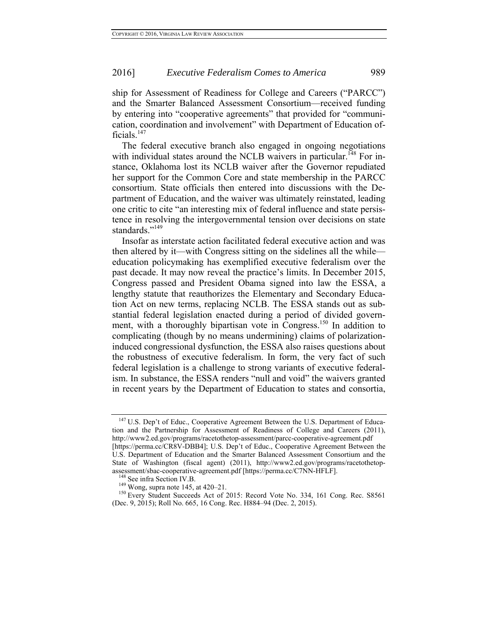ship for Assessment of Readiness for College and Careers ("PARCC") and the Smarter Balanced Assessment Consortium—received funding by entering into "cooperative agreements" that provided for "communication, coordination and involvement" with Department of Education officials.147

The federal executive branch also engaged in ongoing negotiations with individual states around the NCLB waivers in particular.<sup>148</sup> For instance, Oklahoma lost its NCLB waiver after the Governor repudiated her support for the Common Core and state membership in the PARCC consortium. State officials then entered into discussions with the Department of Education, and the waiver was ultimately reinstated, leading one critic to cite "an interesting mix of federal influence and state persistence in resolving the intergovernmental tension over decisions on state standards."<sup>149</sup>

Insofar as interstate action facilitated federal executive action and was then altered by it—with Congress sitting on the sidelines all the while education policymaking has exemplified executive federalism over the past decade. It may now reveal the practice's limits. In December 2015, Congress passed and President Obama signed into law the ESSA, a lengthy statute that reauthorizes the Elementary and Secondary Education Act on new terms, replacing NCLB. The ESSA stands out as substantial federal legislation enacted during a period of divided government, with a thoroughly bipartisan vote in Congress.<sup>150</sup> In addition to complicating (though by no means undermining) claims of polarizationinduced congressional dysfunction, the ESSA also raises questions about the robustness of executive federalism. In form, the very fact of such federal legislation is a challenge to strong variants of executive federalism. In substance, the ESSA renders "null and void" the waivers granted in recent years by the Department of Education to states and consortia,

<sup>&</sup>lt;sup>147</sup> U.S. Dep't of Educ., Cooperative Agreement Between the U.S. Department of Education and the Partnership for Assessment of Readiness of College and Careers (2011), http://www2.ed.gov/programs/racetothetop-assessment/parcc-cooperative-agreement.pdf [https://perma.cc/CR8V-DBB4]; U.S. Dep't of Educ., Cooperative Agreement Between the

U.S. Department of Education and the Smarter Balanced Assessment Consortium and the State of Washington (fiscal agent) (2011), http://www2.ed.gov/programs/racetothetopassessment/sbac-cooperative-agreement.pdf [https://perma.cc/C7NN-HFLF].<br><sup>148</sup> See infra Section IV.B.<br><sup>149</sup> Wong, supra note 145, at 420–21.<br><sup>150</sup> Every Student Succeeds Act of 2015: Record Vote No. 334, 161 Cong. Rec. S85

<sup>(</sup>Dec. 9, 2015); Roll No. 665, 16 Cong. Rec. H884–94 (Dec. 2, 2015).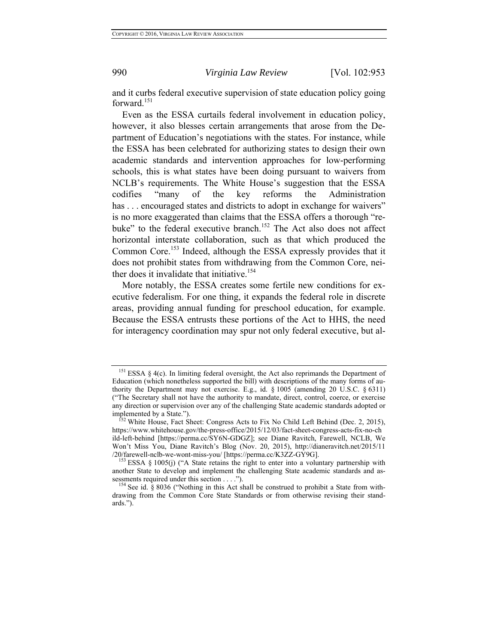and it curbs federal executive supervision of state education policy going forward.<sup>151</sup>

Even as the ESSA curtails federal involvement in education policy, however, it also blesses certain arrangements that arose from the Department of Education's negotiations with the states. For instance, while the ESSA has been celebrated for authorizing states to design their own academic standards and intervention approaches for low-performing schools, this is what states have been doing pursuant to waivers from NCLB's requirements. The White House's suggestion that the ESSA codifies "many of the key reforms the Administration has ... encouraged states and districts to adopt in exchange for waivers" is no more exaggerated than claims that the ESSA offers a thorough "rebuke" to the federal executive branch.<sup>152</sup> The Act also does not affect horizontal interstate collaboration, such as that which produced the Common Core.<sup>153</sup> Indeed, although the ESSA expressly provides that it does not prohibit states from withdrawing from the Common Core, neither does it invalidate that initiative.<sup>154</sup>

More notably, the ESSA creates some fertile new conditions for executive federalism. For one thing, it expands the federal role in discrete areas, providing annual funding for preschool education, for example. Because the ESSA entrusts these portions of the Act to HHS, the need for interagency coordination may spur not only federal executive, but al-

<sup>&</sup>lt;sup>151</sup> ESSA § 4(c). In limiting federal oversight, the Act also reprimands the Department of Education (which nonetheless supported the bill) with descriptions of the many forms of authority the Department may not exercise. E.g., id. § 1005 (amending 20 U.S.C. § 6311) ("The Secretary shall not have the authority to mandate, direct, control, coerce, or exercise any direction or supervision over any of the challenging State academic standards adopted or implemented by a State.").<br><sup>152</sup> White House, Fact Sheet: Congress Acts to Fix No Child Left Behind (Dec. 2, 2015),

https://www.whitehouse.gov/the-press-office/2015/12/03/fact-sheet-congress-acts-fix-no-ch ild-left-behind [https://perma.cc/SY6N-GDGZ]; see Diane Ravitch, Farewell, NCLB, We Won't Miss You, Diane Ravitch's Blog (Nov. 20, 2015), http://dianeravitch.net/2015/11 /20/farewell-nclb-we-wont-miss-you/ [https://perma.cc/K3ZZ-GY9G]. 153 ESSA § 1005(j) ("A State retains the right to enter into a voluntary partnership with

another State to develop and implement the challenging State academic standards and assessments required under this section . . . . ").

<sup>&</sup>lt;sup>154</sup> See id. § 8036 ("Nothing in this Act shall be construed to prohibit a State from withdrawing from the Common Core State Standards or from otherwise revising their standards.").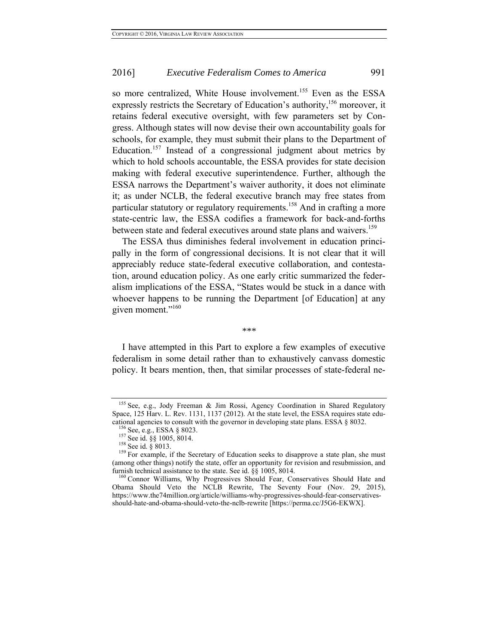so more centralized, White House involvement.<sup>155</sup> Even as the ESSA expressly restricts the Secretary of Education's authority,<sup>156</sup> moreover, it retains federal executive oversight, with few parameters set by Congress. Although states will now devise their own accountability goals for schools, for example, they must submit their plans to the Department of Education.<sup>157</sup> Instead of a congressional judgment about metrics by which to hold schools accountable, the ESSA provides for state decision making with federal executive superintendence. Further, although the ESSA narrows the Department's waiver authority, it does not eliminate it; as under NCLB, the federal executive branch may free states from particular statutory or regulatory requirements.<sup>158</sup> And in crafting a more state-centric law, the ESSA codifies a framework for back-and-forths between state and federal executives around state plans and waivers.<sup>159</sup>

The ESSA thus diminishes federal involvement in education principally in the form of congressional decisions. It is not clear that it will appreciably reduce state-federal executive collaboration, and contestation, around education policy. As one early critic summarized the federalism implications of the ESSA, "States would be stuck in a dance with whoever happens to be running the Department [of Education] at any given moment."<sup>160</sup>

*\*\*\** 

I have attempted in this Part to explore a few examples of executive federalism in some detail rather than to exhaustively canvass domestic policy. It bears mention, then, that similar processes of state-federal ne-

<sup>&</sup>lt;sup>155</sup> See, e.g., Jody Freeman & Jim Rossi, Agency Coordination in Shared Regulatory Space, 125 Harv. L. Rev. 1131, 1137 (2012). At the state level, the ESSA requires state educational agencies to consult with the governor in developing state plans. ESSA § 8032.<br><sup>156</sup> See, e.g., ESSA § 8023.<br><sup>157</sup> See id. §§ 1005, 8014.<br><sup>158</sup> See id. § 8013.<br><sup>158</sup> See id. § 8013.<br><sup>158</sup> For example, if the Secre

<sup>(</sup>among other things) notify the state, offer an opportunity for revision and resubmission, and furnish technical assistance to the state. See id.  $\S$ § 1005, 8014.<br><sup>160</sup> Connor Williams, Why Progressives Should Fear, Conservatives Should Hate and

Obama Should Veto the NCLB Rewrite, The Seventy Four (Nov. 29, 2015), https://www.the74million.org/article/williams-why-progressives-should-fear-conservativesshould-hate-and-obama-should-veto-the-nclb-rewrite [https://perma.cc/J5G6-EKWX].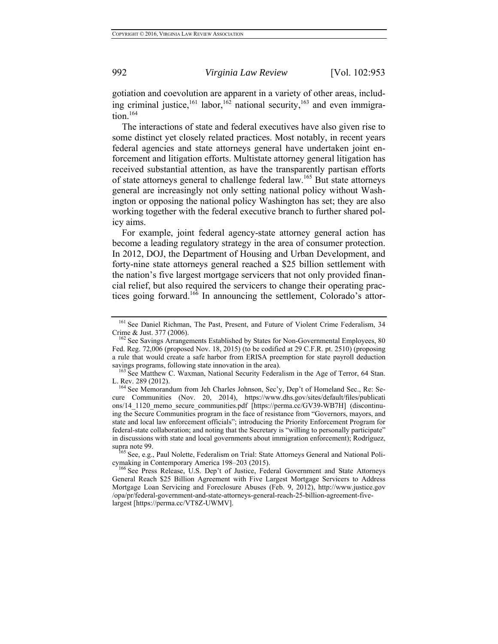gotiation and coevolution are apparent in a variety of other areas, including criminal justice,<sup>161</sup> labor,<sup>162</sup> national security,<sup>163</sup> and even immigration.<sup>164</sup>

The interactions of state and federal executives have also given rise to some distinct yet closely related practices. Most notably, in recent years federal agencies and state attorneys general have undertaken joint enforcement and litigation efforts. Multistate attorney general litigation has received substantial attention, as have the transparently partisan efforts of state attorneys general to challenge federal law.165 But state attorneys general are increasingly not only setting national policy without Washington or opposing the national policy Washington has set; they are also working together with the federal executive branch to further shared policy aims.

For example, joint federal agency-state attorney general action has become a leading regulatory strategy in the area of consumer protection. In 2012, DOJ, the Department of Housing and Urban Development, and forty-nine state attorneys general reached a \$25 billion settlement with the nation's five largest mortgage servicers that not only provided financial relief, but also required the servicers to change their operating practices going forward.<sup>166</sup> In announcing the settlement, Colorado's attor-

<sup>&</sup>lt;sup>161</sup> See Daniel Richman, The Past, Present, and Future of Violent Crime Federalism, 34

Crime & Just. 377 (2006). 162 See Savings Arrangements Established by States for Non-Governmental Employees, 80 Fed. Reg. 72,006 (proposed Nov. 18, 2015) (to be codified at 29 C.F.R. pt. 2510) (proposing a rule that would create a safe harbor from ERISA preemption for state payroll deduction

savings programs, following state innovation in the area).<br><sup>163</sup> See Matthew C. Waxman, National Security Federalism in the Age of Terror, 64 Stan.

L. Rev. 289 (2012).<br><sup>164</sup> See Memorandum from Jeh Charles Johnson, Sec'y, Dep't of Homeland Sec., Re: Secure Communities (Nov. 20, 2014), https://www.dhs.gov/sites/default/files/publicati ons/14\_1120\_memo\_secure\_communities.pdf [https://perma.cc/GV39-WB7H] (discontinuing the Secure Communities program in the face of resistance from "Governors, mayors, and state and local law enforcement officials"; introducing the Priority Enforcement Program for federal-state collaboration; and noting that the Secretary is "willing to personally participate" in discussions with state and local governments about immigration enforcement); Rodríguez, supra note 99.<br><sup>165</sup> See, e.g., Paul Nolette, Federalism on Trial: State Attorneys General and National Poli-

cymaking in Contemporary America 198–203 (2015).<br><sup>166</sup> See Press Release, U.S. Dep't of Justice, Federal Government and State Attorneys

General Reach \$25 Billion Agreement with Five Largest Mortgage Servicers to Address Mortgage Loan Servicing and Foreclosure Abuses (Feb. 9, 2012), http://www.justice.gov /opa/pr/federal-government-and-state-attorneys-general-reach-25-billion-agreement-fivelargest [https://perma.cc/VT8Z-UWMV].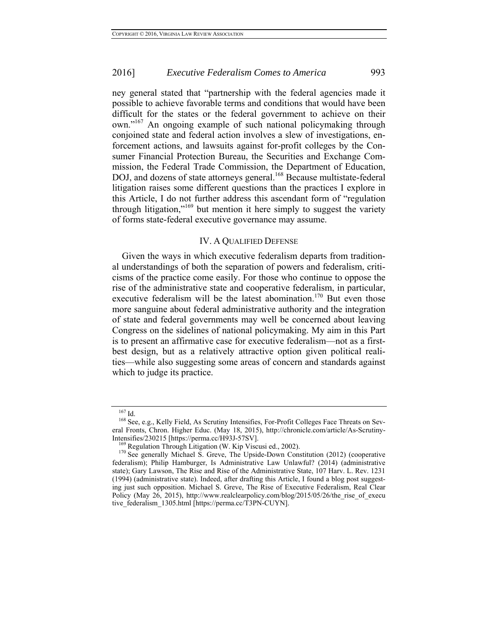ney general stated that "partnership with the federal agencies made it possible to achieve favorable terms and conditions that would have been difficult for the states or the federal government to achieve on their own."167 An ongoing example of such national policymaking through conjoined state and federal action involves a slew of investigations, enforcement actions, and lawsuits against for-profit colleges by the Consumer Financial Protection Bureau, the Securities and Exchange Commission, the Federal Trade Commission, the Department of Education, DOJ, and dozens of state attorneys general.<sup>168</sup> Because multistate-federal litigation raises some different questions than the practices I explore in this Article, I do not further address this ascendant form of "regulation through litigation,"169 but mention it here simply to suggest the variety of forms state-federal executive governance may assume.

## IV. A QUALIFIED DEFENSE

Given the ways in which executive federalism departs from traditional understandings of both the separation of powers and federalism, criticisms of the practice come easily. For those who continue to oppose the rise of the administrative state and cooperative federalism, in particular, executive federalism will be the latest abomination.<sup>170</sup> But even those more sanguine about federal administrative authority and the integration of state and federal governments may well be concerned about leaving Congress on the sidelines of national policymaking. My aim in this Part is to present an affirmative case for executive federalism—not as a firstbest design, but as a relatively attractive option given political realities—while also suggesting some areas of concern and standards against which to judge its practice.

<sup>&</sup>lt;sup>167</sup> Id.<br><sup>168</sup> See, e.g., Kelly Field, As Scrutiny Intensifies, For-Profit Colleges Face Threats on Several Fronts, Chron. Higher Educ. (May 18, 2015), http://chronicle.com/article/As-Scrutiny-

Intensifies/230215 [https://perma.cc/H93J-57SV].<br><sup>169</sup> Regulation Through Litigation (W. Kip Viscusi ed., 2002).<br><sup>170</sup> See generally Michael S. Greve, The Upside-Down Constitution (2012) (cooperative federalism); Philip Hamburger, Is Administrative Law Unlawful? (2014) (administrative state); Gary Lawson, The Rise and Rise of the Administrative State, 107 Harv. L. Rev. 1231 (1994) (administrative state). Indeed, after drafting this Article, I found a blog post suggesting just such opposition. Michael S. Greve, The Rise of Executive Federalism, Real Clear Policy (May 26, 2015), http://www.realclearpolicy.com/blog/2015/05/26/the rise of execu tive\_federalism\_1305.html [https://perma.cc/T3PN-CUYN].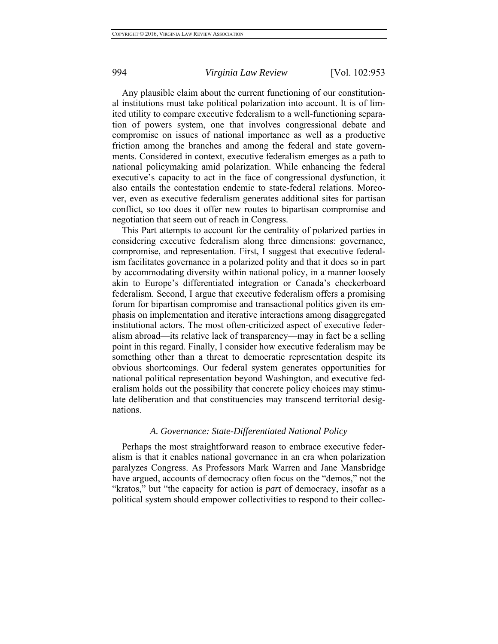Any plausible claim about the current functioning of our constitutional institutions must take political polarization into account. It is of limited utility to compare executive federalism to a well-functioning separation of powers system, one that involves congressional debate and compromise on issues of national importance as well as a productive friction among the branches and among the federal and state governments. Considered in context, executive federalism emerges as a path to national policymaking amid polarization. While enhancing the federal executive's capacity to act in the face of congressional dysfunction, it also entails the contestation endemic to state-federal relations. Moreover, even as executive federalism generates additional sites for partisan conflict, so too does it offer new routes to bipartisan compromise and negotiation that seem out of reach in Congress.

This Part attempts to account for the centrality of polarized parties in considering executive federalism along three dimensions: governance, compromise, and representation. First, I suggest that executive federalism facilitates governance in a polarized polity and that it does so in part by accommodating diversity within national policy, in a manner loosely akin to Europe's differentiated integration or Canada's checkerboard federalism. Second, I argue that executive federalism offers a promising forum for bipartisan compromise and transactional politics given its emphasis on implementation and iterative interactions among disaggregated institutional actors. The most often-criticized aspect of executive federalism abroad—its relative lack of transparency—may in fact be a selling point in this regard. Finally, I consider how executive federalism may be something other than a threat to democratic representation despite its obvious shortcomings. Our federal system generates opportunities for national political representation beyond Washington, and executive federalism holds out the possibility that concrete policy choices may stimulate deliberation and that constituencies may transcend territorial designations.

#### *A. Governance: State-Differentiated National Policy*

Perhaps the most straightforward reason to embrace executive federalism is that it enables national governance in an era when polarization paralyzes Congress. As Professors Mark Warren and Jane Mansbridge have argued, accounts of democracy often focus on the "demos," not the "kratos," but "the capacity for action is *part* of democracy, insofar as a political system should empower collectivities to respond to their collec-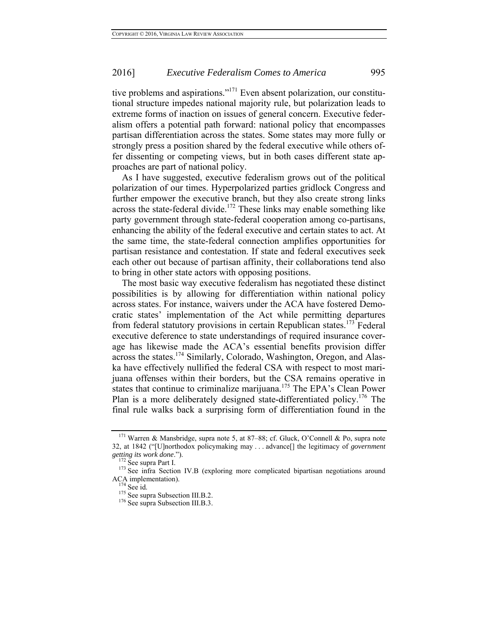tive problems and aspirations."<sup>171</sup> Even absent polarization, our constitutional structure impedes national majority rule, but polarization leads to extreme forms of inaction on issues of general concern. Executive federalism offers a potential path forward: national policy that encompasses partisan differentiation across the states. Some states may more fully or strongly press a position shared by the federal executive while others offer dissenting or competing views, but in both cases different state approaches are part of national policy.

As I have suggested, executive federalism grows out of the political polarization of our times. Hyperpolarized parties gridlock Congress and further empower the executive branch, but they also create strong links across the state-federal divide.<sup>172</sup> These links may enable something like party government through state-federal cooperation among co-partisans, enhancing the ability of the federal executive and certain states to act. At the same time, the state-federal connection amplifies opportunities for partisan resistance and contestation. If state and federal executives seek each other out because of partisan affinity, their collaborations tend also to bring in other state actors with opposing positions.

The most basic way executive federalism has negotiated these distinct possibilities is by allowing for differentiation within national policy across states. For instance, waivers under the ACA have fostered Democratic states' implementation of the Act while permitting departures from federal statutory provisions in certain Republican states.<sup>173</sup> Federal executive deference to state understandings of required insurance coverage has likewise made the ACA's essential benefits provision differ across the states.<sup>174</sup> Similarly, Colorado, Washington, Oregon, and Alaska have effectively nullified the federal CSA with respect to most marijuana offenses within their borders, but the CSA remains operative in states that continue to criminalize marijuana.<sup>175</sup> The EPA's Clean Power Plan is a more deliberately designed state-differentiated policy.<sup>176</sup> The final rule walks back a surprising form of differentiation found in the

<sup>171</sup> Warren & Mansbridge, supra note 5, at 87–88; cf. Gluck, O'Connell & Po, supra note 32, at 1842 ("[U]northodox policymaking may . . . advance[] the legitimacy of *government getting its work done."*).<br><sup>172</sup> See supra Part I.<br><sup>173</sup> See infra Section IV.B (exploring more complicated bipartisan negotiations around

ACA implementation).<br><sup>174</sup> See id.<br><sup>175</sup> See supra Subsection III.B.2.<br><sup>176</sup> See supra Subsection III.B.3.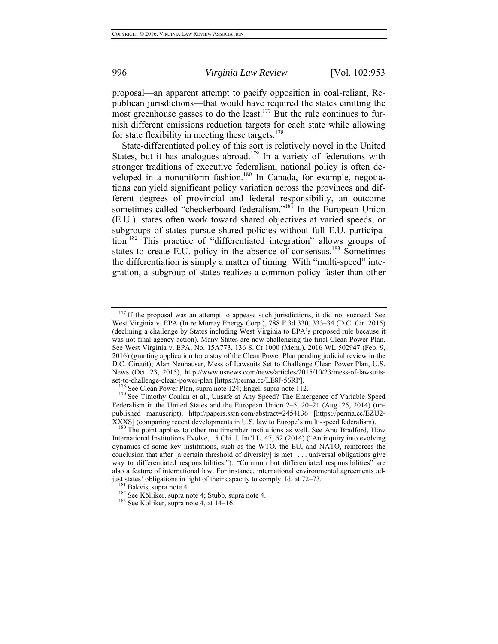proposal—an apparent attempt to pacify opposition in coal-reliant, Republican jurisdictions—that would have required the states emitting the most greenhouse gasses to do the least.<sup>177</sup> But the rule continues to furnish different emissions reduction targets for each state while allowing for state flexibility in meeting these targets. $178$ 

State-differentiated policy of this sort is relatively novel in the United States, but it has analogues abroad.<sup>179</sup> In a variety of federations with stronger traditions of executive federalism, national policy is often developed in a nonuniform fashion.<sup>180</sup> In Canada, for example, negotiations can yield significant policy variation across the provinces and different degrees of provincial and federal responsibility, an outcome sometimes called "checkerboard federalism."<sup>181</sup> In the European Union (E.U.), states often work toward shared objectives at varied speeds, or subgroups of states pursue shared policies without full E.U. participation.182 This practice of "differentiated integration" allows groups of states to create E.U. policy in the absence of consensus.183 Sometimes the differentiation is simply a matter of timing: With "multi-speed" integration, a subgroup of states realizes a common policy faster than other

If the proposal was an attempt to appease such jurisdictions, it did not succeed. See West Virginia v. EPA (In re Murray Energy Corp.), 788 F.3d 330, 333–34 (D.C. Cir. 2015) (declining a challenge by States including West Virginia to EPA's proposed rule because it was not final agency action). Many States are now challenging the final Clean Power Plan. See West Virginia v. EPA, No. 15A773, 136 S. Ct 1000 (Mem.), 2016 WL 502947 (Feb. 9, 2016) (granting application for a stay of the Clean Power Plan pending judicial review in the D.C. Circuit); Alan Neuhauser, Mess of Lawsuits Set to Challenge Clean Power Plan, U.S. News (Oct. 23, 2015), http://www.usnews.com/news/articles/2015/10/23/mess-of-lawsuits-<br>set-to-challenge-clean-power-plan [https://perma.cc/LE8J-56RP].

<sup>&</sup>lt;sup>178</sup> See Clean Power Plan, supra note 124; Engel, supra note 112.  $179$  See Timothy Conlan et al., Unsafe at Any Speed? The Emergence of Variable Speed Federalism in the United States and the European Union 2–5, 20–21 (Aug. 25, 2014) (unpublished manuscript), http://papers.ssrn.com/abstract=2454136 [https://perma.cc/EZU2-

XXXS] (comparing recent developments in U.S. law to Europe's multi-speed federalism). <sup>180</sup> The point applies to other multimember institutions as well. See Anu Bradford, How International Institutions Evolve, 15 Chi. J. Int'l L. 47, 52 (2014) ("An inquiry into evolving dynamics of some key institutions, such as the WTO, the EU, and NATO, reinforces the conclusion that after [a certain threshold of diversity] is met . . . . universal obligations give way to differentiated responsibilities."). "Common but differentiated responsibilities" are also a feature of international law. For instance, international environmental agreements adjust states' obligations in light of their capacity to comply. Id. at 72–73.

<sup>&</sup>lt;sup>181</sup> Bakvis, supra note 4.  $\frac{182}{182}$  See Kölliker, supra note 4; Stubb, supra note 4. 183 See Kölliker, supra note 4, at 14–16.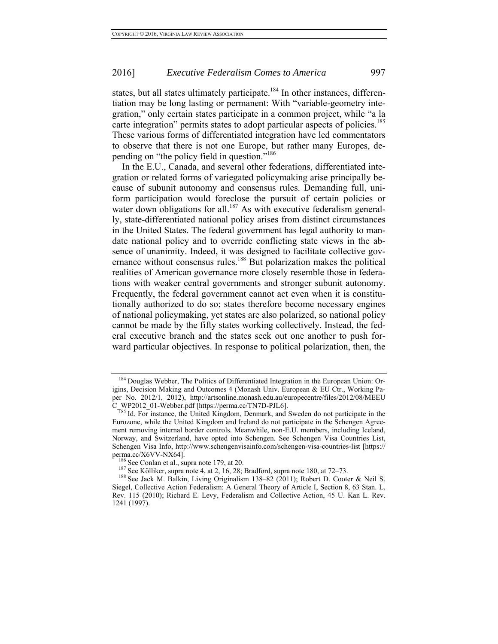states, but all states ultimately participate.<sup>184</sup> In other instances, differentiation may be long lasting or permanent: With "variable-geometry integration," only certain states participate in a common project, while "a la carte integration" permits states to adopt particular aspects of policies.<sup>185</sup> These various forms of differentiated integration have led commentators to observe that there is not one Europe, but rather many Europes, depending on "the policy field in question."<sup>186</sup>

In the E.U., Canada, and several other federations, differentiated integration or related forms of variegated policymaking arise principally because of subunit autonomy and consensus rules. Demanding full, uniform participation would foreclose the pursuit of certain policies or water down obligations for all.<sup>187</sup> As with executive federalism generally, state-differentiated national policy arises from distinct circumstances in the United States. The federal government has legal authority to mandate national policy and to override conflicting state views in the absence of unanimity. Indeed, it was designed to facilitate collective governance without consensus rules.<sup>188</sup> But polarization makes the political realities of American governance more closely resemble those in federations with weaker central governments and stronger subunit autonomy. Frequently, the federal government cannot act even when it is constitutionally authorized to do so; states therefore become necessary engines of national policymaking, yet states are also polarized, so national policy cannot be made by the fifty states working collectively. Instead, the federal executive branch and the states seek out one another to push forward particular objectives. In response to political polarization, then, the

<sup>&</sup>lt;sup>184</sup> Douglas Webber, The Politics of Differentiated Integration in the European Union: Origins, Decision Making and Outcomes 4 (Monash Univ. European & EU Ctr., Working Paper No. 2012/1, 2012), http://artsonline.monash.edu.au/europecentre/files/2012/08/MEEU

C\_WP2012\_01-Webber.pdf [https://perma.cc/TN7D-PJL6].<br><sup>T85</sup> Id. For instance, the United Kingdom, Denmark, and Sweden do not participate in the Eurozone, while the United Kingdom and Ireland do not participate in the Schengen Agreement removing internal border controls. Meanwhile, non-E.U. members, including Iceland, Norway, and Switzerland, have opted into Schengen. See Schengen Visa Countries List, Schengen Visa Info, http://www.schengenvisainfo.com/schengen-visa-countries-list [https:// perma.cc/X6VV-NX64].<br><sup>186</sup> See Conlan et al., supra note 179, at 20.<br><sup>187</sup> See Kölliker, supra note 4, at 2, 16, 28; Bradford, supra note 180, at 72–73.<br><sup>188</sup> See Jack M. Balkin, Living Originalism 138–82 (2011); Robert D.

Siegel, Collective Action Federalism: A General Theory of Article I, Section 8, 63 Stan. L. Rev. 115 (2010); Richard E. Levy, Federalism and Collective Action, 45 U. Kan L. Rev. 1241 (1997).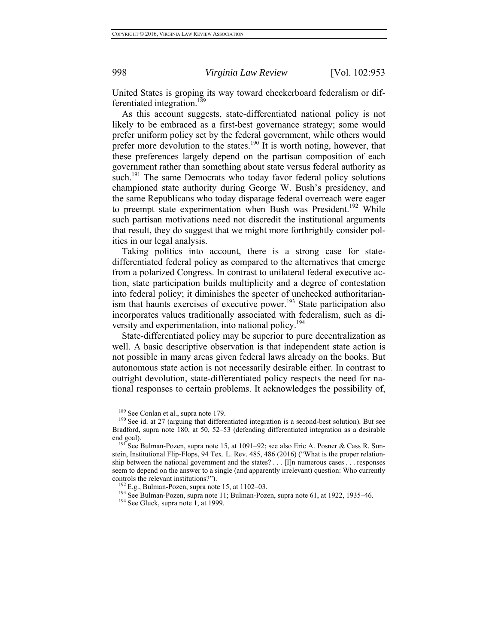United States is groping its way toward checkerboard federalism or differentiated integration.<sup>189</sup>

As this account suggests, state-differentiated national policy is not likely to be embraced as a first-best governance strategy; some would prefer uniform policy set by the federal government, while others would prefer more devolution to the states.<sup>190</sup> It is worth noting, however, that these preferences largely depend on the partisan composition of each government rather than something about state versus federal authority as such.<sup>191</sup> The same Democrats who today favor federal policy solutions championed state authority during George W. Bush's presidency, and the same Republicans who today disparage federal overreach were eager to preempt state experimentation when Bush was President.<sup>192</sup> While such partisan motivations need not discredit the institutional arguments that result, they do suggest that we might more forthrightly consider politics in our legal analysis.

Taking politics into account, there is a strong case for statedifferentiated federal policy as compared to the alternatives that emerge from a polarized Congress. In contrast to unilateral federal executive action, state participation builds multiplicity and a degree of contestation into federal policy; it diminishes the specter of unchecked authoritarianism that haunts exercises of executive power.<sup>193</sup> State participation also incorporates values traditionally associated with federalism, such as diversity and experimentation, into national policy.<sup>194</sup>

State-differentiated policy may be superior to pure decentralization as well. A basic descriptive observation is that independent state action is not possible in many areas given federal laws already on the books. But autonomous state action is not necessarily desirable either. In contrast to outright devolution, state-differentiated policy respects the need for national responses to certain problems. It acknowledges the possibility of,

<sup>&</sup>lt;sup>189</sup> See Conlan et al., supra note 179.<br><sup>190</sup> See id. at 27 (arguing that differentiated integration is a second-best solution). But see Bradford, supra note 180, at 50, 52–53 (defending differentiated integration as a desirable end goal).<br><sup>191</sup> See Bulman-Pozen, supra note 15, at 1091–92; see also Eric A. Posner & Cass R. Sun-

stein, Institutional Flip-Flops, 94 Tex. L. Rev. 485, 486 (2016) ("What is the proper relationship between the national government and the states? . . . [I]n numerous cases . . . responses seem to depend on the answer to a single (and apparently irrelevant) question: Who currently controls the relevant institutions?").<br>
<sup>192</sup> E.g., Bulman-Pozen, supra note 15, at 1102–03.<br>
<sup>193</sup> See Bulman-Pozen, supra note 11; Bulman-Pozen, supra note 61, at 1922, 1935–46.<br>
<sup>194</sup> See Gluck, supra note 1, at 1999.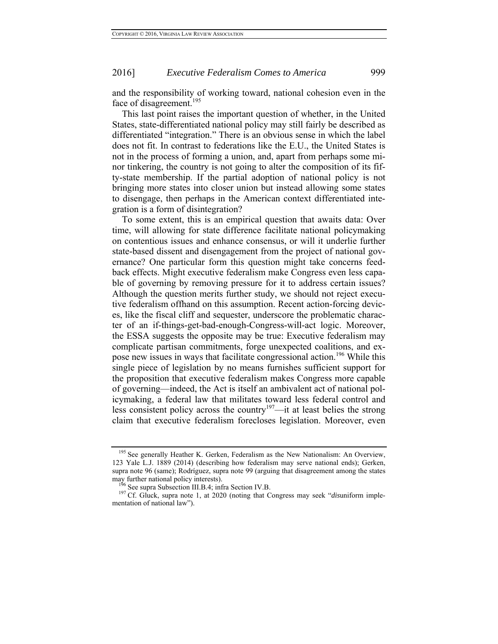and the responsibility of working toward, national cohesion even in the face of disagreement.<sup>195</sup>

This last point raises the important question of whether, in the United States, state-differentiated national policy may still fairly be described as differentiated "integration." There is an obvious sense in which the label does not fit. In contrast to federations like the E.U., the United States is not in the process of forming a union, and, apart from perhaps some minor tinkering, the country is not going to alter the composition of its fifty-state membership. If the partial adoption of national policy is not bringing more states into closer union but instead allowing some states to disengage, then perhaps in the American context differentiated integration is a form of disintegration?

To some extent, this is an empirical question that awaits data: Over time, will allowing for state difference facilitate national policymaking on contentious issues and enhance consensus, or will it underlie further state-based dissent and disengagement from the project of national governance? One particular form this question might take concerns feedback effects. Might executive federalism make Congress even less capable of governing by removing pressure for it to address certain issues? Although the question merits further study, we should not reject executive federalism offhand on this assumption. Recent action-forcing devices, like the fiscal cliff and sequester, underscore the problematic character of an if-things-get-bad-enough-Congress-will-act logic. Moreover, the ESSA suggests the opposite may be true: Executive federalism may complicate partisan commitments, forge unexpected coalitions, and expose new issues in ways that facilitate congressional action.<sup>196</sup> While this single piece of legislation by no means furnishes sufficient support for the proposition that executive federalism makes Congress more capable of governing—indeed, the Act is itself an ambivalent act of national policymaking, a federal law that militates toward less federal control and less consistent policy across the country<sup>197</sup>—it at least belies the strong claim that executive federalism forecloses legislation. Moreover, even

<sup>&</sup>lt;sup>195</sup> See generally Heather K. Gerken, Federalism as the New Nationalism: An Overview, 123 Yale L.J. 1889 (2014) (describing how federalism may serve national ends); Gerken, supra note 96 (same); Rodríguez, supra note 99 (arguing that disagreement among the states may further national policy interests).<br><sup>196</sup> See supra Subsection III.B.4; infra Section IV.B.<br><sup>197</sup> Cf. Gluck, supra note 1, at 2020 (noting that Congress may seek "*dis*uniform imple-

mentation of national law").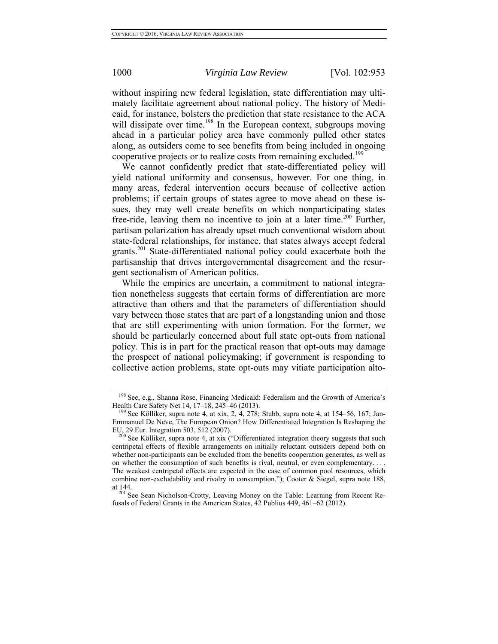without inspiring new federal legislation, state differentiation may ultimately facilitate agreement about national policy. The history of Medicaid, for instance, bolsters the prediction that state resistance to the ACA will dissipate over time.<sup>198</sup> In the European context, subgroups moving ahead in a particular policy area have commonly pulled other states along, as outsiders come to see benefits from being included in ongoing cooperative projects or to realize costs from remaining excluded.<sup>199</sup>

We cannot confidently predict that state-differentiated policy will yield national uniformity and consensus, however. For one thing, in many areas, federal intervention occurs because of collective action problems; if certain groups of states agree to move ahead on these issues, they may well create benefits on which nonparticipating states free-ride, leaving them no incentive to join at a later time.<sup>200</sup> Further, partisan polarization has already upset much conventional wisdom about state-federal relationships, for instance, that states always accept federal grants.<sup>201</sup> State-differentiated national policy could exacerbate both the partisanship that drives intergovernmental disagreement and the resurgent sectionalism of American politics.

While the empirics are uncertain, a commitment to national integration nonetheless suggests that certain forms of differentiation are more attractive than others and that the parameters of differentiation should vary between those states that are part of a longstanding union and those that are still experimenting with union formation. For the former, we should be particularly concerned about full state opt-outs from national policy. This is in part for the practical reason that opt-outs may damage the prospect of national policymaking; if government is responding to collective action problems, state opt-outs may vitiate participation alto-

<sup>&</sup>lt;sup>198</sup> See, e.g., Shanna Rose, Financing Medicaid: Federalism and the Growth of America's Health Care Safety Net 14, 17–18, 245–46 (2013).<br><sup>199</sup> See Kölliker, supra note 4, at xix, 2, 4, 278; Stubb, supra note 4, at 154–56, 167; Jan-

Emmanuel De Neve, The European Onion? How Differentiated Integration Is Reshaping the

 $\frac{200}{20}$  See Kölliker, supra note 4, at xix ("Differentiated integration theory suggests that such centripetal effects of flexible arrangements on initially reluctant outsiders depend both on whether non-participants can be excluded from the benefits cooperation generates, as well as on whether the consumption of such benefits is rival, neutral, or even complementary. . . . The weakest centripetal effects are expected in the case of common pool resources, which combine non-excludability and rivalry in consumption."); Cooter & Siegel, supra note 188,

at 144.<br><sup>201</sup> See Sean Nicholson-Crotty, Leaving Money on the Table: Learning from Recent Refusals of Federal Grants in the American States, 42 Publius 449, 461–62 (2012).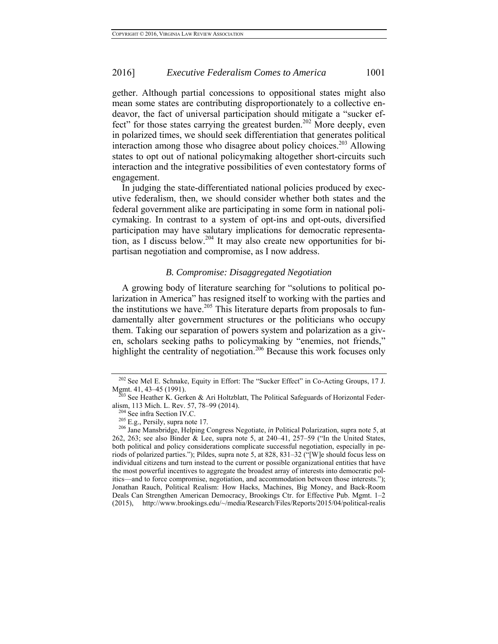gether. Although partial concessions to oppositional states might also mean some states are contributing disproportionately to a collective endeavor, the fact of universal participation should mitigate a "sucker effect" for those states carrying the greatest burden.<sup>202</sup> More deeply, even in polarized times, we should seek differentiation that generates political interaction among those who disagree about policy choices.<sup>203</sup> Allowing states to opt out of national policymaking altogether short-circuits such interaction and the integrative possibilities of even contestatory forms of engagement.

In judging the state-differentiated national policies produced by executive federalism, then, we should consider whether both states and the federal government alike are participating in some form in national policymaking. In contrast to a system of opt-ins and opt-outs, diversified participation may have salutary implications for democratic representation, as I discuss below.<sup>204</sup> It may also create new opportunities for bipartisan negotiation and compromise, as I now address.

## *B. Compromise: Disaggregated Negotiation*

A growing body of literature searching for "solutions to political polarization in America" has resigned itself to working with the parties and the institutions we have.<sup>205</sup> This literature departs from proposals to fundamentally alter government structures or the politicians who occupy them. Taking our separation of powers system and polarization as a given, scholars seeking paths to policymaking by "enemies, not friends," highlight the centrality of negotiation.<sup>206</sup> Because this work focuses only

<sup>&</sup>lt;sup>202</sup> See Mel E. Schnake, Equity in Effort: The "Sucker Effect" in Co-Acting Groups, 17 J. Mgmt. 41, 43–45 (1991).<br><sup>203</sup> See Heather K. Gerken & Ari Holtzblatt, The Political Safeguards of Horizontal Feder-

alism, 113 Mich. L. Rev. 57, 78–99 (2014).<br><sup>204</sup> See infra Section IV.C.<br><sup>205</sup> E.g., Persily, supra note 17.<br><sup>206</sup> Jane Mansbridge, Helping Congress Negotiate, *in* Political Polarization, supra note 5, at 262, 263; see also Binder & Lee, supra note 5, at 240–41, 257–59 ("In the United States, both political and policy considerations complicate successful negotiation, especially in periods of polarized parties."); Pildes, supra note 5, at 828, 831–32 ("[W]e should focus less on individual citizens and turn instead to the current or possible organizational entities that have the most powerful incentives to aggregate the broadest array of interests into democratic politics—and to force compromise, negotiation, and accommodation between those interests."); Jonathan Rauch, Political Realism: How Hacks, Machines, Big Money, and Back-Room Deals Can Strengthen American Democracy, Brookings Ctr. for Effective Pub. Mgmt. 1–2 (2015), http://www.brookings.edu/~/media/Research/Files/Reports/2015/04/political-realis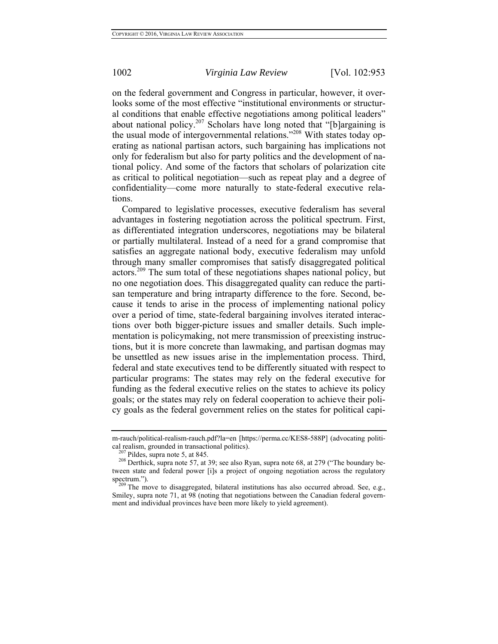on the federal government and Congress in particular, however, it overlooks some of the most effective "institutional environments or structural conditions that enable effective negotiations among political leaders" about national policy.<sup>207</sup> Scholars have long noted that "[b]argaining is the usual mode of intergovernmental relations."208 With states today operating as national partisan actors, such bargaining has implications not only for federalism but also for party politics and the development of national policy. And some of the factors that scholars of polarization cite as critical to political negotiation—such as repeat play and a degree of confidentiality—come more naturally to state-federal executive relations.

Compared to legislative processes, executive federalism has several advantages in fostering negotiation across the political spectrum. First, as differentiated integration underscores, negotiations may be bilateral or partially multilateral. Instead of a need for a grand compromise that satisfies an aggregate national body, executive federalism may unfold through many smaller compromises that satisfy disaggregated political actors.209 The sum total of these negotiations shapes national policy, but no one negotiation does. This disaggregated quality can reduce the partisan temperature and bring intraparty difference to the fore. Second, because it tends to arise in the process of implementing national policy over a period of time, state-federal bargaining involves iterated interactions over both bigger-picture issues and smaller details. Such implementation is policymaking, not mere transmission of preexisting instructions, but it is more concrete than lawmaking, and partisan dogmas may be unsettled as new issues arise in the implementation process. Third, federal and state executives tend to be differently situated with respect to particular programs: The states may rely on the federal executive for funding as the federal executive relies on the states to achieve its policy goals; or the states may rely on federal cooperation to achieve their policy goals as the federal government relies on the states for political capi-

m-rauch/political-realism-rauch.pdf?la=en [https://perma.cc/KES8-588P] (advocating political realism, grounded in transactional politics).<br><sup>207</sup> Pildes, supra note 5, at 845.<br><sup>208</sup> Derthick, supra note 57, at 39; see also Ryan, supra note 68, at 279 ("The boundary be-

tween state and federal power [i]s a project of ongoing negotiation across the regulatory spectrum.").<br><sup>209</sup> The move to disaggregated, bilateral institutions has also occurred abroad. See, e.g.,

Smiley, supra note 71, at 98 (noting that negotiations between the Canadian federal government and individual provinces have been more likely to yield agreement).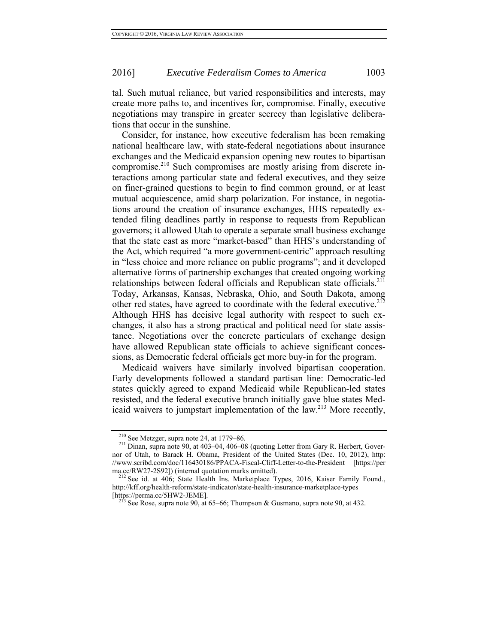tal. Such mutual reliance, but varied responsibilities and interests, may create more paths to, and incentives for, compromise. Finally, executive negotiations may transpire in greater secrecy than legislative deliberations that occur in the sunshine.

Consider, for instance, how executive federalism has been remaking national healthcare law, with state-federal negotiations about insurance exchanges and the Medicaid expansion opening new routes to bipartisan compromise.210 Such compromises are mostly arising from discrete interactions among particular state and federal executives, and they seize on finer-grained questions to begin to find common ground, or at least mutual acquiescence, amid sharp polarization. For instance, in negotiations around the creation of insurance exchanges, HHS repeatedly extended filing deadlines partly in response to requests from Republican governors; it allowed Utah to operate a separate small business exchange that the state cast as more "market-based" than HHS's understanding of the Act, which required "a more government-centric" approach resulting in "less choice and more reliance on public programs"; and it developed alternative forms of partnership exchanges that created ongoing working relationships between federal officials and Republican state officials.<sup>211</sup> Today, Arkansas, Kansas, Nebraska, Ohio, and South Dakota, among other red states, have agreed to coordinate with the federal executive.<sup>212</sup> Although HHS has decisive legal authority with respect to such exchanges, it also has a strong practical and political need for state assistance. Negotiations over the concrete particulars of exchange design have allowed Republican state officials to achieve significant concessions, as Democratic federal officials get more buy-in for the program.

Medicaid waivers have similarly involved bipartisan cooperation. Early developments followed a standard partisan line: Democratic-led states quickly agreed to expand Medicaid while Republican-led states resisted, and the federal executive branch initially gave blue states Medicaid waivers to jumpstart implementation of the law.<sup>213</sup> More recently,

<sup>&</sup>lt;sup>210</sup> See Metzger, supra note 24, at 1779–86.<br><sup>211</sup> Dinan, supra note 90, at 403–04, 406–08 (quoting Letter from Gary R. Herbert, Governor of Utah, to Barack H. Obama, President of the United States (Dec. 10, 2012), http: //www.scribd.com/doc/116430186/PPACA-Fiscal-Cliff-Letter-to-the-President [https://per ma.cc/RW27-2S92]) (internal quotation marks omitted).

 $^{212}$  See id. at 406; State Health Ins. Marketplace Types, 2016, Kaiser Family Found., http://kff.org/health-reform/state-indicator/state-health-insurance-marketplace-types [https://perma.cc/5HW2-JEME]. <sup>213</sup> See Rose, supra note 90, at 65–66; Thompson & Gusmano, supra note 90, at 432.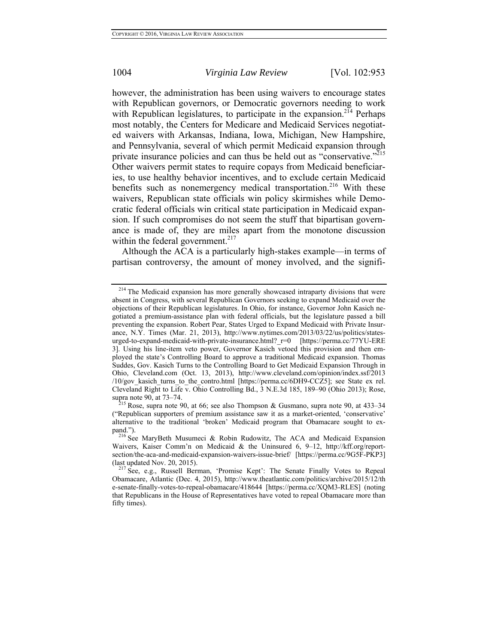however, the administration has been using waivers to encourage states with Republican governors, or Democratic governors needing to work with Republican legislatures, to participate in the expansion.<sup>214</sup> Perhaps most notably, the Centers for Medicare and Medicaid Services negotiated waivers with Arkansas, Indiana, Iowa, Michigan, New Hampshire, and Pennsylvania, several of which permit Medicaid expansion through private insurance policies and can thus be held out as "conservative."<sup>215</sup> Other waivers permit states to require copays from Medicaid beneficiaries, to use healthy behavior incentives, and to exclude certain Medicaid benefits such as nonemergency medical transportation.<sup>216</sup> With these waivers, Republican state officials win policy skirmishes while Democratic federal officials win critical state participation in Medicaid expansion. If such compromises do not seem the stuff that bipartisan governance is made of, they are miles apart from the monotone discussion within the federal government.<sup>217</sup>

Although the ACA is a particularly high-stakes example—in terms of partisan controversy, the amount of money involved, and the signifi-

<sup>&</sup>lt;sup>214</sup> The Medicaid expansion has more generally showcased intraparty divisions that were absent in Congress, with several Republican Governors seeking to expand Medicaid over the objections of their Republican legislatures. In Ohio, for instance, Governor John Kasich negotiated a premium-assistance plan with federal officials, but the legislature passed a bill preventing the expansion. Robert Pear, States Urged to Expand Medicaid with Private Insurance, N.Y. Times (Mar. 21, 2013), http://www.nytimes.com/2013/03/22/us/politics/statesurged-to-expand-medicaid-with-private-insurance.html? r=0 [https://perma.cc/77YU-ERE 3]. Using his line-item veto power, Governor Kasich vetoed this provision and then employed the state's Controlling Board to approve a traditional Medicaid expansion. Thomas Suddes, Gov. Kasich Turns to the Controlling Board to Get Medicaid Expansion Through in Ohio, Cleveland.com (Oct. 13, 2013), http://www.cleveland.com/opinion/index.ssf/2013 /10/gov kasich turns to the contro.html [https://perma.cc/6DH9-CCZ5]; see State ex rel. Cleveland Right to Life v. Ohio Controlling Bd., 3 N.E.3d 185, 189–90 (Ohio 2013); Rose, supra note 90, at 73–74.<br><sup>215</sup> Rose, supra note 90, at 66; see also Thompson & Gusmano, supra note 90, at 433–34

<sup>(&</sup>quot;Republican supporters of premium assistance saw it as a market-oriented, 'conservative' alternative to the traditional 'broken' Medicaid program that Obamacare sought to ex-<br>pand.").

<sup>&</sup>lt;sup>216</sup> See MaryBeth Musumeci & Robin Rudowitz, The ACA and Medicaid Expansion Waivers, Kaiser Comm'n on Medicaid & the Uninsured 6, 9–12, http://kff.org/reportsection/the-aca-and-medicaid-expansion-waivers-issue-brief/ [https://perma.cc/9G5F-PKP3] (last updated Nov. 20, 2015). <sup>217</sup> See, e.g., Russell Berman, 'Promise Kept': The Senate Finally Votes to Repeal

Obamacare, Atlantic (Dec. 4, 2015), http://www.theatlantic.com/politics/archive/2015/12/th e-senate-finally-votes-to-repeal-obamacare/418644 [https://perma.cc/XQM3-RLES] (noting that Republicans in the House of Representatives have voted to repeal Obamacare more than fifty times).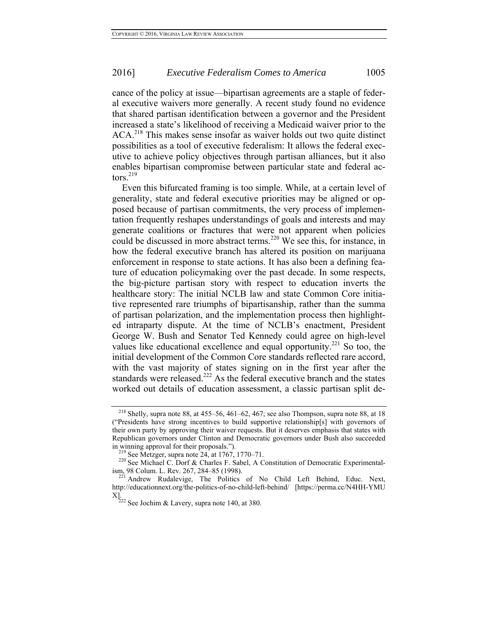cance of the policy at issue—bipartisan agreements are a staple of federal executive waivers more generally. A recent study found no evidence that shared partisan identification between a governor and the President increased a state's likelihood of receiving a Medicaid waiver prior to the ACA.<sup>218</sup> This makes sense insofar as waiver holds out two quite distinct possibilities as a tool of executive federalism: It allows the federal executive to achieve policy objectives through partisan alliances, but it also enables bipartisan compromise between particular state and federal actors. $219$ 

Even this bifurcated framing is too simple. While, at a certain level of generality, state and federal executive priorities may be aligned or opposed because of partisan commitments, the very process of implementation frequently reshapes understandings of goals and interests and may generate coalitions or fractures that were not apparent when policies could be discussed in more abstract terms.<sup>220</sup> We see this, for instance, in how the federal executive branch has altered its position on marijuana enforcement in response to state actions. It has also been a defining feature of education policymaking over the past decade. In some respects, the big-picture partisan story with respect to education inverts the healthcare story: The initial NCLB law and state Common Core initiative represented rare triumphs of bipartisanship, rather than the summa of partisan polarization, and the implementation process then highlighted intraparty dispute. At the time of NCLB's enactment, President George W. Bush and Senator Ted Kennedy could agree on high-level values like educational excellence and equal opportunity.<sup>221</sup> So too, the initial development of the Common Core standards reflected rare accord, with the vast majority of states signing on in the first year after the standards were released.<sup>222</sup> As the federal executive branch and the states worked out details of education assessment, a classic partisan split de-

<sup>218</sup> Shelly, supra note 88, at 455–56, 461–62, 467; see also Thompson, supra note 88, at 18 ("Presidents have strong incentives to build supportive relationship[s] with governors of their own party by approving their waiver requests. But it deserves emphasis that states with Republican governors under Clinton and Democratic governors under Bush also succeeded

<sup>&</sup>lt;sup>219</sup> See Metzger, supra note 24, at 1767, 1770–71.<br><sup>220</sup> See Michael C. Dorf & Charles F. Sabel, A Constitution of Democratic Experimentalism, 98 Colum. L. Rev. 267, 284–85 (1998). 221 Andrew Rudalevige, The Politics of No Child Left Behind, Educ. Next,

http://educationnext.org/the-politics-of-no-child-left-behind/ [https://perma.cc/N4HH-YMU X]. 222 See Jochim & Lavery, supra note 140, at 380.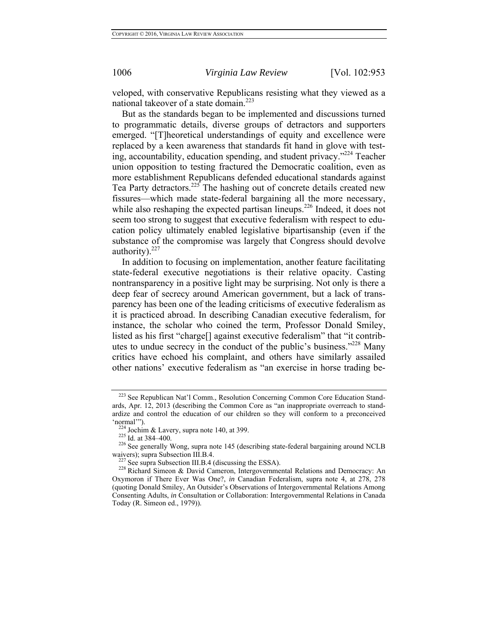veloped, with conservative Republicans resisting what they viewed as a national takeover of a state domain.<sup>223</sup>

But as the standards began to be implemented and discussions turned to programmatic details, diverse groups of detractors and supporters emerged. "[T]heoretical understandings of equity and excellence were replaced by a keen awareness that standards fit hand in glove with testing, accountability, education spending, and student privacy."224 Teacher union opposition to testing fractured the Democratic coalition, even as more establishment Republicans defended educational standards against Tea Party detractors.<sup>225</sup> The hashing out of concrete details created new fissures—which made state-federal bargaining all the more necessary, while also reshaping the expected partisan lineups.<sup>226</sup> Indeed, it does not seem too strong to suggest that executive federalism with respect to education policy ultimately enabled legislative bipartisanship (even if the substance of the compromise was largely that Congress should devolve authority). $227$ 

In addition to focusing on implementation, another feature facilitating state-federal executive negotiations is their relative opacity. Casting nontransparency in a positive light may be surprising. Not only is there a deep fear of secrecy around American government, but a lack of transparency has been one of the leading criticisms of executive federalism as it is practiced abroad. In describing Canadian executive federalism, for instance, the scholar who coined the term, Professor Donald Smiley, listed as his first "charge[] against executive federalism" that "it contributes to undue secrecy in the conduct of the public's business."<sup>228</sup> Many critics have echoed his complaint, and others have similarly assailed other nations' executive federalism as "an exercise in horse trading be-

<sup>&</sup>lt;sup>223</sup> See Republican Nat'l Comm., Resolution Concerning Common Core Education Standards, Apr. 12, 2013 (describing the Common Core as "an inappropriate overreach to standardize and control the education of our children so they will conform to a preconceived

<sup>&#</sup>x27;normal'").<br><sup>224</sup> Jochim & Lavery, supra note 140, at 399.<br><sup>225</sup> Id. at 384–400.<br><sup>226</sup> See generally Wong, supra note 145 (describing state-federal bargaining around NCLB waivers); supra Subsection III.B.4.<br><sup>227</sup> See supra Subsection III.B.4 (discussing the ESSA).<br><sup>228</sup> Richard Simeon & David Cameron, Intergovernmental Relations and Democracy: An

Oxymoron if There Ever Was One?, *in* Canadian Federalism, supra note 4, at 278, 278 (quoting Donald Smiley, An Outsider's Observations of Intergovernmental Relations Among Consenting Adults, *in* Consultation or Collaboration: Intergovernmental Relations in Canada Today (R. Simeon ed., 1979)).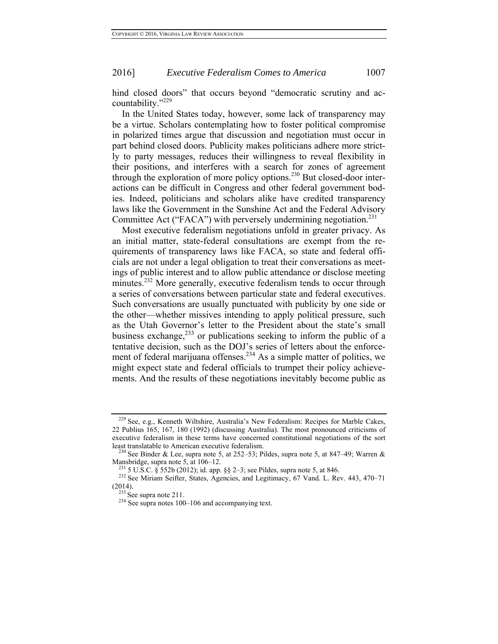hind closed doors" that occurs beyond "democratic scrutiny and accountability."<sup>229</sup>

In the United States today, however, some lack of transparency may be a virtue. Scholars contemplating how to foster political compromise in polarized times argue that discussion and negotiation must occur in part behind closed doors. Publicity makes politicians adhere more strictly to party messages, reduces their willingness to reveal flexibility in their positions, and interferes with a search for zones of agreement through the exploration of more policy options.<sup>230</sup> But closed-door interactions can be difficult in Congress and other federal government bodies. Indeed, politicians and scholars alike have credited transparency laws like the Government in the Sunshine Act and the Federal Advisory Committee Act ("FACA") with perversely undermining negotiation.<sup>231</sup>

Most executive federalism negotiations unfold in greater privacy. As an initial matter, state-federal consultations are exempt from the requirements of transparency laws like FACA, so state and federal officials are not under a legal obligation to treat their conversations as meetings of public interest and to allow public attendance or disclose meeting minutes.<sup>232</sup> More generally, executive federalism tends to occur through a series of conversations between particular state and federal executives. Such conversations are usually punctuated with publicity by one side or the other—whether missives intending to apply political pressure, such as the Utah Governor's letter to the President about the state's small business exchange, $^{233}$  or publications seeking to inform the public of a tentative decision, such as the DOJ's series of letters about the enforcement of federal marijuana offenses.<sup>234</sup> As a simple matter of politics, we might expect state and federal officials to trumpet their policy achievements. And the results of these negotiations inevitably become public as

<sup>&</sup>lt;sup>229</sup> See, e.g., Kenneth Wiltshire, Australia's New Federalism: Recipes for Marble Cakes, 22 Publius 165, 167, 180 (1992) (discussing Australia). The most pronounced criticisms of executive federalism in these terms have concerned constitutional negotiations of the sort

least translatable to American executive federalism.<br><sup>230</sup> See Binder & Lee, supra note 5, at 252–53; Pildes, supra note 5, at 847–49; Warren & Mansbridge, supra note 5, at 106–12.

<sup>&</sup>lt;sup>231</sup> 5 U.S.C. § 552b (2012); id. app. §§ 2–3; see Pildes, supra note 5, at 846. <sup>232</sup> See Miriam Seifter, States, Agencies, and Legitimacy, 67 Vand. L. Rev. 443, 470–71 (2014).<br> $\frac{233}{234}$  See supra note 211.<br> $\frac{234}{24}$  See supra notes 100–106 and accompanying text.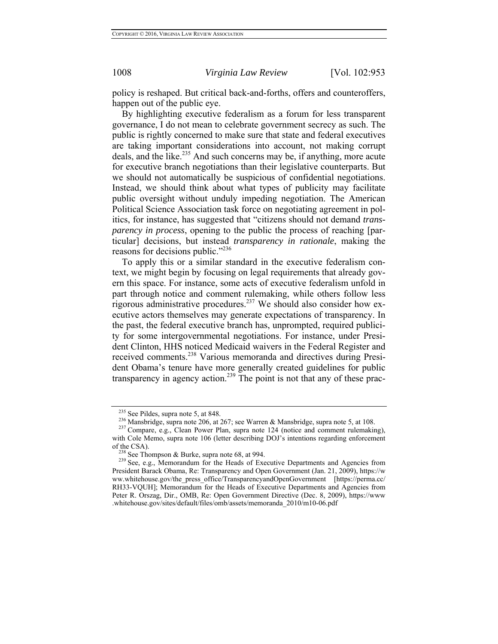policy is reshaped. But critical back-and-forths, offers and counteroffers, happen out of the public eye.

By highlighting executive federalism as a forum for less transparent governance, I do not mean to celebrate government secrecy as such. The public is rightly concerned to make sure that state and federal executives are taking important considerations into account, not making corrupt deals, and the like.<sup>235</sup> And such concerns may be, if anything, more acute for executive branch negotiations than their legislative counterparts. But we should not automatically be suspicious of confidential negotiations. Instead, we should think about what types of publicity may facilitate public oversight without unduly impeding negotiation. The American Political Science Association task force on negotiating agreement in politics, for instance, has suggested that "citizens should not demand *transparency in process*, opening to the public the process of reaching [particular] decisions, but instead *transparency in rationale*, making the reasons for decisions public."<sup>236</sup>

To apply this or a similar standard in the executive federalism context, we might begin by focusing on legal requirements that already govern this space. For instance, some acts of executive federalism unfold in part through notice and comment rulemaking, while others follow less rigorous administrative procedures.237 We should also consider how executive actors themselves may generate expectations of transparency. In the past, the federal executive branch has, unprompted, required publicity for some intergovernmental negotiations. For instance, under President Clinton, HHS noticed Medicaid waivers in the Federal Register and received comments.238 Various memoranda and directives during President Obama's tenure have more generally created guidelines for public transparency in agency action.<sup>239</sup> The point is not that any of these prac-

<sup>&</sup>lt;sup>235</sup> See Pildes, supra note 5, at 848.<br><sup>236</sup> Mansbridge, supra note 206, at 267; see Warren & Mansbridge, supra note 5, at 108.<br><sup>237</sup> Compare, e.g., Clean Power Plan, supra note 124 (notice and comment rulemaking), with Cole Memo, supra note 106 (letter describing DOJ's intentions regarding enforcement

of the CSA).<br><sup>238</sup> See Thompson & Burke, supra note 68, at 994.<br><sup>239</sup> See, e.g., Memorandum for the Heads of Executive Departments and Agencies from President Barack Obama, Re: Transparency and Open Government (Jan. 21, 2009), https://w ww.whitehouse.gov/the\_press\_office/TransparencyandOpenGovernment [https://perma.cc/ RH33-VQUH]; Memorandum for the Heads of Executive Departments and Agencies from Peter R. Orszag, Dir., OMB, Re: Open Government Directive (Dec. 8, 2009), https://www .whitehouse.gov/sites/default/files/omb/assets/memoranda\_2010/m10-06.pdf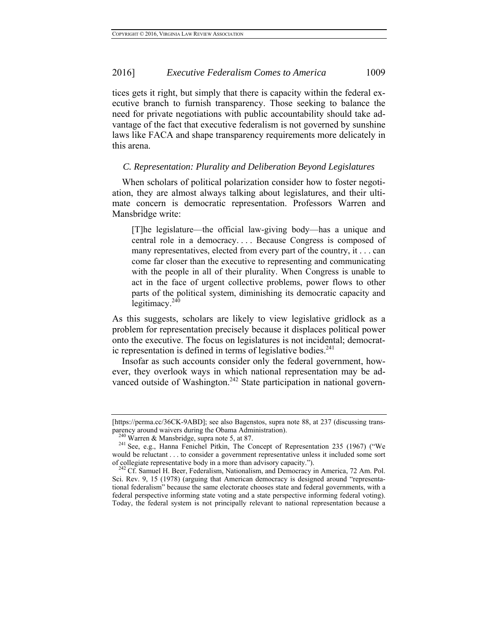tices gets it right, but simply that there is capacity within the federal executive branch to furnish transparency. Those seeking to balance the need for private negotiations with public accountability should take advantage of the fact that executive federalism is not governed by sunshine laws like FACA and shape transparency requirements more delicately in this arena.

#### *C. Representation: Plurality and Deliberation Beyond Legislatures*

When scholars of political polarization consider how to foster negotiation, they are almost always talking about legislatures, and their ultimate concern is democratic representation. Professors Warren and Mansbridge write:

[T]he legislature—the official law-giving body—has a unique and central role in a democracy. . . . Because Congress is composed of many representatives, elected from every part of the country, it . . . can come far closer than the executive to representing and communicating with the people in all of their plurality. When Congress is unable to act in the face of urgent collective problems, power flows to other parts of the political system, diminishing its democratic capacity and legitimacy. $240$ 

As this suggests, scholars are likely to view legislative gridlock as a problem for representation precisely because it displaces political power onto the executive. The focus on legislatures is not incidental; democratic representation is defined in terms of legislative bodies. $^{241}$ 

Insofar as such accounts consider only the federal government, however, they overlook ways in which national representation may be advanced outside of Washington.<sup>242</sup> State participation in national govern-

<sup>[</sup>https://perma.cc/36CK-9ABD]; see also Bagenstos, supra note 88, at 237 (discussing transparency around waivers during the Obama Administration).<br><sup>240</sup> Warren & Mansbridge, supra note 5, at 87.<br><sup>241</sup> See, e.g., Hanna Fenichel Pitkin, The Concept of Representation 235 (1967) ("We

would be reluctant . . . to consider a government representative unless it included some sort of collegiate representative body in a more than advisory capacity.").<br><sup>242</sup> Cf. Samuel H. Beer, Federalism, Nationalism, and Democracy in America, 72 Am. Pol.

Sci. Rev. 9, 15 (1978) (arguing that American democracy is designed around "representational federalism" because the same electorate chooses state and federal governments, with a federal perspective informing state voting and a state perspective informing federal voting). Today, the federal system is not principally relevant to national representation because a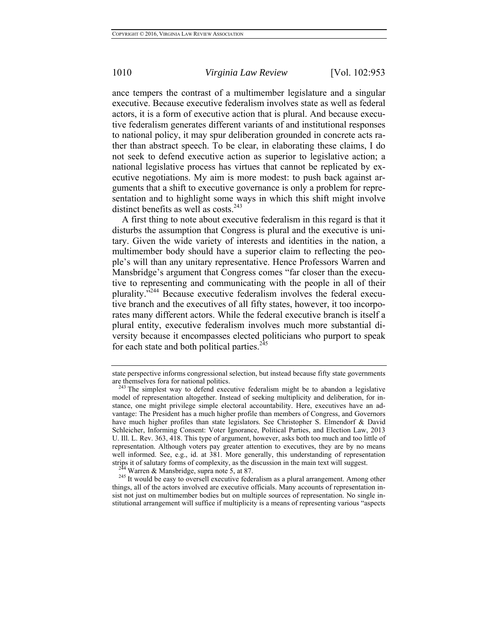ance tempers the contrast of a multimember legislature and a singular executive. Because executive federalism involves state as well as federal actors, it is a form of executive action that is plural. And because executive federalism generates different variants of and institutional responses to national policy, it may spur deliberation grounded in concrete acts rather than abstract speech. To be clear, in elaborating these claims, I do not seek to defend executive action as superior to legislative action; a national legislative process has virtues that cannot be replicated by executive negotiations. My aim is more modest: to push back against arguments that a shift to executive governance is only a problem for representation and to highlight some ways in which this shift might involve distinct benefits as well as costs. $243$ 

A first thing to note about executive federalism in this regard is that it disturbs the assumption that Congress is plural and the executive is unitary. Given the wide variety of interests and identities in the nation, a multimember body should have a superior claim to reflecting the people's will than any unitary representative. Hence Professors Warren and Mansbridge's argument that Congress comes "far closer than the executive to representing and communicating with the people in all of their plurality."244 Because executive federalism involves the federal executive branch and the executives of all fifty states, however, it too incorporates many different actors. While the federal executive branch is itself a plural entity, executive federalism involves much more substantial diversity because it encompasses elected politicians who purport to speak for each state and both political parties. $245$ 

things, all of the actors involved are executive officials. Many accounts of representation insist not just on multimember bodies but on multiple sources of representation. No single institutional arrangement will suffice if multiplicity is a means of representing various "aspects

state perspective informs congressional selection, but instead because fifty state governments are themselves fora for national politics.

<sup>&</sup>lt;sup>243</sup> The simplest way to defend executive federalism might be to abandon a legislative model of representation altogether. Instead of seeking multiplicity and deliberation, for instance, one might privilege simple electoral accountability. Here, executives have an advantage: The President has a much higher profile than members of Congress, and Governors have much higher profiles than state legislators. See Christopher S. Elmendorf & David Schleicher, Informing Consent: Voter Ignorance, Political Parties, and Election Law, 2013 U. Ill. L. Rev. 363, 418. This type of argument, however, asks both too much and too little of representation. Although voters pay greater attention to executives, they are by no means well informed. See, e.g., id. at 381. More generally, this understanding of representation strips it of salutary forms of complexity, as the discussion in the main text will suggest.<br><sup>244</sup> Warren & Mansbridge, supra note 5, at 87.<br><sup>245</sup> It would be easy to oversell executive federalism as a plural arrangement.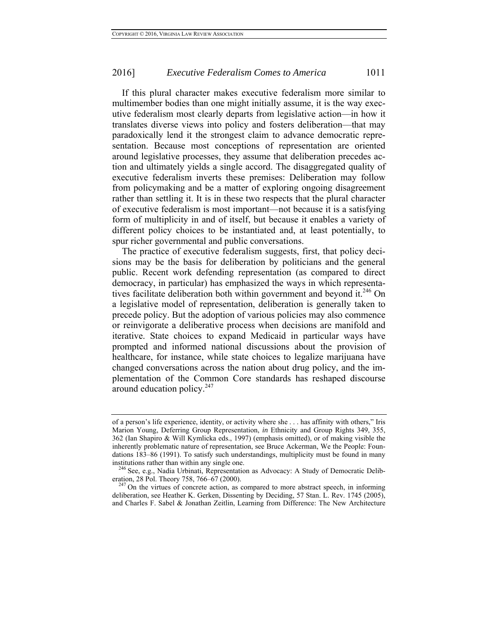If this plural character makes executive federalism more similar to multimember bodies than one might initially assume, it is the way executive federalism most clearly departs from legislative action—in how it translates diverse views into policy and fosters deliberation—that may paradoxically lend it the strongest claim to advance democratic representation. Because most conceptions of representation are oriented around legislative processes, they assume that deliberation precedes action and ultimately yields a single accord. The disaggregated quality of executive federalism inverts these premises: Deliberation may follow from policymaking and be a matter of exploring ongoing disagreement rather than settling it. It is in these two respects that the plural character of executive federalism is most important—not because it is a satisfying form of multiplicity in and of itself, but because it enables a variety of different policy choices to be instantiated and, at least potentially, to spur richer governmental and public conversations.

The practice of executive federalism suggests, first, that policy decisions may be the basis for deliberation by politicians and the general public. Recent work defending representation (as compared to direct democracy, in particular) has emphasized the ways in which representatives facilitate deliberation both within government and beyond it.<sup>246</sup> On a legislative model of representation, deliberation is generally taken to precede policy. But the adoption of various policies may also commence or reinvigorate a deliberative process when decisions are manifold and iterative. State choices to expand Medicaid in particular ways have prompted and informed national discussions about the provision of healthcare, for instance, while state choices to legalize marijuana have changed conversations across the nation about drug policy, and the implementation of the Common Core standards has reshaped discourse around education policy.247

of a person's life experience, identity, or activity where she . . . has affinity with others," Iris Marion Young, Deferring Group Representation, *in* Ethnicity and Group Rights 349, 355, 362 (Ian Shapiro & Will Kymlicka eds., 1997) (emphasis omitted), or of making visible the inherently problematic nature of representation, see Bruce Ackerman, We the People: Foundations 183–86 (1991). To satisfy such understandings, multiplicity must be found in many institutions rather than within any single one.<br><sup>246</sup> See, e.g., Nadia Urbinati, Representation as Advocacy: A Study of Democratic Delib-

eration, 28 Pol. Theory 758, 766–67 (2000). <sup>247</sup> On the virtues of concrete action, as compared to more abstract speech, in informing

deliberation, see Heather K. Gerken, Dissenting by Deciding, 57 Stan. L. Rev. 1745 (2005), and Charles F. Sabel & Jonathan Zeitlin, Learning from Difference: The New Architecture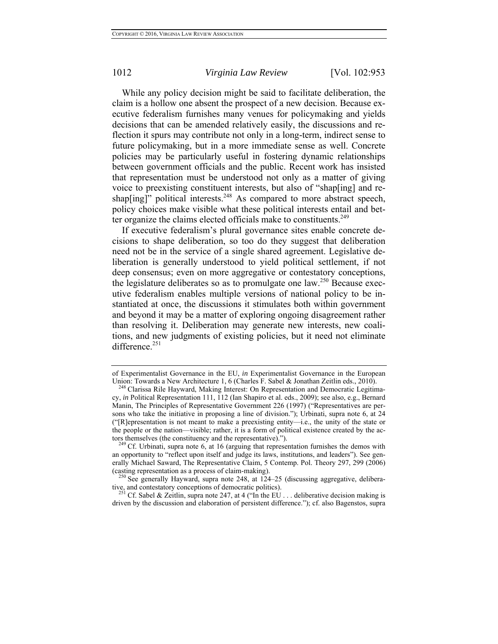While any policy decision might be said to facilitate deliberation, the claim is a hollow one absent the prospect of a new decision. Because executive federalism furnishes many venues for policymaking and yields decisions that can be amended relatively easily, the discussions and reflection it spurs may contribute not only in a long-term, indirect sense to future policymaking, but in a more immediate sense as well. Concrete policies may be particularly useful in fostering dynamic relationships between government officials and the public. Recent work has insisted that representation must be understood not only as a matter of giving voice to preexisting constituent interests, but also of "shap[ing] and reshap[ing]" political interests.<sup>248</sup> As compared to more abstract speech, policy choices make visible what these political interests entail and better organize the claims elected officials make to constituents.<sup>249</sup>

If executive federalism's plural governance sites enable concrete decisions to shape deliberation, so too do they suggest that deliberation need not be in the service of a single shared agreement. Legislative deliberation is generally understood to yield political settlement, if not deep consensus; even on more aggregative or contestatory conceptions, the legislature deliberates so as to promulgate one law.<sup>250</sup> Because executive federalism enables multiple versions of national policy to be instantiated at once, the discussions it stimulates both within government and beyond it may be a matter of exploring ongoing disagreement rather than resolving it. Deliberation may generate new interests, new coalitions, and new judgments of existing policies, but it need not eliminate difference. $251$ 

tive, and contestatory conceptions of democratic politics). <sup>251</sup> Cf. Sabel & Zeitlin, supra note 247, at 4 ("In the EU . . . deliberative decision making is

of Experimentalist Governance in the EU, *in* Experimentalist Governance in the European Union: Towards a New Architecture 1, 6 (Charles F. Sabel & Jonathan Zeitlin eds., 2010).<br><sup>248</sup> Clarissa Rile Hayward, Making Interest: On Representation and Democratic Legitima-

cy, *in* Political Representation 111, 112 (Ian Shapiro et al. eds., 2009); see also, e.g., Bernard Manin, The Principles of Representative Government 226 (1997) ("Representatives are persons who take the initiative in proposing a line of division."); Urbinati, supra note 6, at 24 ("[R]epresentation is not meant to make a preexisting entity—i.e., the unity of the state or the people or the nation—visible; rather, it is a form of political existence created by the actors themselves (the constituency and the representative).").<br><sup>249</sup> Cf. Urbinati, supra note 6, at 16 (arguing that representation furnishes the demos with

an opportunity to "reflect upon itself and judge its laws, institutions, and leaders"). See generally Michael Saward, The Representative Claim, 5 Contemp. Pol. Theory 297, 299 (2006) (casting representation as a process of claim-making).<br><sup>250</sup> See generally Hayward, supra note 248, at  $124-25$  (discussing aggregative, delibera-

driven by the discussion and elaboration of persistent difference."); cf. also Bagenstos, supra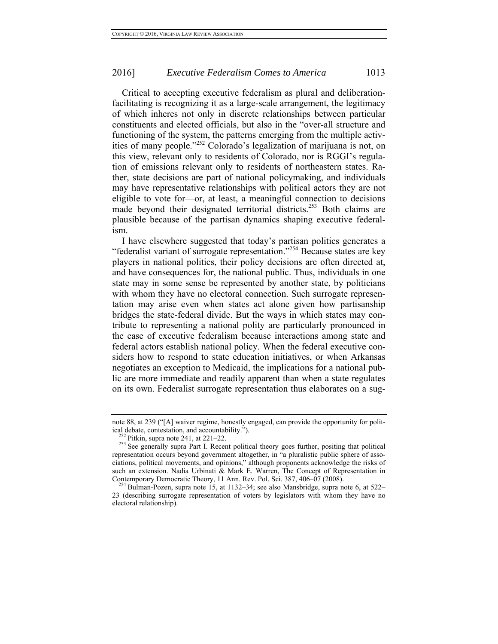Critical to accepting executive federalism as plural and deliberationfacilitating is recognizing it as a large-scale arrangement, the legitimacy of which inheres not only in discrete relationships between particular constituents and elected officials, but also in the "over-all structure and functioning of the system, the patterns emerging from the multiple activities of many people."252 Colorado's legalization of marijuana is not, on this view, relevant only to residents of Colorado, nor is RGGI's regulation of emissions relevant only to residents of northeastern states. Rather, state decisions are part of national policymaking, and individuals may have representative relationships with political actors they are not eligible to vote for—or, at least, a meaningful connection to decisions made beyond their designated territorial districts.<sup>253</sup> Both claims are plausible because of the partisan dynamics shaping executive federalism.

I have elsewhere suggested that today's partisan politics generates a "federalist variant of surrogate representation."<sup>254</sup> Because states are key players in national politics, their policy decisions are often directed at, and have consequences for, the national public. Thus, individuals in one state may in some sense be represented by another state, by politicians with whom they have no electoral connection. Such surrogate representation may arise even when states act alone given how partisanship bridges the state-federal divide. But the ways in which states may contribute to representing a national polity are particularly pronounced in the case of executive federalism because interactions among state and federal actors establish national policy. When the federal executive considers how to respond to state education initiatives, or when Arkansas negotiates an exception to Medicaid, the implications for a national public are more immediate and readily apparent than when a state regulates on its own. Federalist surrogate representation thus elaborates on a sug-

note 88, at 239 ("[A] waiver regime, honestly engaged, can provide the opportunity for political debate, contestation, and accountability.").<br><sup>252</sup> Pitkin, supra note 241, at 221–22.

<sup>&</sup>lt;sup>253</sup> See generally supra Part I. Recent political theory goes further, positing that political representation occurs beyond government altogether, in "a pluralistic public sphere of associations, political movements, and opinions," although proponents acknowledge the risks of such an extension. Nadia Urbinati & Mark E. Warren, The Concept of Representation in Contemporary Democratic Theory, 11 Ann. Rev. Pol. Sci. 387, 406–07 (2008).<br><sup>254</sup> Bulman-Pozen, supra note 15, at 1132–34; see also Mansbridge, supra note 6, at 522–

<sup>23 (</sup>describing surrogate representation of voters by legislators with whom they have no electoral relationship).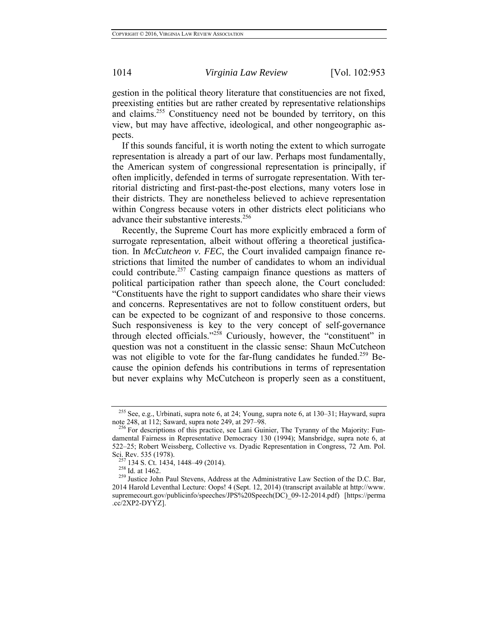gestion in the political theory literature that constituencies are not fixed, preexisting entities but are rather created by representative relationships and claims.<sup>255</sup> Constituency need not be bounded by territory, on this view, but may have affective, ideological, and other nongeographic aspects.

If this sounds fanciful, it is worth noting the extent to which surrogate representation is already a part of our law. Perhaps most fundamentally, the American system of congressional representation is principally, if often implicitly, defended in terms of surrogate representation. With territorial districting and first-past-the-post elections, many voters lose in their districts. They are nonetheless believed to achieve representation within Congress because voters in other districts elect politicians who advance their substantive interests.<sup>256</sup>

Recently, the Supreme Court has more explicitly embraced a form of surrogate representation, albeit without offering a theoretical justification. In *McCutcheon v. FEC*, the Court invalided campaign finance restrictions that limited the number of candidates to whom an individual could contribute.<sup>257</sup> Casting campaign finance questions as matters of political participation rather than speech alone, the Court concluded: "Constituents have the right to support candidates who share their views and concerns. Representatives are not to follow constituent orders, but can be expected to be cognizant of and responsive to those concerns. Such responsiveness is key to the very concept of self-governance through elected officials."<sup>258</sup> Curiously, however, the "constituent" in question was not a constituent in the classic sense: Shaun McCutcheon was not eligible to vote for the far-flung candidates he funded.<sup>259</sup> Because the opinion defends his contributions in terms of representation but never explains why McCutcheon is properly seen as a constituent,

<sup>255</sup> See, e.g., Urbinati, supra note 6, at 24; Young, supra note 6, at 130–31; Hayward, supra note 248, at 112; Saward, supra note 249, at 297–98.<br><sup>256</sup> For descriptions of this practice, see Lani Guinier, The Tyranny of the Majority: Fun-

damental Fairness in Representative Democracy 130 (1994); Mansbridge, supra note 6, at 522–25; Robert Weissberg, Collective vs. Dyadic Representation in Congress, 72 Am. Pol. Sci. Rev. 535 (1978).<br><sup>257</sup> 134 S. Ct. 1434, 1448–49 (2014).<br><sup>258</sup> Id. at 1462.<br><sup>259</sup> Justice John Paul Stevens, Address at the Administrative Law Section of the D.C. Bar,

<sup>2014</sup> Harold Leventhal Lecture: Oops! 4 (Sept. 12, 2014) (transcript available at http://www. supremecourt.gov/publicinfo/speeches/JPS%20Speech(DC)\_09-12-2014.pdf) [https://perma .cc/2XP2-DYYZ].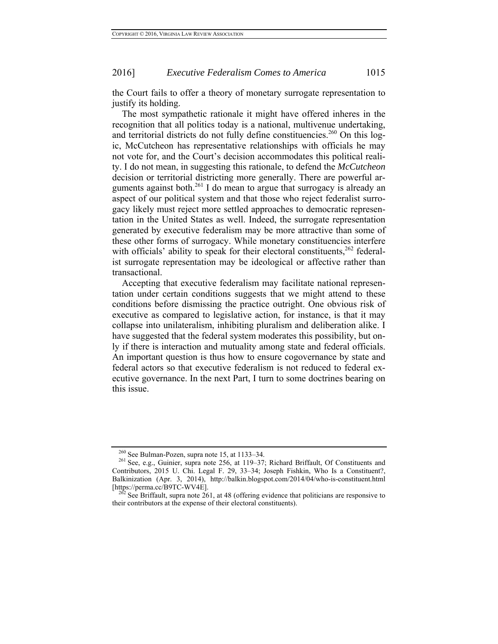the Court fails to offer a theory of monetary surrogate representation to justify its holding.

The most sympathetic rationale it might have offered inheres in the recognition that all politics today is a national, multivenue undertaking, and territorial districts do not fully define constituencies.<sup>260</sup> On this logic, McCutcheon has representative relationships with officials he may not vote for, and the Court's decision accommodates this political reality. I do not mean, in suggesting this rationale, to defend the *McCutcheon* decision or territorial districting more generally. There are powerful arguments against both.<sup>261</sup> I do mean to argue that surrogacy is already an aspect of our political system and that those who reject federalist surrogacy likely must reject more settled approaches to democratic representation in the United States as well. Indeed, the surrogate representation generated by executive federalism may be more attractive than some of these other forms of surrogacy. While monetary constituencies interfere with officials' ability to speak for their electoral constituents,  $262$  federalist surrogate representation may be ideological or affective rather than transactional.

Accepting that executive federalism may facilitate national representation under certain conditions suggests that we might attend to these conditions before dismissing the practice outright. One obvious risk of executive as compared to legislative action, for instance, is that it may collapse into unilateralism, inhibiting pluralism and deliberation alike. I have suggested that the federal system moderates this possibility, but only if there is interaction and mutuality among state and federal officials. An important question is thus how to ensure cogovernance by state and federal actors so that executive federalism is not reduced to federal executive governance. In the next Part, I turn to some doctrines bearing on this issue.

<sup>&</sup>lt;sup>260</sup> See Bulman-Pozen, supra note 15, at 1133–34.<br><sup>261</sup> See, e.g., Guinier, supra note 256, at 119–37; Richard Briffault, Of Constituents and Contributors, 2015 U. Chi. Legal F. 29, 33–34; Joseph Fishkin, Who Is a Constituent?, Balkinization (Apr. 3, 2014), http://balkin.blogspot.com/2014/04/who-is-constituent.html [https://perma.cc/B9TC-WV4E]. 262 See Briffault, supra note 261, at 48 (offering evidence that politicians are responsive to

their contributors at the expense of their electoral constituents).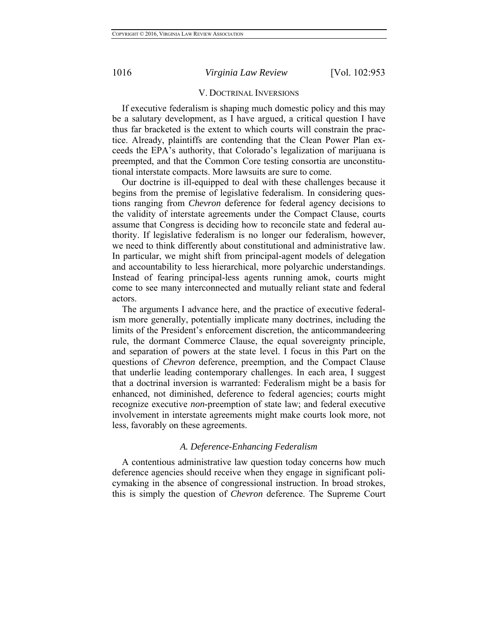### V. DOCTRINAL INVERSIONS

If executive federalism is shaping much domestic policy and this may be a salutary development, as I have argued, a critical question I have thus far bracketed is the extent to which courts will constrain the practice. Already, plaintiffs are contending that the Clean Power Plan exceeds the EPA's authority, that Colorado's legalization of marijuana is preempted, and that the Common Core testing consortia are unconstitutional interstate compacts. More lawsuits are sure to come.

Our doctrine is ill-equipped to deal with these challenges because it begins from the premise of legislative federalism. In considering questions ranging from *Chevron* deference for federal agency decisions to the validity of interstate agreements under the Compact Clause, courts assume that Congress is deciding how to reconcile state and federal authority. If legislative federalism is no longer our federalism, however, we need to think differently about constitutional and administrative law. In particular, we might shift from principal-agent models of delegation and accountability to less hierarchical, more polyarchic understandings. Instead of fearing principal-less agents running amok, courts might come to see many interconnected and mutually reliant state and federal actors.

The arguments I advance here, and the practice of executive federalism more generally, potentially implicate many doctrines, including the limits of the President's enforcement discretion, the anticommandeering rule, the dormant Commerce Clause, the equal sovereignty principle, and separation of powers at the state level. I focus in this Part on the questions of *Chevron* deference, preemption, and the Compact Clause that underlie leading contemporary challenges. In each area, I suggest that a doctrinal inversion is warranted: Federalism might be a basis for enhanced, not diminished, deference to federal agencies; courts might recognize executive *non*-preemption of state law; and federal executive involvement in interstate agreements might make courts look more, not less, favorably on these agreements.

### *A. Deference-Enhancing Federalism*

A contentious administrative law question today concerns how much deference agencies should receive when they engage in significant policymaking in the absence of congressional instruction. In broad strokes, this is simply the question of *Chevron* deference. The Supreme Court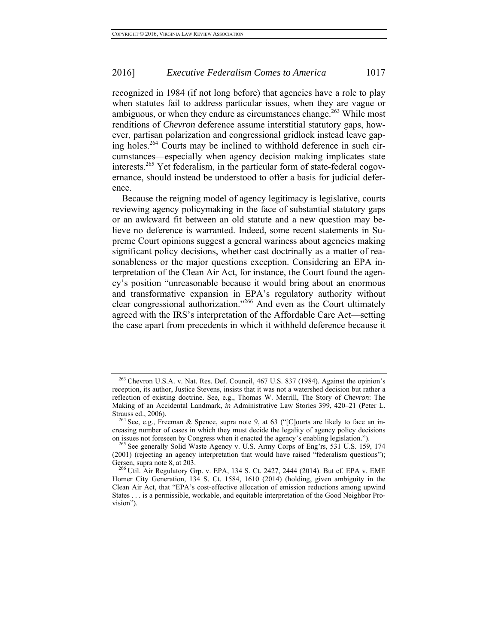recognized in 1984 (if not long before) that agencies have a role to play when statutes fail to address particular issues, when they are vague or ambiguous, or when they endure as circumstances change.<sup>263</sup> While most renditions of *Chevron* deference assume interstitial statutory gaps, however, partisan polarization and congressional gridlock instead leave gaping holes.264 Courts may be inclined to withhold deference in such circumstances—especially when agency decision making implicates state interests.<sup>265</sup> Yet federalism, in the particular form of state-federal cogovernance, should instead be understood to offer a basis for judicial deference.

Because the reigning model of agency legitimacy is legislative, courts reviewing agency policymaking in the face of substantial statutory gaps or an awkward fit between an old statute and a new question may believe no deference is warranted. Indeed, some recent statements in Supreme Court opinions suggest a general wariness about agencies making significant policy decisions, whether cast doctrinally as a matter of reasonableness or the major questions exception. Considering an EPA interpretation of the Clean Air Act, for instance, the Court found the agency's position "unreasonable because it would bring about an enormous and transformative expansion in EPA's regulatory authority without clear congressional authorization."266 And even as the Court ultimately agreed with the IRS's interpretation of the Affordable Care Act—setting the case apart from precedents in which it withheld deference because it

<sup>&</sup>lt;sup>263</sup> Chevron U.S.A. v. Nat. Res. Def. Council, 467 U.S. 837 (1984). Against the opinion's reception, its author, Justice Stevens, insists that it was not a watershed decision but rather a reflection of existing doctrine. See, e.g., Thomas W. Merrill, The Story of *Chevron*: The Making of an Accidental Landmark, *in* Administrative Law Stories 399, 420–21 (Peter L.

Strauss ed., 2006). 264 See, e.g., Freeman & Spence, supra note 9, at 63 ("[C]ourts are likely to face an increasing number of cases in which they must decide the legality of agency policy decisions on issues not foreseen by Congress when it enacted the agency's enabling legislation.").<br><sup>265</sup> See generally Solid Waste Agency v. U.S. Army Corps of Eng'rs, 531 U.S. 159, 174

<sup>(2001) (</sup>rejecting an agency interpretation that would have raised "federalism questions"); Gersen, supra note 8, at 203.<br><sup>266</sup> Util. Air Regulatory Grp. v. EPA, 134 S. Ct. 2427, 2444 (2014). But cf. EPA v. EME

Homer City Generation, 134 S. Ct. 1584, 1610 (2014) (holding, given ambiguity in the Clean Air Act, that "EPA's cost-effective allocation of emission reductions among upwind States . . . is a permissible, workable, and equitable interpretation of the Good Neighbor Provision").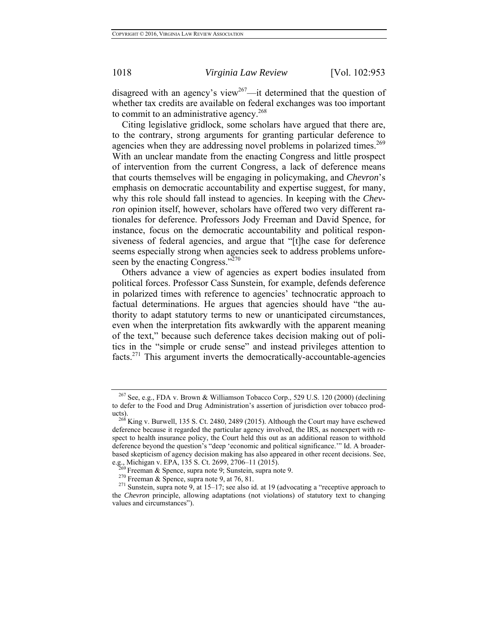disagreed with an agency's view<sup>267</sup>—it determined that the question of whether tax credits are available on federal exchanges was too important to commit to an administrative agency.<sup>268</sup>

Citing legislative gridlock, some scholars have argued that there are, to the contrary, strong arguments for granting particular deference to agencies when they are addressing novel problems in polarized times.<sup>269</sup> With an unclear mandate from the enacting Congress and little prospect of intervention from the current Congress, a lack of deference means that courts themselves will be engaging in policymaking, and *Chevron*'s emphasis on democratic accountability and expertise suggest, for many, why this role should fall instead to agencies. In keeping with the *Chevron* opinion itself, however, scholars have offered two very different rationales for deference. Professors Jody Freeman and David Spence, for instance, focus on the democratic accountability and political responsiveness of federal agencies, and argue that "[t]he case for deference seems especially strong when agencies seek to address problems unforeseen by the enacting Congress."<sup>270</sup>

Others advance a view of agencies as expert bodies insulated from political forces. Professor Cass Sunstein, for example, defends deference in polarized times with reference to agencies' technocratic approach to factual determinations. He argues that agencies should have "the authority to adapt statutory terms to new or unanticipated circumstances, even when the interpretation fits awkwardly with the apparent meaning of the text," because such deference takes decision making out of politics in the "simple or crude sense" and instead privileges attention to facts.271 This argument inverts the democratically-accountable-agencies

<sup>267</sup> See, e.g., FDA v. Brown & Williamson Tobacco Corp., 529 U.S. 120 (2000) (declining to defer to the Food and Drug Administration's assertion of jurisdiction over tobacco prod-

ucts).<br><sup>268</sup> King v. Burwell, 135 S. Ct. 2480, 2489 (2015). Although the Court may have eschewed deference because it regarded the particular agency involved, the IRS, as nonexpert with respect to health insurance policy, the Court held this out as an additional reason to withhold deference beyond the question's "deep 'economic and political significance.'" Id. A broaderbased skepticism of agency decision making has also appeared in other recent decisions. See, e.g., Michigan v. EPA, 135 S. Ct. 2699, 2706–11 (2015).

<sup>&</sup>lt;sup>269</sup> Freeman & Spence, supra note 9; Sunstein, supra note 9.<br><sup>270</sup> Freeman & Spence, supra note 9, at 76, 81.<br><sup>271</sup> Sunstein, supra note 9, at 15–17; see also id. at 19 (advocating a "receptive approach to the *Chevron* principle, allowing adaptations (not violations) of statutory text to changing values and circumstances").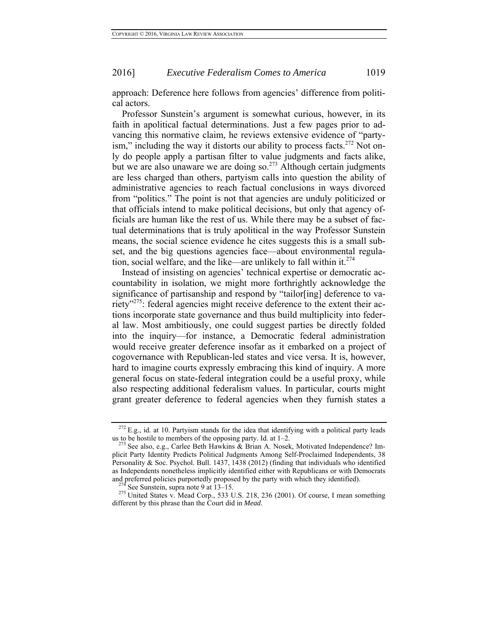approach: Deference here follows from agencies' difference from political actors.

Professor Sunstein's argument is somewhat curious, however, in its faith in apolitical factual determinations. Just a few pages prior to advancing this normative claim, he reviews extensive evidence of "partyism," including the way it distorts our ability to process facts.<sup>272</sup> Not only do people apply a partisan filter to value judgments and facts alike, but we are also unaware we are doing so. $273$  Although certain judgments are less charged than others, partyism calls into question the ability of administrative agencies to reach factual conclusions in ways divorced from "politics." The point is not that agencies are unduly politicized or that officials intend to make political decisions, but only that agency officials are human like the rest of us. While there may be a subset of factual determinations that is truly apolitical in the way Professor Sunstein means, the social science evidence he cites suggests this is a small subset, and the big questions agencies face—about environmental regulation, social welfare, and the like—are unlikely to fall within it. $^{274}$ 

Instead of insisting on agencies' technical expertise or democratic accountability in isolation, we might more forthrightly acknowledge the significance of partisanship and respond by "tailor[ing] deference to variety"<sup>275</sup>: federal agencies might receive deference to the extent their actions incorporate state governance and thus build multiplicity into federal law. Most ambitiously, one could suggest parties be directly folded into the inquiry—for instance, a Democratic federal administration would receive greater deference insofar as it embarked on a project of cogovernance with Republican-led states and vice versa. It is, however, hard to imagine courts expressly embracing this kind of inquiry. A more general focus on state-federal integration could be a useful proxy, while also respecting additional federalism values. In particular, courts might grant greater deference to federal agencies when they furnish states a

 $272$  E.g., id. at 10. Partyism stands for the idea that identifying with a political party leads us to be hostile to members of the opposing party. Id. at  $1-2$ .<br><sup>273</sup> See also, e.g., Carlee Beth Hawkins & Brian A. Nosek, Motivated Independence? Im-

plicit Party Identity Predicts Political Judgments Among Self-Proclaimed Independents, 38 Personality & Soc. Psychol. Bull. 1437, 1438 (2012) (finding that individuals who identified as Independents nonetheless implicitly identified either with Republicans or with Democrats and preferred policies purportedly proposed by the party with which they identified).

<sup>&</sup>lt;sup>274</sup> See Sunstein, supra note 9 at 13–15.<br><sup>275</sup> United States v. Mead Corp., 533 U.S. 218, 236 (2001). Of course, I mean something different by this phrase than the Court did in *Mead*.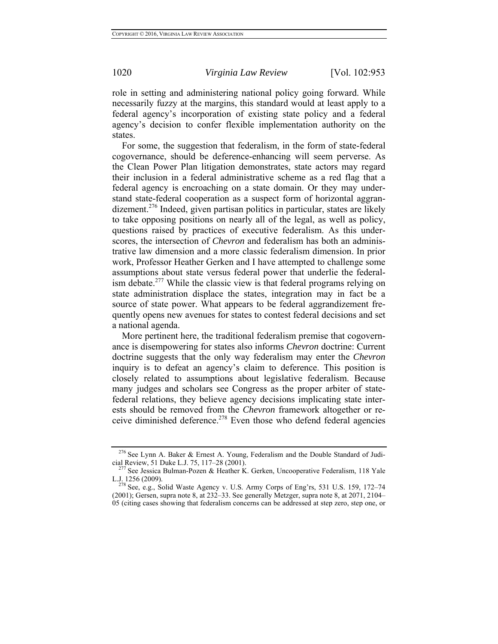role in setting and administering national policy going forward. While necessarily fuzzy at the margins, this standard would at least apply to a federal agency's incorporation of existing state policy and a federal agency's decision to confer flexible implementation authority on the states.

For some, the suggestion that federalism, in the form of state-federal cogovernance, should be deference-enhancing will seem perverse. As the Clean Power Plan litigation demonstrates, state actors may regard their inclusion in a federal administrative scheme as a red flag that a federal agency is encroaching on a state domain. Or they may understand state-federal cooperation as a suspect form of horizontal aggrandizement.<sup>276</sup> Indeed, given partisan politics in particular, states are likely to take opposing positions on nearly all of the legal, as well as policy, questions raised by practices of executive federalism. As this underscores, the intersection of *Chevron* and federalism has both an administrative law dimension and a more classic federalism dimension. In prior work, Professor Heather Gerken and I have attempted to challenge some assumptions about state versus federal power that underlie the federalism debate.<sup>277</sup> While the classic view is that federal programs relying on state administration displace the states, integration may in fact be a source of state power. What appears to be federal aggrandizement frequently opens new avenues for states to contest federal decisions and set a national agenda.

More pertinent here, the traditional federalism premise that cogovernance is disempowering for states also informs *Chevron* doctrine: Current doctrine suggests that the only way federalism may enter the *Chevron*  inquiry is to defeat an agency's claim to deference. This position is closely related to assumptions about legislative federalism. Because many judges and scholars see Congress as the proper arbiter of statefederal relations, they believe agency decisions implicating state interests should be removed from the *Chevron* framework altogether or receive diminished deference.<sup>278</sup> Even those who defend federal agencies

<sup>&</sup>lt;sup>276</sup> See Lynn A. Baker & Ernest A. Young, Federalism and the Double Standard of Judicial Review, 51 Duke L.J. 75, 117–28 (2001). 277 See Jessica Bulman-Pozen & Heather K. Gerken, Uncooperative Federalism, 118 Yale

L.J. 1256 (2009).<br><sup>278</sup> See, e.g., Solid Waste Agency v. U.S. Army Corps of Eng'rs, 531 U.S. 159, 172–74

<sup>(2001);</sup> Gersen, supra note 8, at 232–33. See generally Metzger, supra note 8, at 2071, 2104– 05 (citing cases showing that federalism concerns can be addressed at step zero, step one, or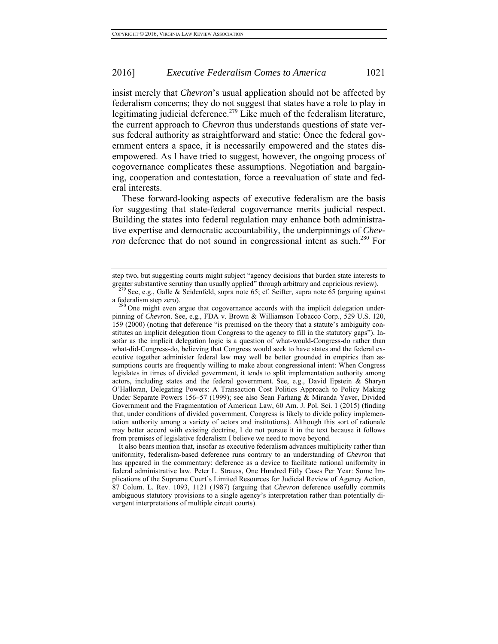insist merely that *Chevron*'s usual application should not be affected by federalism concerns; they do not suggest that states have a role to play in legitimating judicial deference.<sup>279</sup> Like much of the federalism literature, the current approach to *Chevron* thus understands questions of state versus federal authority as straightforward and static: Once the federal government enters a space, it is necessarily empowered and the states disempowered. As I have tried to suggest, however, the ongoing process of cogovernance complicates these assumptions. Negotiation and bargaining, cooperation and contestation, force a reevaluation of state and federal interests.

These forward-looking aspects of executive federalism are the basis for suggesting that state-federal cogovernance merits judicial respect. Building the states into federal regulation may enhance both administrative expertise and democratic accountability, the underpinnings of *Chevron* deference that do not sound in congressional intent as such.<sup>280</sup> For

 It also bears mention that, insofar as executive federalism advances multiplicity rather than uniformity, federalism-based deference runs contrary to an understanding of *Chevron* that has appeared in the commentary: deference as a device to facilitate national uniformity in federal administrative law. Peter L. Strauss, One Hundred Fifty Cases Per Year: Some Implications of the Supreme Court's Limited Resources for Judicial Review of Agency Action, 87 Colum. L. Rev. 1093, 1121 (1987) (arguing that *Chevron* deference usefully commits ambiguous statutory provisions to a single agency's interpretation rather than potentially divergent interpretations of multiple circuit courts).

step two, but suggesting courts might subject "agency decisions that burden state interests to greater substantive scrutiny than usually applied" through arbitrary and capricious review). <sup>279</sup> See, e.g., Galle & Seidenfeld, supra note 65; cf. Seifter, supra note 65 (arguing against

a federalism step zero).<br><sup>280</sup> One might even argue that cogovernance accords with the implicit delegation under-

pinning of *Chevron*. See, e.g., FDA v. Brown & Williamson Tobacco Corp., 529 U.S. 120, 159 (2000) (noting that deference "is premised on the theory that a statute's ambiguity constitutes an implicit delegation from Congress to the agency to fill in the statutory gaps"). Insofar as the implicit delegation logic is a question of what-would-Congress-do rather than what-did-Congress-do, believing that Congress would seek to have states and the federal executive together administer federal law may well be better grounded in empirics than assumptions courts are frequently willing to make about congressional intent: When Congress legislates in times of divided government, it tends to split implementation authority among actors, including states and the federal government. See, e.g., David Epstein & Sharyn O'Halloran, Delegating Powers: A Transaction Cost Politics Approach to Policy Making Under Separate Powers 156–57 (1999); see also Sean Farhang & Miranda Yaver, Divided Government and the Fragmentation of American Law, 60 Am. J. Pol. Sci. 1 (2015) (finding that, under conditions of divided government, Congress is likely to divide policy implementation authority among a variety of actors and institutions). Although this sort of rationale may better accord with existing doctrine, I do not pursue it in the text because it follows from premises of legislative federalism I believe we need to move beyond.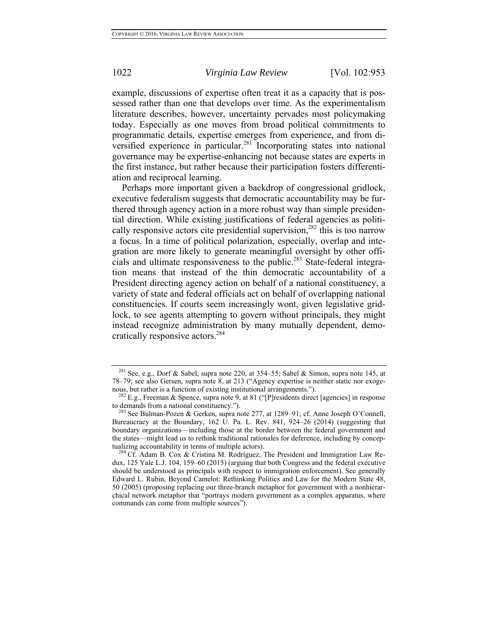example, discussions of expertise often treat it as a capacity that is possessed rather than one that develops over time. As the experimentalism literature describes, however, uncertainty pervades most policymaking today. Especially as one moves from broad political commitments to programmatic details, expertise emerges from experience, and from diversified experience in particular.<sup>281</sup> Incorporating states into national governance may be expertise-enhancing not because states are experts in the first instance, but rather because their participation fosters differentiation and reciprocal learning.

Perhaps more important given a backdrop of congressional gridlock, executive federalism suggests that democratic accountability may be furthered through agency action in a more robust way than simple presidential direction. While existing justifications of federal agencies as politically responsive actors cite presidential supervision,  $282$  this is too narrow a focus. In a time of political polarization, especially, overlap and integration are more likely to generate meaningful oversight by other officials and ultimate responsiveness to the public.<sup>283</sup> State-federal integration means that instead of the thin democratic accountability of a President directing agency action on behalf of a national constituency, a variety of state and federal officials act on behalf of overlapping national constituencies. If courts seem increasingly wont, given legislative gridlock, to see agents attempting to govern without principals, they might instead recognize administration by many mutually dependent, democratically responsive actors.284

<sup>281</sup> See, e.g., Dorf & Sabel, supra note 220, at 354–55; Sabel & Simon, supra note 145, at 78–79; see also Gersen, supra note 8, at 213 ("Agency expertise is neither static nor exogenous, but rather is a function of existing institutional arrangements.").<br><sup>282</sup> E.g., Freeman & Spence, supra note 9, at 81 ("[P]residents direct [agencies] in response

to demands from a national constituency.").<br><sup>283</sup> See Bulman-Pozen & Gerken, supra note 277, at 1289–91; cf. Anne Joseph O'Connell,

Bureaucracy at the Boundary, 162 U. Pa. L. Rev. 841, 924–26 (2014) (suggesting that boundary organizations—including those at the border between the federal government and the states—might lead us to rethink traditional rationales for deference, including by conceptualizing accountability in terms of multiple actors).<br><sup>284</sup> Cf. Adam B. Cox & Cristina M. Rodríguez, The President and Immigration Law Re-

dux, 125 Yale L.J. 104, 159–60 (2015) (arguing that both Congress and the federal executive should be understood as principals with respect to immigration enforcement). See generally Edward L. Rubin, Beyond Camelot: Rethinking Politics and Law for the Modern State 48, 50 (2005) (proposing replacing our three-branch metaphor for government with a nonhierarchical network metaphor that "portrays modern government as a complex apparatus, where commands can come from multiple sources").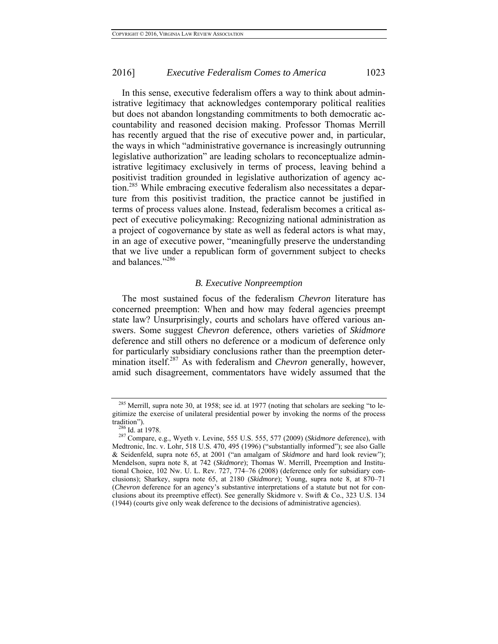In this sense, executive federalism offers a way to think about administrative legitimacy that acknowledges contemporary political realities but does not abandon longstanding commitments to both democratic accountability and reasoned decision making. Professor Thomas Merrill has recently argued that the rise of executive power and, in particular, the ways in which "administrative governance is increasingly outrunning legislative authorization" are leading scholars to reconceptualize administrative legitimacy exclusively in terms of process, leaving behind a positivist tradition grounded in legislative authorization of agency action.<sup>285</sup> While embracing executive federalism also necessitates a departure from this positivist tradition, the practice cannot be justified in terms of process values alone. Instead, federalism becomes a critical aspect of executive policymaking: Recognizing national administration as a project of cogovernance by state as well as federal actors is what may, in an age of executive power, "meaningfully preserve the understanding that we live under a republican form of government subject to checks and balances."286

### *B. Executive Nonpreemption*

The most sustained focus of the federalism *Chevron* literature has concerned preemption: When and how may federal agencies preempt state law? Unsurprisingly, courts and scholars have offered various answers. Some suggest *Chevron* deference, others varieties of *Skidmore*  deference and still others no deference or a modicum of deference only for particularly subsidiary conclusions rather than the preemption determination itself.287 As with federalism and *Chevron* generally, however, amid such disagreement, commentators have widely assumed that the

 $285$  Merrill, supra note 30, at 1958; see id. at 1977 (noting that scholars are seeking "to legitimize the exercise of unilateral presidential power by invoking the norms of the process

tradition").<br><sup>286</sup> Id. at 1978.<br><sup>287</sup> Compare, e.g., Wyeth v. Levine, 555 U.S. 555, 577 (2009) (*Skidmore* deference), with Medtronic, Inc. v. Lohr, 518 U.S. 470, 495 (1996) ("substantially informed"); see also Galle & Seidenfeld, supra note 65, at 2001 ("an amalgam of *Skidmore* and hard look review"); Mendelson, supra note 8, at 742 (*Skidmore*); Thomas W. Merrill, Preemption and Institutional Choice, 102 Nw. U. L. Rev. 727, 774–76 (2008) (deference only for subsidiary conclusions); Sharkey, supra note 65, at 2180 (*Skidmore*); Young, supra note 8, at 870–71 (*Chevron* deference for an agency's substantive interpretations of a statute but not for conclusions about its preemptive effect). See generally Skidmore v. Swift & Co., 323 U.S. 134 (1944) (courts give only weak deference to the decisions of administrative agencies).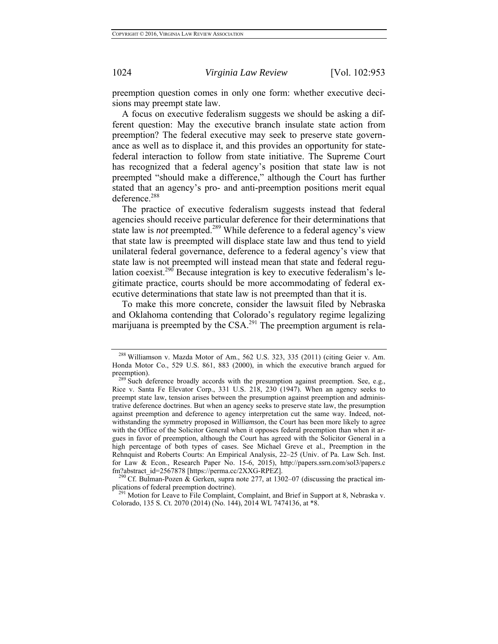preemption question comes in only one form: whether executive decisions may preempt state law.

A focus on executive federalism suggests we should be asking a different question: May the executive branch insulate state action from preemption? The federal executive may seek to preserve state governance as well as to displace it, and this provides an opportunity for statefederal interaction to follow from state initiative. The Supreme Court has recognized that a federal agency's position that state law is not preempted "should make a difference," although the Court has further stated that an agency's pro- and anti-preemption positions merit equal deference.<sup>288</sup>

The practice of executive federalism suggests instead that federal agencies should receive particular deference for their determinations that state law is *not* preempted.<sup>289</sup> While deference to a federal agency's view that state law is preempted will displace state law and thus tend to yield unilateral federal governance, deference to a federal agency's view that state law is not preempted will instead mean that state and federal regulation coexist.<sup>290</sup> Because integration is key to executive federalism's legitimate practice, courts should be more accommodating of federal executive determinations that state law is not preempted than that it is.

To make this more concrete, consider the lawsuit filed by Nebraska and Oklahoma contending that Colorado's regulatory regime legalizing marijuana is preempted by the  $CSA<sup>291</sup>$  The preemption argument is rela-

plications of federal preemption doctrine). <sup>291</sup> Motion for Leave to File Complaint, Complaint, and Brief in Support at 8, Nebraska v.

<sup>288</sup> Williamson v. Mazda Motor of Am., 562 U.S. 323, 335 (2011) (citing Geier v. Am. Honda Motor Co., 529 U.S. 861, 883 (2000), in which the executive branch argued for preemption).<br><sup>289</sup> Such deference broadly accords with the presumption against preemption. See, e.g.,

Rice v. Santa Fe Elevator Corp., 331 U.S. 218, 230 (1947). When an agency seeks to preempt state law, tension arises between the presumption against preemption and administrative deference doctrines. But when an agency seeks to preserve state law, the presumption against preemption and deference to agency interpretation cut the same way. Indeed, notwithstanding the symmetry proposed in *Williamson*, the Court has been more likely to agree with the Office of the Solicitor General when it opposes federal preemption than when it argues in favor of preemption, although the Court has agreed with the Solicitor General in a high percentage of both types of cases. See Michael Greve et al., Preemption in the Rehnquist and Roberts Courts: An Empirical Analysis, 22–25 (Univ. of Pa. Law Sch. Inst. for Law & Econ., Research Paper No. 15-6, 2015), http://papers.ssrn.com/sol3/papers.c fm?abstract\_id=2567878 [https://perma.cc/2XXG-RPEZ].<br><sup>290</sup> Cf. Bulman-Pozen & Gerken, supra note 277, at 1302–07 (discussing the practical im-

Colorado, 135 S. Ct. 2070 (2014) (No. 144), 2014 WL 7474136, at \*8.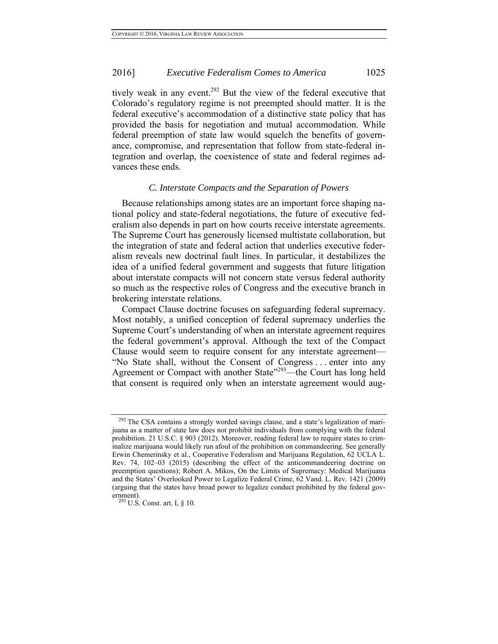## 2016] *Executive Federalism Comes to America* 1025

tively weak in any event.<sup>292</sup> But the view of the federal executive that Colorado's regulatory regime is not preempted should matter. It is the federal executive's accommodation of a distinctive state policy that has provided the basis for negotiation and mutual accommodation. While federal preemption of state law would squelch the benefits of governance, compromise, and representation that follow from state-federal integration and overlap, the coexistence of state and federal regimes advances these ends.

#### *C. Interstate Compacts and the Separation of Powers*

Because relationships among states are an important force shaping national policy and state-federal negotiations, the future of executive federalism also depends in part on how courts receive interstate agreements. The Supreme Court has generously licensed multistate collaboration, but the integration of state and federal action that underlies executive federalism reveals new doctrinal fault lines. In particular, it destabilizes the idea of a unified federal government and suggests that future litigation about interstate compacts will not concern state versus federal authority so much as the respective roles of Congress and the executive branch in brokering interstate relations.

Compact Clause doctrine focuses on safeguarding federal supremacy. Most notably, a unified conception of federal supremacy underlies the Supreme Court's understanding of when an interstate agreement requires the federal government's approval. Although the text of the Compact Clause would seem to require consent for any interstate agreement— "No State shall, without the Consent of Congress . . . enter into any Agreement or Compact with another State<sup>"293</sup>—the Court has long held that consent is required only when an interstate agreement would aug-

<sup>&</sup>lt;sup>292</sup> The CSA contains a strongly worded savings clause, and a state's legalization of marijuana as a matter of state law does not prohibit individuals from complying with the federal prohibition. 21 U.S.C. § 903 (2012). Moreover, reading federal law to require states to criminalize marijuana would likely run afoul of the prohibition on commandeering. See generally Erwin Chemerinsky et al., Cooperative Federalism and Marijuana Regulation, 62 UCLA L. Rev. 74, 102–03 (2015) (describing the effect of the anticommandeering doctrine on preemption questions); Robert A. Mikos, On the Limits of Supremacy: Medical Marijuana and the States' Overlooked Power to Legalize Federal Crime, 62 Vand. L. Rev. 1421 (2009) (arguing that the states have broad power to legalize conduct prohibited by the federal government).<br> $^{293}$  U.S. Const. art. I, § 10.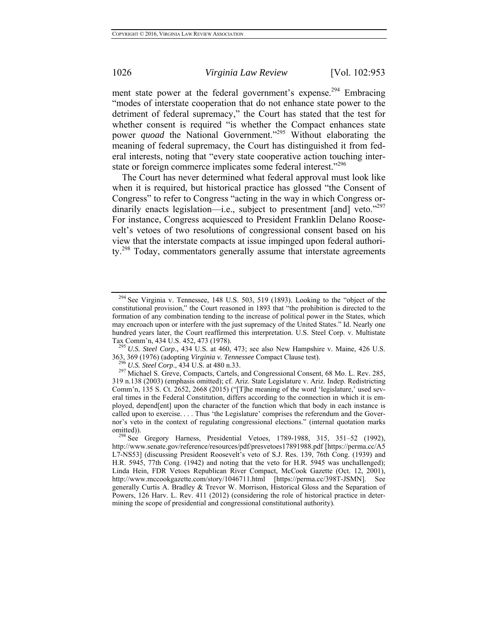ment state power at the federal government's expense.<sup>294</sup> Embracing "modes of interstate cooperation that do not enhance state power to the detriment of federal supremacy," the Court has stated that the test for whether consent is required "is whether the Compact enhances state power *quoad* the National Government."<sup>295</sup> Without elaborating the meaning of federal supremacy, the Court has distinguished it from federal interests, noting that "every state cooperative action touching interstate or foreign commerce implicates some federal interest."<sup>296</sup>

The Court has never determined what federal approval must look like when it is required, but historical practice has glossed "the Consent of Congress" to refer to Congress "acting in the way in which Congress ordinarily enacts legislation—i.e., subject to presentment [and] veto."<sup>297</sup> For instance, Congress acquiesced to President Franklin Delano Roosevelt's vetoes of two resolutions of congressional consent based on his view that the interstate compacts at issue impinged upon federal authority.<sup>298</sup> Today, commentators generally assume that interstate agreements

 $294$  See Virginia v. Tennessee, 148 U.S. 503, 519 (1893). Looking to the "object of the constitutional provision," the Court reasoned in 1893 that "the prohibition is directed to the formation of any combination tending to the increase of political power in the States, which may encroach upon or interfere with the just supremacy of the United States." Id. Nearly one hundred years later, the Court reaffirmed this interpretation. U.S. Steel Corp. v. Multistate

Tax Comm'n, 434 U.S. 452, 473 (1978).<br><sup>295</sup> *U.S. Steel Corp.*, 434 U.S. at 460, 473; see also New Hampshire v. Maine, 426 U.S.<br>363, 369 (1976) (adopting *Virginia v. Tennessee* Compact Clause test).<br><sup>296</sup> *U.S.* Steel Car

<sup>&</sup>lt;sup>296</sup> U.S. Steel Corp., 434 U.S. at 480 n.33. <sup>297</sup> Michael S. Greve, Compacts, Cartels, and Congressional Consent, 68 Mo. L. Rev. 285, 319 n.138 (2003) (emphasis omitted); cf. Ariz. State Legislature v. Ariz. Indep. Redistricting Comm'n, 135 S. Ct. 2652, 2668 (2015) ("[T]he meaning of the word 'legislature,' used several times in the Federal Constitution, differs according to the connection in which it is employed, depend[ent] upon the character of the function which that body in each instance is called upon to exercise. . . . Thus 'the Legislature' comprises the referendum and the Governor's veto in the context of regulating congressional elections." (internal quotation marks

omitted)).<br><sup>298</sup> See Gregory Harness, Presidential Vetoes, 1789-1988, 315, 351–52 (1992), http://www.senate.gov/reference/resources/pdf/presvetoes17891988.pdf [https://perma.cc/A5 L7-NS53] (discussing President Roosevelt's veto of S.J. Res. 139, 76th Cong. (1939) and H.R. 5945, 77th Cong. (1942) and noting that the veto for H.R. 5945 was unchallenged); Linda Hein, FDR Vetoes Republican River Compact, McCook Gazette (Oct. 12, 2001), http://www.mccookgazette.com/story/1046711.html [https://perma.cc/398T-JSMN]. See generally Curtis A. Bradley & Trevor W. Morrison, Historical Gloss and the Separation of Powers, 126 Harv. L. Rev. 411 (2012) (considering the role of historical practice in determining the scope of presidential and congressional constitutional authority).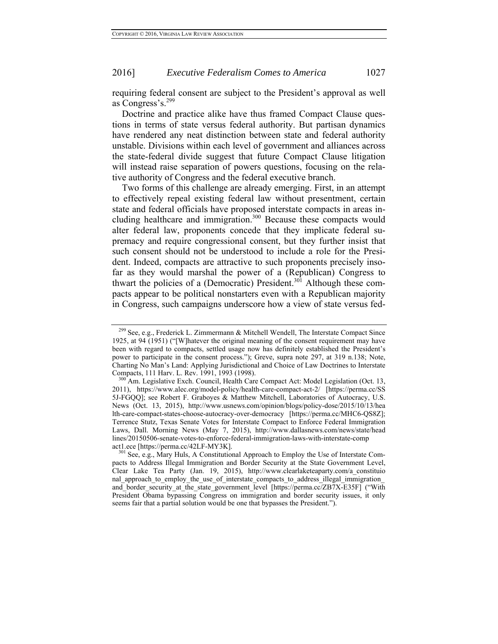#### 2016] *Executive Federalism Comes to America* 1027

requiring federal consent are subject to the President's approval as well as Congress's.299

Doctrine and practice alike have thus framed Compact Clause questions in terms of state versus federal authority. But partisan dynamics have rendered any neat distinction between state and federal authority unstable. Divisions within each level of government and alliances across the state-federal divide suggest that future Compact Clause litigation will instead raise separation of powers questions, focusing on the relative authority of Congress and the federal executive branch.

Two forms of this challenge are already emerging. First, in an attempt to effectively repeal existing federal law without presentment, certain state and federal officials have proposed interstate compacts in areas including healthcare and immigration.<sup>300</sup> Because these compacts would alter federal law, proponents concede that they implicate federal supremacy and require congressional consent, but they further insist that such consent should not be understood to include a role for the President. Indeed, compacts are attractive to such proponents precisely insofar as they would marshal the power of a (Republican) Congress to thwart the policies of a (Democratic) President.<sup>301</sup> Although these compacts appear to be political nonstarters even with a Republican majority in Congress, such campaigns underscore how a view of state versus fed-

<sup>&</sup>lt;sup>299</sup> See, e.g., Frederick L. Zimmermann & Mitchell Wendell, The Interstate Compact Since 1925, at 94 (1951) ("[W]hatever the original meaning of the consent requirement may have been with regard to compacts, settled usage now has definitely established the President's power to participate in the consent process."); Greve, supra note 297, at 319 n.138; Note, Charting No Man's Land: Applying Jurisdictional and Choice of Law Doctrines to Interstate

Compacts, 111 Harv. L. Rev. 1991, 1993 (1998).<br><sup>300</sup> Am. Legislative Exch. Council, Health Care Compact Act: Model Legislation (Oct. 13, 2011), https://www.alec.org/model-policy/health-care-compact-act-2/ [https://perma.cc/SS 5J-FGQQ]; see Robert F. Graboyes & Matthew Mitchell, Laboratories of Autocracy, U.S. News (Oct. 13, 2015), http://www.usnews.com/opinion/blogs/policy-dose/2015/10/13/hea lth-care-compact-states-choose-autocracy-over-democracy [https://perma.cc/MHC6-QS8Z]; Terrence Stutz, Texas Senate Votes for Interstate Compact to Enforce Federal Immigration Laws, Dall. Morning News (May 7, 2015), http://www.dallasnews.com/news/state/head lines/20150506-senate-votes-to-enforce-federal-immigration-laws-with-interstate-comp

act1.ece [https://perma.cc/42LF-MY3K].<br><sup>301</sup> See, e.g., Mary Huls, A Constitutional Approach to Employ the Use of Interstate Compacts to Address Illegal Immigration and Border Security at the State Government Level, Clear Lake Tea Party (Jan. 19, 2015), http://www.clearlaketeaparty.com/a\_constituio nal approach to employ the use of interstate compacts to address illegal immigration and\_border\_security\_at\_the\_state\_government\_level [https://perma.cc/ZB7X-E35F] ("With President Obama bypassing Congress on immigration and border security issues, it only seems fair that a partial solution would be one that bypasses the President.").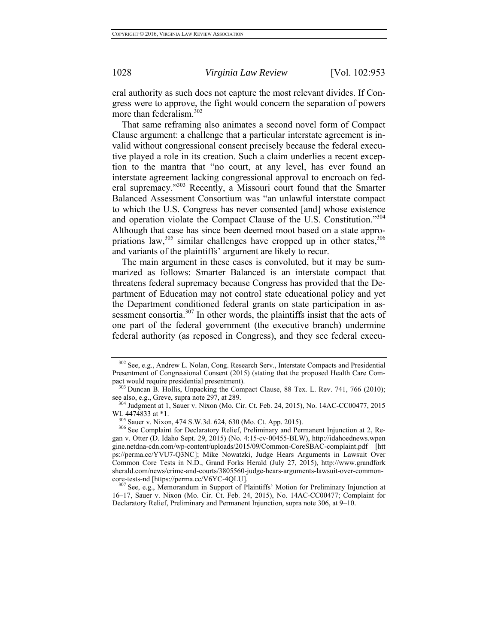eral authority as such does not capture the most relevant divides. If Congress were to approve, the fight would concern the separation of powers more than federalism.<sup>302</sup>

That same reframing also animates a second novel form of Compact Clause argument: a challenge that a particular interstate agreement is invalid without congressional consent precisely because the federal executive played a role in its creation. Such a claim underlies a recent exception to the mantra that "no court, at any level, has ever found an interstate agreement lacking congressional approval to encroach on federal supremacy."<sup>303</sup> Recently, a Missouri court found that the Smarter Balanced Assessment Consortium was "an unlawful interstate compact to which the U.S. Congress has never consented [and] whose existence and operation violate the Compact Clause of the U.S. Constitution."304 Although that case has since been deemed moot based on a state appropriations law, $305$  similar challenges have cropped up in other states,  $306$ and variants of the plaintiffs' argument are likely to recur.

The main argument in these cases is convoluted, but it may be summarized as follows: Smarter Balanced is an interstate compact that threatens federal supremacy because Congress has provided that the Department of Education may not control state educational policy and yet the Department conditioned federal grants on state participation in assessment consortia.<sup>307</sup> In other words, the plaintiffs insist that the acts of one part of the federal government (the executive branch) undermine federal authority (as reposed in Congress), and they see federal execu-

<sup>302</sup> See, e.g., Andrew L. Nolan, Cong. Research Serv., Interstate Compacts and Presidential Presentment of Congressional Consent (2015) (stating that the proposed Health Care Com-

<sup>&</sup>lt;sup>303</sup> Duncan B. Hollis, Unpacking the Compact Clause, 88 Tex. L. Rev. 741, 766 (2010); see also, e.g., Greve, supra note 297, at 289.<br><sup>304</sup> Judgment at 1, Sauer v. Nixon (Mo. Cir. Ct. Feb. 24, 2015), No. 14AC-CC00477, 2015

WL 4474833 at \*1.<br><sup>305</sup> Sauer v. Nixon, 474 S.W.3d. 624, 630 (Mo. Ct. App. 2015).<br><sup>306</sup> See Complaint for Declaratory Relief, Preliminary and Permanent Injunction at 2, Regan v. Otter (D. Idaho Sept. 29, 2015) (No. 4:15-cv-00455-BLW), http://idahoednews.wpen gine.netdna-cdn.com/wp-content/uploads/2015/09/Common-CoreSBAC-complaint.pdf [htt ps://perma.cc/YVU7-Q3NC]; Mike Nowatzki, Judge Hears Arguments in Lawsuit Over Common Core Tests in N.D., Grand Forks Herald (July 27, 2015), http://www.grandfork sherald.com/news/crime-and-courts/3805560-judge-hears-arguments-lawsuit-over-common-<br>core-tests-nd [https://perma.cc/V6YC-4QLU].

 $^{307}$  See, e.g., Memorandum in Support of Plaintiffs' Motion for Preliminary Injunction at 16–17, Sauer v. Nixon (Mo. Cir. Ct. Feb. 24, 2015), No. 14AC-CC00477; Complaint for Declaratory Relief, Preliminary and Permanent Injunction, supra note 306, at 9–10.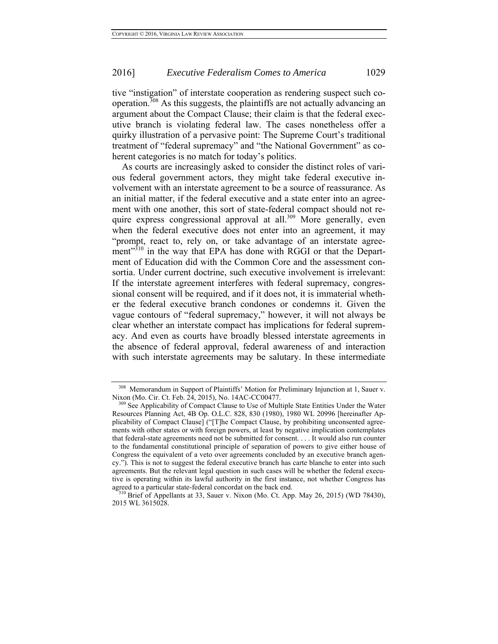# 2016] *Executive Federalism Comes to America* 1029

tive "instigation" of interstate cooperation as rendering suspect such cooperation.308 As this suggests, the plaintiffs are not actually advancing an argument about the Compact Clause; their claim is that the federal executive branch is violating federal law. The cases nonetheless offer a quirky illustration of a pervasive point: The Supreme Court's traditional treatment of "federal supremacy" and "the National Government" as coherent categories is no match for today's politics.

As courts are increasingly asked to consider the distinct roles of various federal government actors, they might take federal executive involvement with an interstate agreement to be a source of reassurance. As an initial matter, if the federal executive and a state enter into an agreement with one another, this sort of state-federal compact should not require express congressional approval at all.<sup>309</sup> More generally, even when the federal executive does not enter into an agreement, it may "prompt, react to, rely on, or take advantage of an interstate agreement"<sup>310</sup> in the way that EPA has done with RGGI or that the Department of Education did with the Common Core and the assessment consortia. Under current doctrine, such executive involvement is irrelevant: If the interstate agreement interferes with federal supremacy, congressional consent will be required, and if it does not, it is immaterial whether the federal executive branch condones or condemns it. Given the vague contours of "federal supremacy," however, it will not always be clear whether an interstate compact has implications for federal supremacy. And even as courts have broadly blessed interstate agreements in the absence of federal approval, federal awareness of and interaction with such interstate agreements may be salutary. In these intermediate

<sup>308</sup> Memorandum in Support of Plaintiffs' Motion for Preliminary Injunction at 1, Sauer v. Nixon (Mo. Cir. Ct. Feb. 24, 2015), No. 14AC-CC00477.<br><sup>309</sup> See Applicability of Compact Clause to Use of Multiple State Entities Under the Water

Resources Planning Act, 4B Op. O.L.C. 828, 830 (1980), 1980 WL 20996 [hereinafter Applicability of Compact Clause] ("[T]he Compact Clause, by prohibiting unconsented agreements with other states or with foreign powers, at least by negative implication contemplates that federal-state agreements need not be submitted for consent. . . . It would also run counter to the fundamental constitutional principle of separation of powers to give either house of Congress the equivalent of a veto over agreements concluded by an executive branch agency."). This is not to suggest the federal executive branch has carte blanche to enter into such agreements. But the relevant legal question in such cases will be whether the federal executive is operating within its lawful authority in the first instance, not whether Congress has agreed to a particular state-federal concordat on the back end.

 $310$  Brief of Appellants at 33, Sauer v. Nixon (Mo. Ct. App. May 26, 2015) (WD 78430), 2015 WL 3615028.